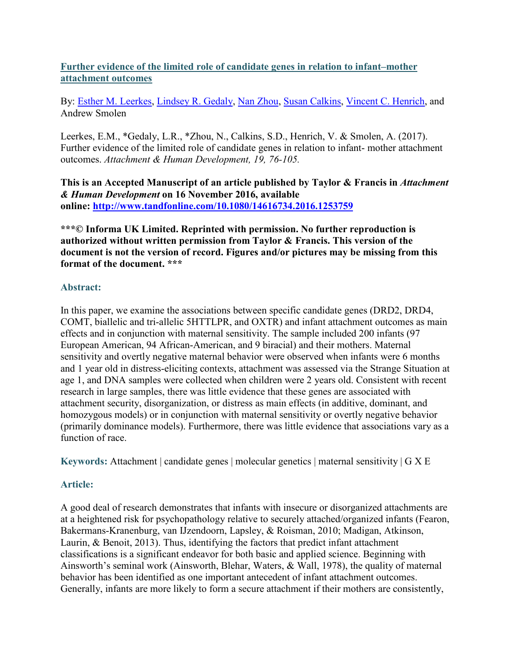# **Further evidence of the limited role of candidate genes in relation to infant–mother attachment outcomes**

By: [Esther M. Leerkes,](http://libres.uncg.edu/ir/uncg/clist.aspx?id=1186) [Lindsey R. Gedaly,](http://libres.uncg.edu/ir/uncg/clist.aspx?id=9118) [Nan Zhou,](http://libres.uncg.edu/ir/uncg/clist.aspx?id=9861) [Susan Calkins,](http://libres.uncg.edu/ir/uncg/clist.aspx?id=1258) [Vincent C. Henrich,](http://libres.uncg.edu/ir/uncg/clist.aspx?id=247) and Andrew Smolen

Leerkes, E.M., \*Gedaly, L.R., \*Zhou, N., Calkins, S.D., Henrich, V. & Smolen, A. (2017). Further evidence of the limited role of candidate genes in relation to infant- mother attachment outcomes. *Attachment & Human Development, 19, 76-105.*

**This is an Accepted Manuscript of an article published by Taylor & Francis in** *Attachment & Human Development* **on 16 November 2016, available online: <http://www.tandfonline.com/10.1080/14616734.2016.1253759>**

**\*\*\*© Informa UK Limited. Reprinted with permission. No further reproduction is authorized without written permission from Taylor & Francis. This version of the document is not the version of record. Figures and/or pictures may be missing from this format of the document. \*\*\***

## **Abstract:**

In this paper, we examine the associations between specific candidate genes (DRD2, DRD4, COMT, biallelic and tri-allelic 5HTTLPR, and OXTR) and infant attachment outcomes as main effects and in conjunction with maternal sensitivity. The sample included 200 infants (97 European American, 94 African-American, and 9 biracial) and their mothers. Maternal sensitivity and overtly negative maternal behavior were observed when infants were 6 months and 1 year old in distress-eliciting contexts, attachment was assessed via the Strange Situation at age 1, and DNA samples were collected when children were 2 years old. Consistent with recent research in large samples, there was little evidence that these genes are associated with attachment security, disorganization, or distress as main effects (in additive, dominant, and homozygous models) or in conjunction with maternal sensitivity or overtly negative behavior (primarily dominance models). Furthermore, there was little evidence that associations vary as a function of race.

**Keywords:** Attachment | candidate genes | molecular genetics | maternal sensitivity | G X E

# **Article:**

A good deal of research demonstrates that infants with insecure or disorganized attachments are at a heightened risk for psychopathology relative to securely attached/organized infants (Fearon, Bakermans-Kranenburg, van IJzendoorn, Lapsley, & Roisman, 2010; Madigan, Atkinson, Laurin, & Benoit, 2013). Thus, identifying the factors that predict infant attachment classifications is a significant endeavor for both basic and applied science. Beginning with Ainsworth's seminal work (Ainsworth, Blehar, Waters, & Wall, 1978), the quality of maternal behavior has been identified as one important antecedent of infant attachment outcomes. Generally, infants are more likely to form a secure attachment if their mothers are consistently,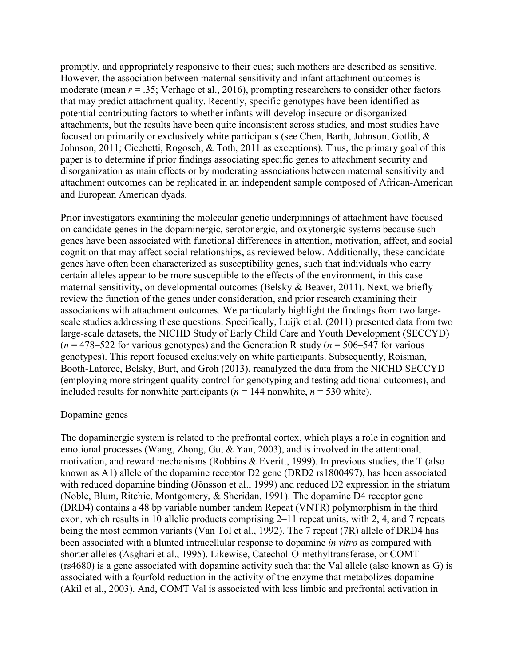promptly, and appropriately responsive to their cues; such mothers are described as sensitive. However, the association between maternal sensitivity and infant attachment outcomes is moderate (mean  $r = .35$ ; Verhage et al., 2016), prompting researchers to consider other factors that may predict attachment quality. Recently, specific genotypes have been identified as potential contributing factors to whether infants will develop insecure or disorganized attachments, but the results have been quite inconsistent across studies, and most studies have focused on primarily or exclusively white participants (see Chen, Barth, Johnson, Gotlib, & Johnson, 2011; Cicchetti, Rogosch, & Toth, 2011 as exceptions). Thus, the primary goal of this paper is to determine if prior findings associating specific genes to attachment security and disorganization as main effects or by moderating associations between maternal sensitivity and attachment outcomes can be replicated in an independent sample composed of African-American and European American dyads.

Prior investigators examining the molecular genetic underpinnings of attachment have focused on candidate genes in the dopaminergic, serotonergic, and oxytonergic systems because such genes have been associated with functional differences in attention, motivation, affect, and social cognition that may affect social relationships, as reviewed below. Additionally, these candidate genes have often been characterized as susceptibility genes, such that individuals who carry certain alleles appear to be more susceptible to the effects of the environment, in this case maternal sensitivity, on developmental outcomes (Belsky & Beaver, 2011). Next, we briefly review the function of the genes under consideration, and prior research examining their associations with attachment outcomes. We particularly highlight the findings from two largescale studies addressing these questions. Specifically, Luijk et al. (2011) presented data from two large-scale datasets, the NICHD Study of Early Child Care and Youth Development (SECCYD)  $(n = 478-522$  for various genotypes) and the Generation R study  $(n = 506-547$  for various genotypes). This report focused exclusively on white participants. Subsequently, Roisman, Booth-Laforce, Belsky, Burt, and Groh (2013), reanalyzed the data from the NICHD SECCYD (employing more stringent quality control for genotyping and testing additional outcomes), and included results for nonwhite participants ( $n = 144$  nonwhite,  $n = 530$  white).

#### Dopamine genes

The dopaminergic system is related to the prefrontal cortex, which plays a role in cognition and emotional processes (Wang, Zhong, Gu, & Yan, 2003), and is involved in the attentional, motivation, and reward mechanisms (Robbins & Everitt, 1999). In previous studies, the T (also known as A1) allele of the dopamine receptor D2 gene (DRD2 rs1800497), has been associated with reduced dopamine binding (Jönsson et al., 1999) and reduced D2 expression in the striatum (Noble, Blum, Ritchie, Montgomery, & Sheridan, 1991). The dopamine D4 receptor gene (DRD4) contains a 48 bp variable number tandem Repeat (VNTR) polymorphism in the third exon, which results in 10 allelic products comprising 2–11 repeat units, with 2, 4, and 7 repeats being the most common variants (Van Tol et al., 1992). The 7 repeat (7R) allele of DRD4 has been associated with a blunted intracellular response to dopamine *in vitro* as compared with shorter alleles (Asghari et al., 1995). Likewise, Catechol-O-methyltransferase, or COMT (rs4680) is a gene associated with dopamine activity such that the Val allele (also known as G) is associated with a fourfold reduction in the activity of the enzyme that metabolizes dopamine (Akil et al., 2003). And, COMT Val is associated with less limbic and prefrontal activation in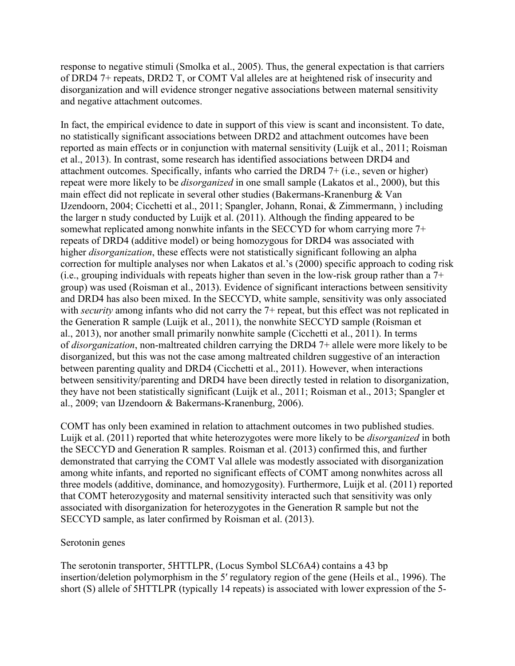response to negative stimuli (Smolka et al., 2005). Thus, the general expectation is that carriers of DRD4 7+ repeats, DRD2 T, or COMT Val alleles are at heightened risk of insecurity and disorganization and will evidence stronger negative associations between maternal sensitivity and negative attachment outcomes.

In fact, the empirical evidence to date in support of this view is scant and inconsistent. To date, no statistically significant associations between DRD2 and attachment outcomes have been reported as main effects or in conjunction with maternal sensitivity (Luijk et al., 2011; Roisman et al., 2013). In contrast, some research has identified associations between DRD4 and attachment outcomes. Specifically, infants who carried the DRD4 7+ (i.e., seven or higher) repeat were more likely to be *disorganized* in one small sample (Lakatos et al., 2000), but this main effect did not replicate in several other studies (Bakermans-Kranenburg & Van IJzendoorn, 2004; Cicchetti et al., 2011; Spangler, Johann, Ronai, & Zimmermann, ) including the larger n study conducted by Luijk et al. (2011). Although the finding appeared to be somewhat replicated among nonwhite infants in the SECCYD for whom carrying more 7+ repeats of DRD4 (additive model) or being homozygous for DRD4 was associated with higher *disorganization*, these effects were not statistically significant following an alpha correction for multiple analyses nor when Lakatos et al.'s (2000) specific approach to coding risk (i.e., grouping individuals with repeats higher than seven in the low-risk group rather than a  $7+$ group) was used (Roisman et al., 2013). Evidence of significant interactions between sensitivity and DRD4 has also been mixed. In the SECCYD, white sample, sensitivity was only associated with *security* among infants who did not carry the 7+ repeat, but this effect was not replicated in the Generation R sample (Luijk et al., 2011), the nonwhite SECCYD sample (Roisman et al., 2013), nor another small primarily nonwhite sample (Cicchetti et al., 2011). In terms of *disorganization*, non-maltreated children carrying the DRD4 7+ allele were more likely to be disorganized, but this was not the case among maltreated children suggestive of an interaction between parenting quality and DRD4 (Cicchetti et al., 2011). However, when interactions between sensitivity/parenting and DRD4 have been directly tested in relation to disorganization, they have not been statistically significant (Luijk et al., 2011; Roisman et al., 2013; Spangler et al., 2009; van IJzendoorn & Bakermans-Kranenburg, 2006).

COMT has only been examined in relation to attachment outcomes in two published studies. Luijk et al. (2011) reported that white heterozygotes were more likely to be *disorganized* in both the SECCYD and Generation R samples. Roisman et al. (2013) confirmed this, and further demonstrated that carrying the COMT Val allele was modestly associated with disorganization among white infants, and reported no significant effects of COMT among nonwhites across all three models (additive, dominance, and homozygosity). Furthermore, Luijk et al. (2011) reported that COMT heterozygosity and maternal sensitivity interacted such that sensitivity was only associated with disorganization for heterozygotes in the Generation R sample but not the SECCYD sample, as later confirmed by Roisman et al. (2013).

## Serotonin genes

The serotonin transporter, 5HTTLPR, (Locus Symbol SLC6A4) contains a 43 bp insertion/deletion polymorphism in the 5′ regulatory region of the gene (Heils et al., 1996). The short (S) allele of 5HTTLPR (typically 14 repeats) is associated with lower expression of the 5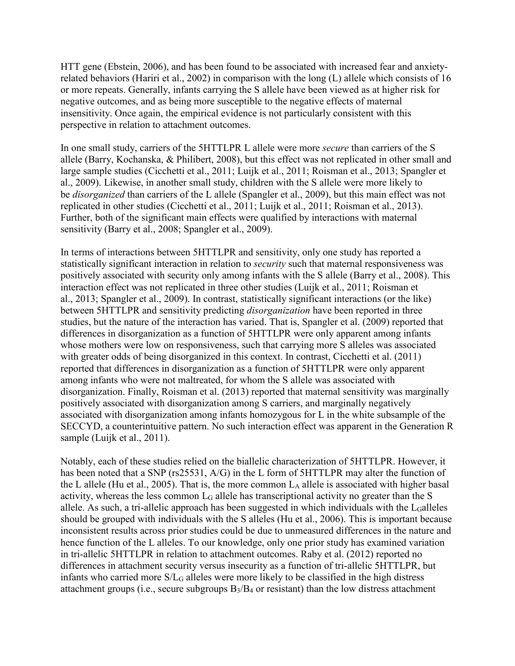HTT gene (Ebstein, 2006), and has been found to be associated with increased fear and anxietyrelated behaviors (Hariri et al., 2002) in comparison with the long (L) allele which consists of 16 or more repeats. Generally, infants carrying the S allele have been viewed as at higher risk for negative outcomes, and as being more susceptible to the negative effects of maternal insensitivity. Once again, the empirical evidence is not particularly consistent with this perspective in relation to attachment outcomes.

In one small study, carriers of the 5HTTLPR L allele were more *secure* than carriers of the S allele (Barry, Kochanska, & Philibert, 2008), but this effect was not replicated in other small and large sample studies (Cicchetti et al., 2011; Luijk et al., 2011; Roisman et al., 2013; Spangler et al., 2009). Likewise, in another small study, children with the S allele were more likely to be *disorganized* than carriers of the L allele (Spangler et al., 2009), but this main effect was not replicated in other studies (Cicchetti et al., 2011; Luijk et al., 2011; Roisman et al., 2013). Further, both of the significant main effects were qualified by interactions with maternal sensitivity (Barry et al., 2008; Spangler et al., 2009).

In terms of interactions between 5HTTLPR and sensitivity, only one study has reported a statistically significant interaction in relation to *security* such that maternal responsiveness was positively associated with security only among infants with the S allele (Barry et al., 2008). This interaction effect was not replicated in three other studies (Luijk et al., 2011; Roisman et al., 2013; Spangler et al., 2009). In contrast, statistically significant interactions (or the like) between 5HTTLPR and sensitivity predicting *disorganization* have been reported in three studies, but the nature of the interaction has varied. That is, Spangler et al. (2009) reported that differences in disorganization as a function of 5HTTLPR were only apparent among infants whose mothers were low on responsiveness, such that carrying more S alleles was associated with greater odds of being disorganized in this context. In contrast, Cicchetti et al. (2011) reported that differences in disorganization as a function of 5HTTLPR were only apparent among infants who were not maltreated, for whom the S allele was associated with disorganization. Finally, Roisman et al. (2013) reported that maternal sensitivity was marginally positively associated with disorganization among S carriers, and marginally negatively associated with disorganization among infants homozygous for L in the white subsample of the SECCYD, a counterintuitive pattern. No such interaction effect was apparent in the Generation R sample (Luijk et al., 2011).

Notably, each of these studies relied on the biallelic characterization of 5HTTLPR. However, it has been noted that a SNP (rs25531, A/G) in the L form of 5HTTLPR may alter the function of the L allele (Hu et al., 2005). That is, the more common  $L_A$  allele is associated with higher basal activity, whereas the less common  $L_G$  allele has transcriptional activity no greater than the S allele. As such, a tri-allelic approach has been suggested in which individuals with the  $L_G$ alleles should be grouped with individuals with the S alleles (Hu et al., 2006). This is important because inconsistent results across prior studies could be due to unmeasured differences in the nature and hence function of the L alleles. To our knowledge, only one prior study has examined variation in tri-allelic 5HTTLPR in relation to attachment outcomes. Raby et al. (2012) reported no differences in attachment security versus insecurity as a function of tri-allelic 5HTTLPR, but infants who carried more S/LG alleles were more likely to be classified in the high distress attachment groups (i.e., secure subgroups  $B_3/B_4$  or resistant) than the low distress attachment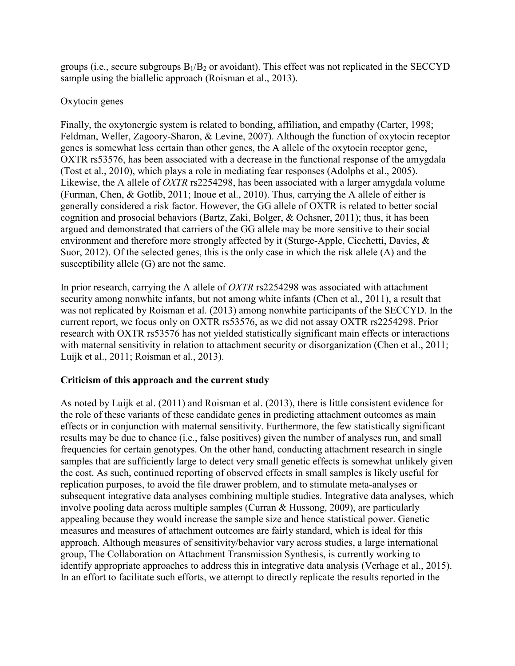groups (i.e., secure subgroups  $B_1/B_2$  or avoidant). This effect was not replicated in the SECCYD sample using the biallelic approach (Roisman et al., 2013).

## Oxytocin genes

Finally, the oxytonergic system is related to bonding, affiliation, and empathy (Carter, 1998; Feldman, Weller, Zagoory-Sharon, & Levine, 2007). Although the function of oxytocin receptor genes is somewhat less certain than other genes, the A allele of the oxytocin receptor gene, OXTR rs53576, has been associated with a decrease in the functional response of the amygdala (Tost et al., 2010), which plays a role in mediating fear responses (Adolphs et al., 2005). Likewise, the A allele of *OXTR* rs2254298, has been associated with a larger amygdala volume (Furman, Chen, & Gotlib, 2011; Inoue et al., 2010). Thus, carrying the A allele of either is generally considered a risk factor. However, the GG allele of OXTR is related to better social cognition and prosocial behaviors (Bartz, Zaki, Bolger, & Ochsner, 2011); thus, it has been argued and demonstrated that carriers of the GG allele may be more sensitive to their social environment and therefore more strongly affected by it (Sturge-Apple, Cicchetti, Davies, & Suor, 2012). Of the selected genes, this is the only case in which the risk allele (A) and the susceptibility allele (G) are not the same.

In prior research, carrying the A allele of *OXTR* rs2254298 was associated with attachment security among nonwhite infants, but not among white infants (Chen et al., 2011), a result that was not replicated by Roisman et al. (2013) among nonwhite participants of the SECCYD. In the current report, we focus only on OXTR rs53576, as we did not assay OXTR rs2254298. Prior research with OXTR rs53576 has not yielded statistically significant main effects or interactions with maternal sensitivity in relation to attachment security or disorganization (Chen et al., 2011; Luijk et al., 2011; Roisman et al., 2013).

## **Criticism of this approach and the current study**

As noted by Luijk et al. (2011) and Roisman et al. (2013), there is little consistent evidence for the role of these variants of these candidate genes in predicting attachment outcomes as main effects or in conjunction with maternal sensitivity. Furthermore, the few statistically significant results may be due to chance (i.e., false positives) given the number of analyses run, and small frequencies for certain genotypes. On the other hand, conducting attachment research in single samples that are sufficiently large to detect very small genetic effects is somewhat unlikely given the cost. As such, continued reporting of observed effects in small samples is likely useful for replication purposes, to avoid the file drawer problem, and to stimulate meta-analyses or subsequent integrative data analyses combining multiple studies. Integrative data analyses, which involve pooling data across multiple samples (Curran & Hussong, 2009), are particularly appealing because they would increase the sample size and hence statistical power. Genetic measures and measures of attachment outcomes are fairly standard, which is ideal for this approach. Although measures of sensitivity/behavior vary across studies, a large international group, The Collaboration on Attachment Transmission Synthesis, is currently working to identify appropriate approaches to address this in integrative data analysis (Verhage et al., 2015). In an effort to facilitate such efforts, we attempt to directly replicate the results reported in the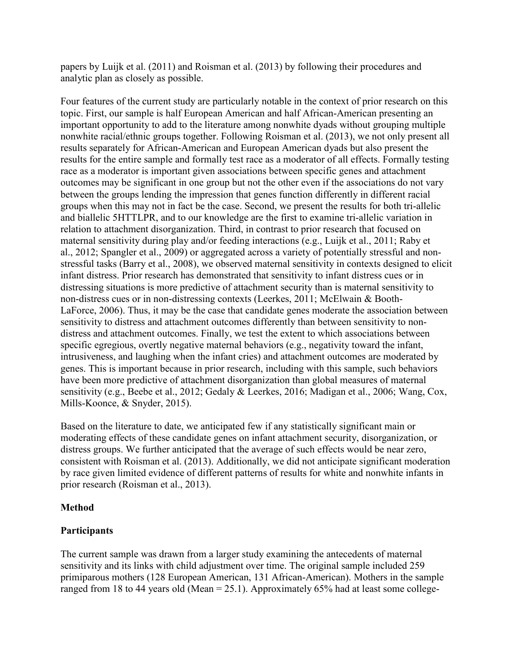papers by Luijk et al. (2011) and Roisman et al. (2013) by following their procedures and analytic plan as closely as possible.

Four features of the current study are particularly notable in the context of prior research on this topic. First, our sample is half European American and half African-American presenting an important opportunity to add to the literature among nonwhite dyads without grouping multiple nonwhite racial/ethnic groups together. Following Roisman et al. (2013), we not only present all results separately for African-American and European American dyads but also present the results for the entire sample and formally test race as a moderator of all effects. Formally testing race as a moderator is important given associations between specific genes and attachment outcomes may be significant in one group but not the other even if the associations do not vary between the groups lending the impression that genes function differently in different racial groups when this may not in fact be the case. Second, we present the results for both tri-allelic and biallelic 5HTTLPR, and to our knowledge are the first to examine tri-allelic variation in relation to attachment disorganization. Third, in contrast to prior research that focused on maternal sensitivity during play and/or feeding interactions (e.g., Luijk et al., 2011; Raby et al., 2012; Spangler et al., 2009) or aggregated across a variety of potentially stressful and nonstressful tasks (Barry et al., 2008), we observed maternal sensitivity in contexts designed to elicit infant distress. Prior research has demonstrated that sensitivity to infant distress cues or in distressing situations is more predictive of attachment security than is maternal sensitivity to non-distress cues or in non-distressing contexts (Leerkes, 2011; McElwain & Booth-LaForce, 2006). Thus, it may be the case that candidate genes moderate the association between sensitivity to distress and attachment outcomes differently than between sensitivity to nondistress and attachment outcomes. Finally, we test the extent to which associations between specific egregious, overtly negative maternal behaviors (e.g., negativity toward the infant, intrusiveness, and laughing when the infant cries) and attachment outcomes are moderated by genes. This is important because in prior research, including with this sample, such behaviors have been more predictive of attachment disorganization than global measures of maternal sensitivity (e.g., Beebe et al., 2012; Gedaly & Leerkes, 2016; Madigan et al., 2006; Wang, Cox, Mills-Koonce, & Snyder, 2015).

Based on the literature to date, we anticipated few if any statistically significant main or moderating effects of these candidate genes on infant attachment security, disorganization, or distress groups. We further anticipated that the average of such effects would be near zero, consistent with Roisman et al. (2013). Additionally, we did not anticipate significant moderation by race given limited evidence of different patterns of results for white and nonwhite infants in prior research (Roisman et al., 2013).

## **Method**

## **Participants**

The current sample was drawn from a larger study examining the antecedents of maternal sensitivity and its links with child adjustment over time. The original sample included 259 primiparous mothers (128 European American, 131 African-American). Mothers in the sample ranged from 18 to 44 years old (Mean = 25.1). Approximately 65% had at least some college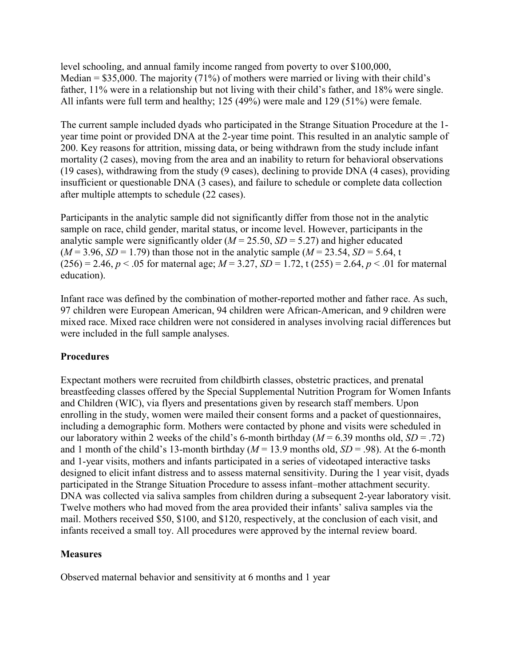level schooling, and annual family income ranged from poverty to over \$100,000, Median =  $$35,000$ . The majority (71%) of mothers were married or living with their child's father, 11% were in a relationship but not living with their child's father, and 18% were single. All infants were full term and healthy; 125 (49%) were male and 129 (51%) were female.

The current sample included dyads who participated in the Strange Situation Procedure at the 1 year time point or provided DNA at the 2-year time point. This resulted in an analytic sample of 200. Key reasons for attrition, missing data, or being withdrawn from the study include infant mortality (2 cases), moving from the area and an inability to return for behavioral observations (19 cases), withdrawing from the study (9 cases), declining to provide DNA (4 cases), providing insufficient or questionable DNA (3 cases), and failure to schedule or complete data collection after multiple attempts to schedule (22 cases).

Participants in the analytic sample did not significantly differ from those not in the analytic sample on race, child gender, marital status, or income level. However, participants in the analytic sample were significantly older  $(M = 25.50, SD = 5.27)$  and higher educated  $(M = 3.96, SD = 1.79)$  than those not in the analytic sample  $(M = 23.54, SD = 5.64, t$  $(256) = 2.46$ ,  $p < .05$  for maternal age;  $M = 3.27$ ,  $SD = 1.72$ , t  $(255) = 2.64$ ,  $p < .01$  for maternal education).

Infant race was defined by the combination of mother-reported mother and father race. As such, 97 children were European American, 94 children were African-American, and 9 children were mixed race. Mixed race children were not considered in analyses involving racial differences but were included in the full sample analyses.

## **Procedures**

Expectant mothers were recruited from childbirth classes, obstetric practices, and prenatal breastfeeding classes offered by the Special Supplemental Nutrition Program for Women Infants and Children (WIC), via flyers and presentations given by research staff members. Upon enrolling in the study, women were mailed their consent forms and a packet of questionnaires, including a demographic form. Mothers were contacted by phone and visits were scheduled in our laboratory within 2 weeks of the child's 6-month birthday ( $M = 6.39$  months old,  $SD = .72$ ) and 1 month of the child's 13-month birthday ( $M = 13.9$  months old,  $SD = .98$ ). At the 6-month and 1-year visits, mothers and infants participated in a series of videotaped interactive tasks designed to elicit infant distress and to assess maternal sensitivity. During the 1 year visit, dyads participated in the Strange Situation Procedure to assess infant–mother attachment security. DNA was collected via saliva samples from children during a subsequent 2-year laboratory visit. Twelve mothers who had moved from the area provided their infants' saliva samples via the mail. Mothers received \$50, \$100, and \$120, respectively, at the conclusion of each visit, and infants received a small toy. All procedures were approved by the internal review board.

## **Measures**

Observed maternal behavior and sensitivity at 6 months and 1 year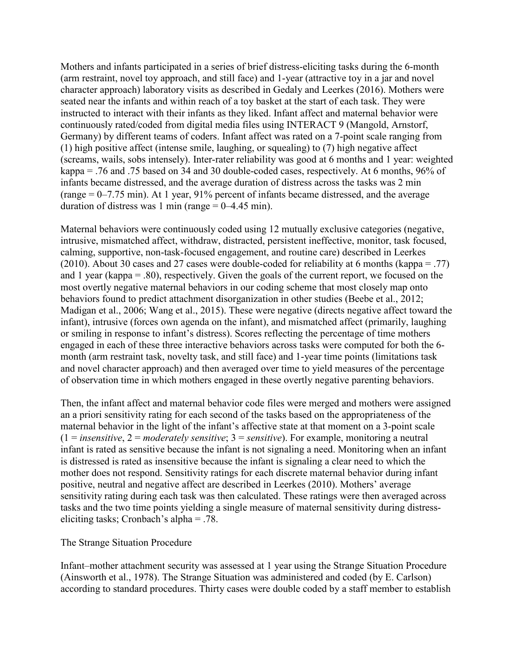Mothers and infants participated in a series of brief distress-eliciting tasks during the 6-month (arm restraint, novel toy approach, and still face) and 1-year (attractive toy in a jar and novel character approach) laboratory visits as described in Gedaly and Leerkes (2016). Mothers were seated near the infants and within reach of a toy basket at the start of each task. They were instructed to interact with their infants as they liked. Infant affect and maternal behavior were continuously rated/coded from digital media files using INTERACT 9 (Mangold, Arnstorf, Germany) by different teams of coders. Infant affect was rated on a 7-point scale ranging from (1) high positive affect (intense smile, laughing, or squealing) to (7) high negative affect (screams, wails, sobs intensely). Inter-rater reliability was good at 6 months and 1 year: weighted kappa = .76 and .75 based on 34 and 30 double-coded cases, respectively. At 6 months, 96% of infants became distressed, and the average duration of distress across the tasks was 2 min (range  $= 0 - 7.75$  min). At 1 year, 91% percent of infants became distressed, and the average duration of distress was 1 min (range  $= 0 - 4.45$  min).

Maternal behaviors were continuously coded using 12 mutually exclusive categories (negative, intrusive, mismatched affect, withdraw, distracted, persistent ineffective, monitor, task focused, calming, supportive, non-task-focused engagement, and routine care) described in Leerkes (2010). About 30 cases and 27 cases were double-coded for reliability at 6 months (kappa = .77) and 1 year (kappa = .80), respectively. Given the goals of the current report, we focused on the most overtly negative maternal behaviors in our coding scheme that most closely map onto behaviors found to predict attachment disorganization in other studies (Beebe et al., 2012; Madigan et al., 2006; Wang et al., 2015). These were negative (directs negative affect toward the infant), intrusive (forces own agenda on the infant), and mismatched affect (primarily, laughing or smiling in response to infant's distress). Scores reflecting the percentage of time mothers engaged in each of these three interactive behaviors across tasks were computed for both the 6 month (arm restraint task, novelty task, and still face) and 1-year time points (limitations task and novel character approach) and then averaged over time to yield measures of the percentage of observation time in which mothers engaged in these overtly negative parenting behaviors.

Then, the infant affect and maternal behavior code files were merged and mothers were assigned an a priori sensitivity rating for each second of the tasks based on the appropriateness of the maternal behavior in the light of the infant's affective state at that moment on a 3-point scale  $(1 = insensitive, 2 = moderately sensitive; 3 = sensitive)$ . For example, monitoring a neutral infant is rated as sensitive because the infant is not signaling a need. Monitoring when an infant is distressed is rated as insensitive because the infant is signaling a clear need to which the mother does not respond. Sensitivity ratings for each discrete maternal behavior during infant positive, neutral and negative affect are described in Leerkes (2010). Mothers' average sensitivity rating during each task was then calculated. These ratings were then averaged across tasks and the two time points yielding a single measure of maternal sensitivity during distresseliciting tasks; Cronbach's alpha = .78.

## The Strange Situation Procedure

Infant–mother attachment security was assessed at 1 year using the Strange Situation Procedure (Ainsworth et al., 1978). The Strange Situation was administered and coded (by E. Carlson) according to standard procedures. Thirty cases were double coded by a staff member to establish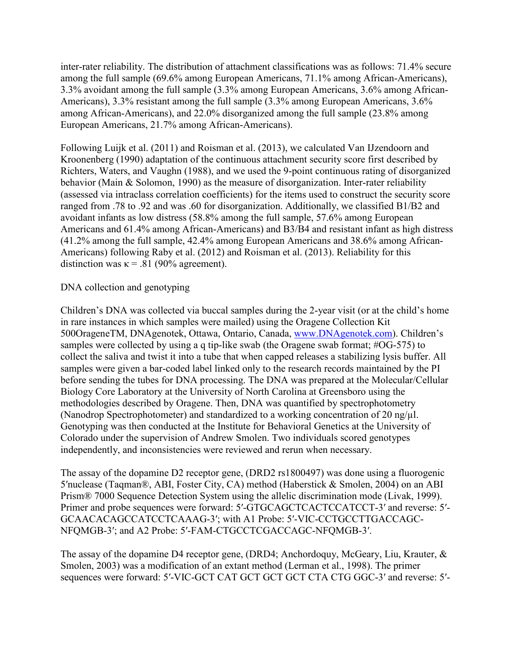inter-rater reliability. The distribution of attachment classifications was as follows: 71.4% secure among the full sample (69.6% among European Americans, 71.1% among African-Americans), 3.3% avoidant among the full sample (3.3% among European Americans, 3.6% among African-Americans), 3.3% resistant among the full sample (3.3% among European Americans, 3.6% among African-Americans), and 22.0% disorganized among the full sample (23.8% among European Americans, 21.7% among African-Americans).

Following Luijk et al. (2011) and Roisman et al. (2013), we calculated Van IJzendoorn and Kroonenberg (1990) adaptation of the continuous attachment security score first described by Richters, Waters, and Vaughn (1988), and we used the 9-point continuous rating of disorganized behavior (Main & Solomon, 1990) as the measure of disorganization. Inter-rater reliability (assessed via intraclass correlation coefficients) for the items used to construct the security score ranged from .78 to .92 and was .60 for disorganization. Additionally, we classified B1/B2 and avoidant infants as low distress (58.8% among the full sample, 57.6% among European Americans and 61.4% among African-Americans) and B3/B4 and resistant infant as high distress (41.2% among the full sample, 42.4% among European Americans and 38.6% among African-Americans) following Raby et al. (2012) and Roisman et al. (2013). Reliability for this distinction was  $\kappa = .81$  (90% agreement).

## DNA collection and genotyping

Children's DNA was collected via buccal samples during the 2-year visit (or at the child's home in rare instances in which samples were mailed) using the Oragene Collection Kit 500OrageneTM, DNAgenotek, Ottawa, Ontario, Canada, [www.DNAgenotek.com\)](http://www.dnagenotek.com/). Children's samples were collected by using a q tip-like swab (the Oragene swab format; #OG-575) to collect the saliva and twist it into a tube that when capped releases a stabilizing lysis buffer. All samples were given a bar-coded label linked only to the research records maintained by the PI before sending the tubes for DNA processing. The DNA was prepared at the Molecular/Cellular Biology Core Laboratory at the University of North Carolina at Greensboro using the methodologies described by Oragene. Then, DNA was quantified by spectrophotometry (Nanodrop Spectrophotometer) and standardized to a working concentration of 20 ng/µl. Genotyping was then conducted at the Institute for Behavioral Genetics at the University of Colorado under the supervision of Andrew Smolen. Two individuals scored genotypes independently, and inconsistencies were reviewed and rerun when necessary.

The assay of the dopamine D2 receptor gene, (DRD2 rs1800497) was done using a fluorogenic 5′nuclease (Taqman®, ABI, Foster City, CA) method (Haberstick & Smolen, 2004) on an ABI Prism® 7000 Sequence Detection System using the allelic discrimination mode (Livak, 1999). Primer and probe sequences were forward: 5′-GTGCAGCTCACTCCATCCT-3′ and reverse: 5′- GCAACACAGCCATCCTCAAAG-3′; with A1 Probe: 5′-VIC-CCTGCCTTGACCAGC-NFQMGB-3′; and A2 Probe: 5′-FAM-CTGCCTCGACCAGC-NFQMGB-3′.

The assay of the dopamine D4 receptor gene, (DRD4; Anchordoquy, McGeary, Liu, Krauter, & Smolen, 2003) was a modification of an extant method (Lerman et al., 1998). The primer sequences were forward: 5′-VIC-GCT CAT GCT GCT GCT CTA CTG GGC-3′ and reverse: 5′-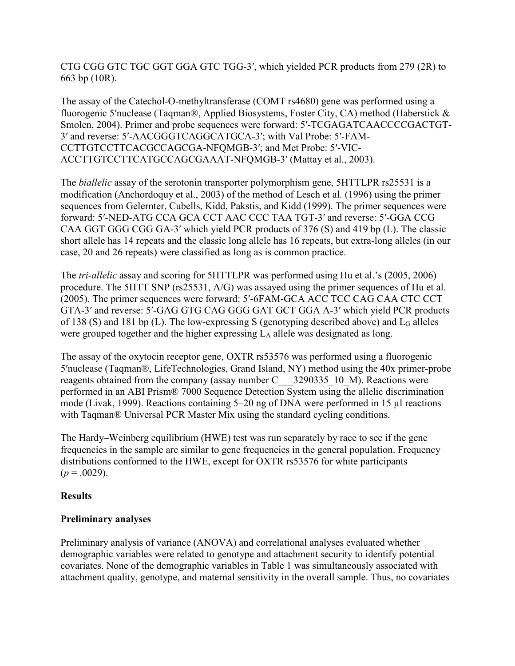CTG CGG GTC TGC GGT GGA GTC TGG-3′, which yielded PCR products from 279 (2R) to 663 bp (10R).

The assay of the Catechol-O-methyltransferase (COMT rs4680) gene was performed using a fluorogenic 5'nuclease (Taqman®, Applied Biosystems, Foster City, CA) method (Haberstick & Smolen, 2004). Primer and probe sequences were forward: 5′-TCGAGATCAACCCCGACTGT-3′ and reverse: 5′-AACGGGTCAGGCATGCA-3′; with Val Probe: 5′-FAM-CCTTGTCCTTCACGCCAGCGA-NFQMGB-3′; and Met Probe: 5′-VIC-ACCTTGTCCTTCATGCCAGCGAAAT-NFQMGB-3′ (Mattay et al., 2003).

The *biallelic* assay of the serotonin transporter polymorphism gene, 5HTTLPR rs25531 is a modification (Anchordoquy et al., 2003) of the method of Lesch et al. (1996) using the primer sequences from Gelernter, Cubells, Kidd, Pakstis, and Kidd (1999). The primer sequences were forward: 5′-NED-ATG CCA GCA CCT AAC CCC TAA TGT-3′ and reverse: 5′-GGA CCG CAA GGT GGG CGG GA-3′ which yield PCR products of 376 (S) and 419 bp (L). The classic short allele has 14 repeats and the classic long allele has 16 repeats, but extra-long alleles (in our case, 20 and 26 repeats) were classified as long as is common practice.

The *tri-allelic* assay and scoring for 5HTTLPR was performed using Hu et al.'s (2005, 2006) procedure. The 5HTT SNP (rs25531, A/G) was assayed using the primer sequences of Hu et al. (2005). The primer sequences were forward: 5′-6FAM-GCA ACC TCC CAG CAA CTC CCT GTA-3′ and reverse: 5′-GAG GTG CAG GGG GAT GCT GGA A-3′ which yield PCR products of 138 (S) and 181 bp (L). The low-expressing S (genotyping described above) and  $L_G$  alleles were grouped together and the higher expressing  $L_A$  allele was designated as long.

The assay of the oxytocin receptor gene, OXTR rs53576 was performed using a fluorogenic 5′nuclease (Taqman®, LifeTechnologies, Grand Island, NY) method using the 40x primer-probe reagents obtained from the company (assay number C  $-$  3290335 10 M). Reactions were performed in an ABI Prism® 7000 Sequence Detection System using the allelic discrimination mode (Livak, 1999). Reactions containing 5–20 ng of DNA were performed in 15 µl reactions with Taqman® Universal PCR Master Mix using the standard cycling conditions.

The Hardy–Weinberg equilibrium (HWE) test was run separately by race to see if the gene frequencies in the sample are similar to gene frequencies in the general population. Frequency distributions conformed to the HWE, except for OXTR rs53576 for white participants  $(p = .0029)$ .

## **Results**

## **Preliminary analyses**

Preliminary analysis of variance (ANOVA) and correlational analyses evaluated whether demographic variables were related to genotype and attachment security to identify potential covariates. None of the demographic variables in Table 1 was simultaneously associated with attachment quality, genotype, and maternal sensitivity in the overall sample. Thus, no covariates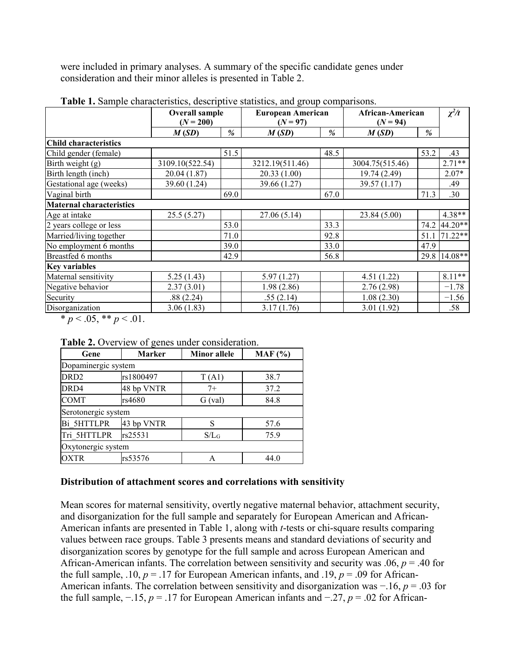were included in primary analyses. A summary of the specific candidate genes under consideration and their minor alleles is presented in Table 2.

|                                 | <b>Overall sample</b><br>$(N = 200)$ | African-American<br><b>European American</b><br>$(N = 94)$<br>$(N = 97)$ |                 |      | $\chi^2/t$      |      |                 |
|---------------------------------|--------------------------------------|--------------------------------------------------------------------------|-----------------|------|-----------------|------|-----------------|
|                                 | M(SD)                                | %                                                                        | M(SD)           | %    | M(SD)           | %    |                 |
| <b>Child characteristics</b>    |                                      |                                                                          |                 |      |                 |      |                 |
| Child gender (female)           |                                      | 51.5                                                                     |                 | 48.5 |                 | 53.2 | .43             |
| Birth weight (g)                | 3109.10(522.54)                      |                                                                          | 3212.19(511.46) |      | 3004.75(515.46) |      | $2.71**$        |
| Birth length (inch)             | 20.04 (1.87)                         |                                                                          | 20.33 (1.00)    |      | 19.74 (2.49)    |      | $2.07*$         |
| Gestational age (weeks)         | 39.60 (1.24)                         |                                                                          | 39.66 (1.27)    |      | 39.57 (1.17)    |      | .49             |
| Vaginal birth                   |                                      | 69.0                                                                     |                 | 67.0 |                 | 71.3 | .30             |
| <b>Maternal characteristics</b> |                                      |                                                                          |                 |      |                 |      |                 |
| Age at intake                   | 25.5(5.27)                           |                                                                          | 27.06(5.14)     |      | 23.84 (5.00)    |      | $4.38**$        |
| 2 years college or less         |                                      | 53.0                                                                     |                 | 33.3 |                 |      | 74.2 44.20**    |
| Married/living together         |                                      | 71.0                                                                     |                 | 92.8 |                 | 51.1 | $71.22**$       |
| No employment 6 months          |                                      | 39.0                                                                     |                 | 33.0 |                 | 47.9 |                 |
| Breastfed 6 months              |                                      | 42.9                                                                     |                 | 56.8 |                 |      | 29.8   14.08 ** |
| <b>Key variables</b>            |                                      |                                                                          |                 |      |                 |      |                 |
| Maternal sensitivity            | 5.25(1.43)                           |                                                                          | 5.97(1.27)      |      | 4.51(1.22)      |      | $8.11**$        |
| Negative behavior               | 2.37(3.01)                           |                                                                          | 1.98(2.86)      |      | 2.76(2.98)      |      | $-1.78$         |
| Security                        | .88(2.24)                            |                                                                          | .55(2.14)       |      | 1.08(2.30)      |      | $-1.56$         |
| Disorganization                 | 3.06(1.83)                           |                                                                          | 3.17(1.76)      |      | 3.01(1.92)      |      | .58             |

**Table 1.** Sample characteristics, descriptive statistics, and group comparisons.

\*  $p < .05$ , \*\*  $p < .01$ .

| Gene                | <b>Marker</b> | <b>Minor allele</b> | MAF $(%)$ |
|---------------------|---------------|---------------------|-----------|
| Dopaminergic system |               |                     |           |
| DRD <sub>2</sub>    | rs1800497     | T(A1)               | 38.7      |
| DRD4                | 48 bp VNTR    | $7+$                | 37.2      |
| COMT                | rs4680        | G (val)             | 84.8      |
| Serotonergic system |               |                     |           |
| <b>Bi 5HTTLPR</b>   | 43 bp VNTR    | S                   | 57.6      |
| Tri 5HTTLPR         | rs25531       | $S/L_G$             | 75.9      |
| Oxytonergic system  |               |                     |           |
| <b>OXTR</b>         | rs53576       | А                   | 44.0      |

#### **Distribution of attachment scores and correlations with sensitivity**

Mean scores for maternal sensitivity, overtly negative maternal behavior, attachment security, and disorganization for the full sample and separately for European American and African-American infants are presented in Table 1, along with *t*-tests or chi-square results comparing values between race groups. Table 3 presents means and standard deviations of security and disorganization scores by genotype for the full sample and across European American and African-American infants. The correlation between sensitivity and security was .06, *p* = .40 for the full sample, .10,  $p = 0.17$  for European American infants, and .19,  $p = 0.09$  for African-American infants. The correlation between sensitivity and disorganization was −.16, *p* = .03 for the full sample, −.15, *p* = .17 for European American infants and −.27, *p* = .02 for African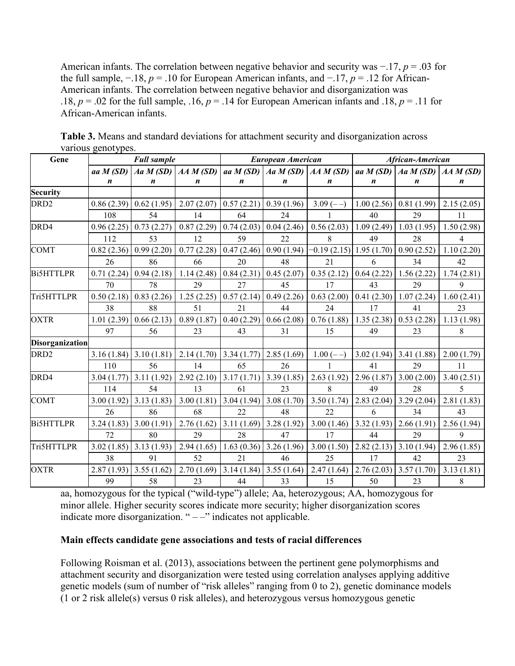American infants. The correlation between negative behavior and security was −.17, *p* = .03 for the full sample, −.18, *p* = .10 for European American infants, and −.17, *p* = .12 for African-American infants. The correlation between negative behavior and disorganization was .18,  $p = 0.02$  for the full sample, .16,  $p = 0.14$  for European American infants and .18,  $p = 0.11$  for African-American infants.

| Gene                   |            | <b>Full sample</b> |            |            | European American                         |                           |            | African-American |            |
|------------------------|------------|--------------------|------------|------------|-------------------------------------------|---------------------------|------------|------------------|------------|
|                        | aa $M(SD)$ | Aa M(SD)           | AA M(SD)   |            | aa $M(SD)$ $Aa M(SD)$                     | AA M(SD)                  | aa $M(SD)$ | Aa M(SD)         | AA M(SD)   |
|                        | n          | n                  | n          | n          | n                                         | n                         | n          | n                | n          |
| <b>Security</b>        |            |                    |            |            |                                           |                           |            |                  |            |
| DRD <sub>2</sub>       | 0.86(2.39) | 0.62(1.95)         | 2.07(2.07) |            | $\vert 0.57(2.21) \vert 0.39(1.96) \vert$ | $3.09(-)$                 | 1.00(2.56) | 0.81(1.99)       | 2.15(2.05) |
|                        | 108        | 54                 | 14         | 64         | 24                                        | 1                         | 40         | 29               | 11         |
| DRD4                   | 0.96(2.25) | 0.73(2.27)         | 0.87(2.29) | 0.74(2.03) | 0.04(2.46)                                | 0.56(2.03)                | 1.09(2.49) | 1.03(1.95)       | 1.50(2.98) |
|                        | 112        | 53                 | 12         | 59         | 22                                        | 8                         | 49         | 28               | 4          |
| COMT                   | 0.82(2.36) | 0.99(2.20)         | 0.77(2.28) | 0.47(2.46) | 0.90(1.94)                                | $-0.19(2.15)$ 1.95 (1.70) |            | 0.90(2.52)       | 1.10(2.20) |
|                        | 26         | 86                 | 66         | 20         | 48                                        | 21                        | 6          | 34               | 42         |
| Bi5HTTLPR              | 0.71(2.24) | 0.94(2.18)         | 1.14(2.48) | 0.84(2.31) | 0.45(2.07)                                | 0.35(2.12)                | 0.64(2.22) | 1.56(2.22)       | 1.74(2.81) |
|                        | 70         | 78                 | 29         | 27         | 45                                        | 17                        | 43         | 29               | 9          |
| Tri5HTTLPR             | 0.50(2.18) | 0.83(2.26)         | 1.25(2.25) | 0.57(2.14) | 0.49(2.26)                                | 0.63(2.00)                | 0.41(2.30) | 1.07(2.24)       | 1.60(2.41) |
|                        | 38         | 88                 | 51         | 21         | 44                                        | 24                        | 17         | 41               | 23         |
| <b>OXTR</b>            | 1.01(2.39) | 0.66(2.13)         | 0.89(1.87) | 0.40(2.29) | 0.66(2.08)                                | 0.76(1.88)                | 1.35(2.38) | 0.53(2.28)       | 1.13(1.98) |
|                        | 97         | 56                 | 23         | 43         | 31                                        | 15                        | 49         | 23               | 8          |
| <b>Disorganization</b> |            |                    |            |            |                                           |                           |            |                  |            |
| DRD <sub>2</sub>       | 3.16(1.84) | 3.10(1.81)         | 2.14(1.70) | 3.34(1.77) | 2.85(1.69)                                | $1.00(-)$                 | 3.02(1.94) | 3.41(1.88)       | 2.00(1.79) |
|                        | 110        | 56                 | 14         | 65         | 26                                        | 1                         | 41         | 29               | 11         |
| DRD4                   | 3.04(1.77) | 3.11(1.92)         | 2.92(2.10) |            | $3.17(1.71)$ 3.39 (1.85)                  | 2.63(1.92)                | 2.96(1.87) | 3.00(2.00)       | 3.40(2.51) |
|                        | 114        | 54                 | 13         | 61         | 23                                        | 8                         | 49         | 28               | 5          |
| <b>COMT</b>            | 3.00(1.92) | 3.13(1.83)         | 3.00(1.81) | 3.04(1.94) | 3.08(1.70)                                | 3.50(1.74)                | 2.83(2.04) | 3.29(2.04)       | 2.81(1.83) |
|                        | 26         | 86                 | 68         | 22         | 48                                        | 22.                       | 6          | 34               | 43         |
| Bi5HTTLPR              | 3.24(1.83) | 3.00(1.91)         | 2.76(1.62) | 3.11(1.69) | 3.28(1.92)                                | 3.00(1.46)                | 3.32(1.93) | 2.66(1.91)       | 2.56(1.94) |
|                        | 72         | 80                 | 29         | 28         | 47                                        | 17                        | 44         | 29               | 9          |
| Tri5HTTLPR             | 3.02(1.85) | 3.13(1.93)         | 2.94(1.65) |            | $1.63(0.36)$ 3.26 (1.96)                  | 3.00(1.50)                | 2.82(2.13) | 3.10(1.94)       | 2.96(1.85) |
|                        | 38         | 91                 | 52         | 21         | 46                                        | 25                        | 17         | 42               | 23         |
| <b>OXTR</b>            | 2.87(1.93) | 3.55(1.62)         | 2.70(1.69) | 3.14(1.84) | 3.55(1.64)                                | 2.47(1.64)                | 2.76(2.03) | 3.57(1.70)       | 3.13(1.81) |
|                        | 99         | 58                 | 23         | 44         | 33                                        | 15                        | 50         | 23               | $\,8\,$    |

**Table 3.** Means and standard deviations for attachment security and disorganization across various genotypes.

aa, homozygous for the typical ("wild-type") allele; Aa, heterozygous; AA, homozygous for minor allele. Higher security scores indicate more security; higher disorganization scores indicate more disorganization. " – –" indicates not applicable.

## **Main effects candidate gene associations and tests of racial differences**

Following Roisman et al. (2013), associations between the pertinent gene polymorphisms and attachment security and disorganization were tested using correlation analyses applying additive genetic models (sum of number of "risk alleles" ranging from 0 to 2), genetic dominance models (1 or 2 risk allele(s) versus 0 risk alleles), and heterozygous versus homozygous genetic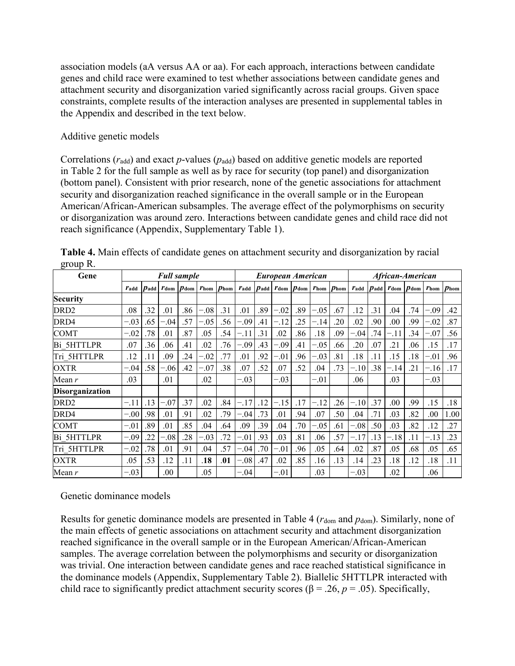association models (aA versus AA or aa). For each approach, interactions between candidate genes and child race were examined to test whether associations between candidate genes and attachment security and disorganization varied significantly across racial groups. Given space constraints, complete results of the interaction analyses are presented in supplemental tables in the Appendix and described in the text below.

## Additive genetic models

Correlations  $(r_{\text{add}})$  and exact *p*-values  $(p_{\text{add}})$  based on additive genetic models are reported in Table 2 for the full sample as well as by race for security (top panel) and disorganization (bottom panel). Consistent with prior research, none of the genetic associations for attachment security and disorganization reached significance in the overall sample or in the European American/African-American subsamples. The average effect of the polymorphisms on security or disorganization was around zero. Interactions between candidate genes and child race did not reach significance (Appendix, Supplementary Table 1).

| Gene                   | <b>Full sample</b> |                               |        |                             |                  | European American |                         |                               |                                   |     |        | African-American            |                          |         |               |                               |               |                  |
|------------------------|--------------------|-------------------------------|--------|-----------------------------|------------------|-------------------|-------------------------|-------------------------------|-----------------------------------|-----|--------|-----------------------------|--------------------------|---------|---------------|-------------------------------|---------------|------------------|
|                        | <b><i>radd</i></b> | $\boldsymbol{p}_{\text{add}}$ |        | $r_{\rm dom}$ $p_{\rm dom}$ | $r_{\text{hom}}$ | $p_{\text{hom}}$  | <i>r</i> <sub>add</sub> | $\boldsymbol{p}_{\text{add}}$ | $r_{\text{dom}}$ $p_{\text{dom}}$ |     |        | $r_{\rm hom}$ $p_{\rm hom}$ | <i>r</i> <sup>a</sup> dd | $p$ add | $r_{\rm dom}$ | $\boldsymbol{p_{\text{dom}}}$ | $r_{\rm hom}$ | $p_{\text{hom}}$ |
| <b>Security</b>        |                    |                               |        |                             |                  |                   |                         |                               |                                   |     |        |                             |                          |         |               |                               |               |                  |
| DRD <sub>2</sub>       | .08                | .32                           | .01    | .86                         | $-.08$           | .31               | .01                     | .89                           | $-.02$                            | .89 | $-.05$ | .67                         | .12                      | .31     | .04           | .74                           | -.09          | .42              |
| DRD4                   | $-.03$             | .65                           | $-.04$ | .57                         | $-.05$           | .56               | -.09                    | .41                           | $-.12$                            | .25 | $-.14$ | .20                         | .02                      | .90     | .00.          | .99                           | $-.02$        | .87              |
| <b>COMT</b>            | $-.02$             | .78                           | .01    | .87                         | .05              | .54               | $-.11$                  | .31                           | .02                               | .86 | .18    | .09                         | $-.04$                   | .74     | $-.11$        | .34                           | $-.07$        | .56              |
| Bi 5HTTLPR             | .07                | .36                           | .06    | .41                         | .02              | .76               | -.09                    | .43                           | $-.09$                            | .41 | $-.05$ | .66                         | .20                      | .07     | .21           | .06                           | .15           | .17              |
| Tri 5HTTLPR            | .12                | .11                           | .09    | .24                         | $-.02$           | .77               | .01                     | .92                           | $-.01$                            | .96 | $-.03$ | .81                         | .18                      | .11     | .15           | .18                           | $-.01$        | .96              |
| <b>OXTR</b>            | $-.04$             | .58                           | $-.06$ | .42                         | $-.07$           | .38               | .07                     | .52                           | .07                               | .52 | .04    | .73                         | $-.10$                   | .38     | $-.14$        | .21                           | $-.16$        | .17              |
| Mean $r$               | .03                |                               | .01    |                             | .02              |                   | $-.03$                  |                               | $-.03$                            |     | $-.01$ |                             | .06                      |         | .03           |                               | $-.03$        |                  |
| <b>Disorganization</b> |                    |                               |        |                             |                  |                   |                         |                               |                                   |     |        |                             |                          |         |               |                               |               |                  |
| DRD <sub>2</sub>       | $-.11$             | .13                           | $-.07$ | .37                         | .02              | .84               | $-.17$                  | .12                           | $-.15$                            | .17 | $-.12$ | .26                         | $-.10$                   | .37     | .00.          | .99                           | .15           | .18              |
| DRD4                   | $-.00$             | .98                           | .01    | .91                         | .02              | .79               | $-.04$                  | .73                           | .01                               | .94 | .07    | .50                         | .04                      | .71     | .03           | .82                           | .00.          | 1.00             |
| <b>COMT</b>            | $-.01$             | .89                           | .01    | .85                         | .04              | .64               | .09                     | .39                           | .04                               | .70 | $-.05$ | .61                         | $-.08$                   | .50     | .03           | .82                           | .12           | .27              |
| Bi 5HTTLPR             | -.09               | .22                           | $-.08$ | .28                         | $-.03$           | .72               | $-.01$                  | .93                           | .03                               | .81 | .06    | .57                         | $-.17$                   | .13     | $-.18$        | .11                           | $-.13$        | .23              |
| Tri 5HTTLPR            | $-.02$             | .78                           | .01    | .91                         | .04              | .57               | $-.04$                  | .70                           | $-.01$                            | .96 | .05    | .64                         | .02                      | .87     | .05           | .68                           | .05           | .65              |
| OXTR                   | .05                | .53                           | .12    | .11                         | .18              | .01               | $-.08$                  | .47                           | .02                               | .85 | .16    | .13                         | .14                      | .23     | .18           | .12                           | .18           | .11              |
| Mean $r$               | $-.03$             |                               | .00.   |                             | .05              |                   | $-.04$                  |                               | $-.01$                            |     | .03    |                             | $-.03$                   |         | .02           |                               | .06           |                  |

| Table 4. Main effects of candidate genes on attachment security and disorganization by racial |  |
|-----------------------------------------------------------------------------------------------|--|
| group $R$ .                                                                                   |  |

Genetic dominance models

Results for genetic dominance models are presented in Table 4 ( $r_{\text{dom}}$  and  $p_{\text{dom}}$ ). Similarly, none of the main effects of genetic associations on attachment security and attachment disorganization reached significance in the overall sample or in the European American/African-American samples. The average correlation between the polymorphisms and security or disorganization was trivial. One interaction between candidate genes and race reached statistical significance in the dominance models (Appendix, Supplementary Table 2). Biallelic 5HTTLPR interacted with child race to significantly predict attachment security scores ( $\beta$  = .26, *p* = .05). Specifically,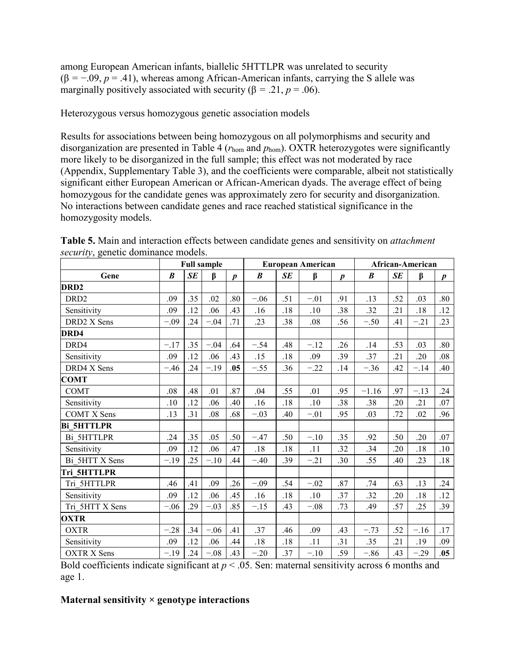among European American infants, biallelic 5HTTLPR was unrelated to security  $(\beta = -.09, p = .41)$ , whereas among African-American infants, carrying the S allele was marginally positively associated with security ( $\beta = .21$ ,  $p = .06$ ).

Heterozygous versus homozygous genetic association models

Results for associations between being homozygous on all polymorphisms and security and disorganization are presented in Table 4 ( $r_{\text{hom}}$  and  $p_{\text{hom}}$ ). OXTR heterozygotes were significantly more likely to be disorganized in the full sample; this effect was not moderated by race (Appendix, Supplementary Table 3), and the coefficients were comparable, albeit not statistically significant either European American or African-American dyads. The average effect of being homozygous for the candidate genes was approximately zero for security and disorganization. No interactions between candidate genes and race reached statistical significance in the homozygosity models.

|                    |                  |     | <b>Full sample</b> |                  |                  |     | <b>European American</b> |                  |                  |     | African-American |                  |  |
|--------------------|------------------|-----|--------------------|------------------|------------------|-----|--------------------------|------------------|------------------|-----|------------------|------------------|--|
| Gene               | $\boldsymbol{B}$ | SE  | $\beta$            | $\boldsymbol{p}$ | $\boldsymbol{B}$ | SE  | $\beta$                  | $\boldsymbol{p}$ | $\boldsymbol{B}$ | SE  | $\beta$          | $\boldsymbol{p}$ |  |
| DRD <sub>2</sub>   |                  |     |                    |                  |                  |     |                          |                  |                  |     |                  |                  |  |
| DRD <sub>2</sub>   | .09              | .35 | .02                | .80              | $-.06$           | .51 | $-.01$                   | .91              | .13              | .52 | .03              | .80              |  |
| Sensitivity        | .09              | .12 | .06                | .43              | .16              | .18 | .10                      | .38              | .32              | .21 | .18              | .12              |  |
| DRD2 X Sens        | $-.09$           | .24 | $-.04$             | .71              | .23              | .38 | .08                      | .56              | $-.50$           | .41 | $-.21$           | .23              |  |
| DRD4               |                  |     |                    |                  |                  |     |                          |                  |                  |     |                  |                  |  |
| DRD4               | $-.17$           | .35 | $-.04$             | .64              | $-.54$           | .48 | $-.12$                   | .26              | .14              | .53 | .03              | .80              |  |
| Sensitivity        | .09              | .12 | .06                | .43              | .15              | .18 | .09                      | .39              | .37              | .21 | .20              | .08              |  |
| DRD4 X Sens        | $-.46$           | .24 | $-.19$             | .05              | $-.55$           | .36 | $-.22$                   | .14              | $-.36$           | .42 | $-.14$           | .40              |  |
| <b>COMT</b>        |                  |     |                    |                  |                  |     |                          |                  |                  |     |                  |                  |  |
| <b>COMT</b>        | .08              | .48 | .01                | .87              | .04              | .55 | .01                      | .95              | $-1.16$          | .97 | $-.13$           | .24              |  |
| Sensitivity        | .10              | .12 | .06                | .40              | .16              | .18 | .10                      | .38              | .38              | .20 | .21              | .07              |  |
| <b>COMT X Sens</b> | .13              | .31 | .08                | .68              | $-.03$           | .40 | $-.01$                   | .95              | .03              | .72 | .02              | .96              |  |
| <b>Bi 5HTTLPR</b>  |                  |     |                    |                  |                  |     |                          |                  |                  |     |                  |                  |  |
| Bi 5HTTLPR         | .24              | .35 | .05                | .50              | $-.47$           | .50 | $-.10$                   | .35              | .92              | .50 | .20              | .07              |  |
| Sensitivity        | .09              | .12 | .06                | .47              | .18              | .18 | .11                      | .32              | .34              | .20 | .18              | .10              |  |
| Bi 5HTT X Sens     | $-.19$           | .25 | $-.10$             | .44              | $-.40$           | .39 | $-.21$                   | .30              | .55              | .40 | .23              | .18              |  |
| Tri 5HTTLPR        |                  |     |                    |                  |                  |     |                          |                  |                  |     |                  |                  |  |
| Tri 5HTTLPR        | .46              | .41 | .09                | .26              | $-.09$           | .54 | $-.02$                   | .87              | .74              | .63 | .13              | .24              |  |
| Sensitivity        | .09              | .12 | .06                | .45              | .16              | .18 | .10                      | .37              | .32              | .20 | .18              | .12              |  |
| Tri 5HTT X Sens    | $-.06$           | .29 | $-.03$             | .85              | $-.15$           | .43 | $-.08$                   | .73              | .49              | .57 | .25              | .39              |  |
| <b>OXTR</b>        |                  |     |                    |                  |                  |     |                          |                  |                  |     |                  |                  |  |
| <b>OXTR</b>        | $-.28$           | .34 | $-.06$             | .41              | .37              | .46 | .09                      | .43              | $-.73$           | .52 | $-.16$           | .17              |  |
| Sensitivity        | .09              | .12 | .06                | .44              | .18              | .18 | .11                      | .31              | .35              | .21 | .19              | .09              |  |
| <b>OXTR X Sens</b> | $-.19$           | .24 | $-.08$             | .43              | $-.20$           | .37 | $-.10$                   | .59              | $-.86$           | .43 | $-.29$           | .05              |  |

**Table 5.** Main and interaction effects between candidate genes and sensitivity on *attachment security*, genetic dominance models. ÷  $\overline{\phantom{a}}$ 

 $\overline{\phantom{a}}$ 

Bold coefficients indicate significant at  $p < 0.05$ . Sen: maternal sensitivity across 6 months and age 1.

## **Maternal sensitivity × genotype interactions**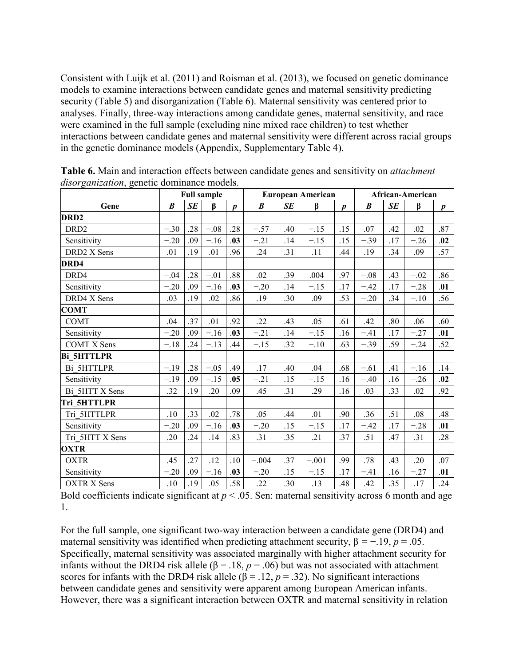Consistent with Luijk et al. (2011) and Roisman et al. (2013), we focused on genetic dominance models to examine interactions between candidate genes and maternal sensitivity predicting security (Table 5) and disorganization (Table 6). Maternal sensitivity was centered prior to analyses. Finally, three-way interactions among candidate genes, maternal sensitivity, and race were examined in the full sample (excluding nine mixed race children) to test whether interactions between candidate genes and maternal sensitivity were different across racial groups in the genetic dominance models (Appendix, Supplementary Table 4).

| $\circ$<br>$\cdot$ , $\circ$ |                  |     | <b>Full sample</b> |                  |                  |                                   | <b>European American</b> |     | African-American<br>$\boldsymbol{B}$ |     |         |                  |
|------------------------------|------------------|-----|--------------------|------------------|------------------|-----------------------------------|--------------------------|-----|--------------------------------------|-----|---------|------------------|
| Gene                         | $\boldsymbol{B}$ | SE  | $\beta$            | $\boldsymbol{p}$ | $\boldsymbol{B}$ | SE<br>$\beta$<br>$\boldsymbol{p}$ |                          |     |                                      | SE  | $\beta$ | $\boldsymbol{p}$ |
| DRD <sub>2</sub>             |                  |     |                    |                  |                  |                                   |                          |     |                                      |     |         |                  |
| DRD <sub>2</sub>             | $-.30$           | .28 | $-.08$             | .28              | $-.57$           | .40                               | $-.15$                   | .15 | .07                                  | .42 | .02     | .87              |
| Sensitivity                  | $-.20$           | .09 | $-.16$             | .03              | $-.21$           | .14                               | $-.15$                   | .15 | $-.39$                               | .17 | $-.26$  | .02              |
| DRD2 X Sens                  | .01              | .19 | .01                | .96              | .24              | .31                               | .11                      | .44 | .19                                  | .34 | .09     | .57              |
| DRD4                         |                  |     |                    |                  |                  |                                   |                          |     |                                      |     |         |                  |
| DRD4                         | $-.04$           | .28 | $-.01$             | .88              | .02              | .39                               | .004                     | .97 | $-.08$                               | .43 | $-.02$  | .86              |
| Sensitivity                  | $-.20$           | .09 | $-.16$             | .03              | $-.20$           | .14                               | $-.15$                   | .17 | $-.42$                               | .17 | $-.28$  | .01              |
| DRD4 X Sens                  | .03              | .19 | .02                | .86              | .19              | .30                               | .09                      | .53 | $-.20$                               | .34 | $-.10$  | .56              |
| <b>COMT</b>                  |                  |     |                    |                  |                  |                                   |                          |     |                                      |     |         |                  |
| <b>COMT</b>                  | .04              | .37 | .01                | .92              | .22              | .43                               | .05                      | .61 | .42                                  | .80 | .06     | .60              |
| Sensitivity                  | $-.20$           | .09 | $-.16$             | .03              | $-.21$           | .14                               | $-.15$                   | .16 | $-.41$                               | .17 | $-.27$  | .01              |
| <b>COMT X Sens</b>           | $-.18$           | .24 | $-.13$             | .44              | $-.15$           | .32                               | $-.10$                   | .63 | $-.39$                               | .59 | $-.24$  | .52              |
| <b>Bi 5HTTLPR</b>            |                  |     |                    |                  |                  |                                   |                          |     |                                      |     |         |                  |
| Bi 5HTTLPR                   | $-.19$           | .28 | $-.05$             | .49              | .17              | .40                               | .04                      | .68 | $-.61$                               | .41 | $-.16$  | .14              |
| Sensitivity                  | $-.19$           | .09 | $-.15$             | .05              | $-.21$           | .15                               | $-.15$                   | .16 | $-.40$                               | .16 | $-.26$  | .02              |
| Bi 5HTT X Sens               | .32              | .19 | .20                | .09              | .45              | .31                               | .29                      | .16 | .03                                  | .33 | .02     | .92              |
| Tri 5HTTLPR                  |                  |     |                    |                  |                  |                                   |                          |     |                                      |     |         |                  |
| Tri 5HTTLPR                  | .10              | .33 | .02                | .78              | .05              | .44                               | .01                      | .90 | .36                                  | .51 | .08     | .48              |
| Sensitivity                  | $-.20$           | .09 | $-.16$             | .03              | $-.20$           | .15                               | $-.15$                   | .17 | $-.42$                               | .17 | $-.28$  | .01              |
| Tri 5HTT X Sens              | .20              | .24 | .14                | .83              | .31              | .35                               | .21                      | .37 | .51                                  | .47 | .31     | .28              |
| <b>OXTR</b>                  |                  |     |                    |                  |                  |                                   |                          |     |                                      |     |         |                  |
| <b>OXTR</b>                  | .45              | .27 | .12                | .10              | $-.004$          | .37                               | $-.001$                  | .99 | .78                                  | .43 | .20     | .07              |
| Sensitivity                  | $-.20$           | .09 | $-.16$             | .03              | $-.20$           | .15                               | $-.15$                   | .17 | $-.41$                               | .16 | $-.27$  | .01              |
| <b>OXTR X Sens</b>           | .10              | .19 | .05                | .58              | .22              | .30                               | .13                      | .48 | .42                                  | .35 | .17     | .24              |

**Table 6.** Main and interaction effects between candidate genes and sensitivity on *attachment disorganization*, genetic dominance models.

Bold coefficients indicate significant at  $p < .05$ . Sen: maternal sensitivity across 6 month and age 1.

For the full sample, one significant two-way interaction between a candidate gene (DRD4) and maternal sensitivity was identified when predicting attachment security,  $\beta = -19$ ,  $p = .05$ . Specifically, maternal sensitivity was associated marginally with higher attachment security for infants without the DRD4 risk allele ( $\beta$  = .18,  $p$  = .06) but was not associated with attachment scores for infants with the DRD4 risk allele ( $\beta$  = .12,  $p$  = .32). No significant interactions between candidate genes and sensitivity were apparent among European American infants. However, there was a significant interaction between OXTR and maternal sensitivity in relation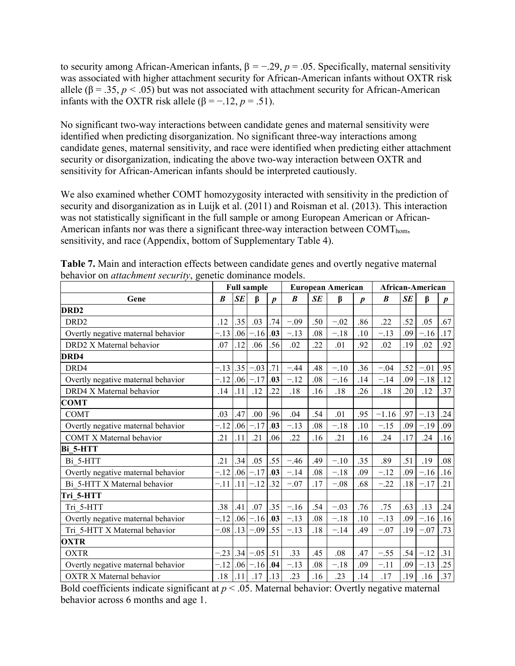to security among African-American infants,  $β = -0.29$ ,  $p = 0.05$ . Specifically, maternal sensitivity was associated with higher attachment security for African-American infants without OXTR risk allele ( $\beta = .35$ ,  $p < .05$ ) but was not associated with attachment security for African-American infants with the OXTR risk allele (β = −.12, *p* = .51).

No significant two-way interactions between candidate genes and maternal sensitivity were identified when predicting disorganization. No significant three-way interactions among candidate genes, maternal sensitivity, and race were identified when predicting either attachment security or disorganization, indicating the above two-way interaction between OXTR and sensitivity for African-American infants should be interpreted cautiously.

We also examined whether COMT homozygosity interacted with sensitivity in the prediction of security and disorganization as in Luijk et al. (2011) and Roisman et al. (2013). This interaction was not statistically significant in the full sample or among European American or African-American infants nor was there a significant three-way interaction between  $COMT<sub>hom</sub>$ , sensitivity, and race (Appendix, bottom of Supplementary Table 4).

|                                    |                  | <b>Full sample</b> |         |                  |                  | <b>European American</b> |        |                  |                  | African-American |        |                  |  |
|------------------------------------|------------------|--------------------|---------|------------------|------------------|--------------------------|--------|------------------|------------------|------------------|--------|------------------|--|
| Gene                               | $\boldsymbol{B}$ | SE                 | $\beta$ | $\boldsymbol{p}$ | $\boldsymbol{B}$ | SE                       | β      | $\boldsymbol{p}$ | $\boldsymbol{B}$ | SE               | β      | $\boldsymbol{p}$ |  |
| DRD <sub>2</sub>                   |                  |                    |         |                  |                  |                          |        |                  |                  |                  |        |                  |  |
| DRD <sub>2</sub>                   | .12              | .35                | .03     | .74              | $-.09$           | .50 <sub>1</sub>         | $-.02$ | .86              | .22              | .52              | .05    | .67              |  |
| Overtly negative maternal behavior | $-.13$           | .06                | $-.16$  | .03              | $-.13$           | .08                      | $-.18$ | .10              | $-.13$           | .09              | $-.16$ | .17              |  |
| DRD2 X Maternal behavior           | .07              | .12                | .06     | .56              | .02              | .22                      | .01    | .92              | .02              | .19              | .02    | .92              |  |
| DRD4                               |                  |                    |         |                  |                  |                          |        |                  |                  |                  |        |                  |  |
| DR <sub>D</sub> 4                  | $-.13$           | .35                | $-.03$  | .71              | $-.44$           | .48                      | $-.10$ | .36              | $-.04$           | .52              | $-.01$ | .95              |  |
| Overtly negative maternal behavior | $-.12$           | .06                | $-.17$  | .03              | $-.12$           | .08                      | $-.16$ | .14              | $-.14$           | .09              | $-.18$ | .12              |  |
| DRD4 X Maternal behavior           | .14              | .11                | .12     | .22              | .18              | .16                      | .18    | .26              | .18              | .20              | .12    | .37              |  |
| <b>COMT</b>                        |                  |                    |         |                  |                  |                          |        |                  |                  |                  |        |                  |  |
| <b>COMT</b>                        | .03              | .47                | .00     | .96              | .04              | .54                      | .01    | .95              | $-1.16$          | .97              | $-.13$ | .24              |  |
| Overtly negative maternal behavior | $-.12$           | .06                | $-.17$  | .03              | $-.13$           | .08                      | $-.18$ | .10              | $-.15$           | .09              | $-.19$ | .09              |  |
| COMT X Maternal behavior           | .21              | .11                | .21     | .06              | .22              | .16                      | .21    | .16              | .24              | .17              | .24    | .16              |  |
| <b>Bi 5-HTT</b>                    |                  |                    |         |                  |                  |                          |        |                  |                  |                  |        |                  |  |
| Bi 5-HTT                           | .21              | .34                | .05     | .55              | $-.46$           | .49                      | $-.10$ | .35              | .89              | .51              | .19    | .08              |  |
| Overtly negative maternal behavior | $-.12$           | .06                | $-.17$  | .03              | $-.14$           | .08                      | $-.18$ | .09              | $-.12$           | .09              | $-.16$ | .16              |  |
| Bi 5-HTT X Maternal behavior       | $-.11$           | .11                | $-.12$  | .32              | $-.07$           | .17                      | $-.08$ | .68              | $-.22$           | .18              | $-.17$ | .21              |  |
| Tri 5-HTT                          |                  |                    |         |                  |                  |                          |        |                  |                  |                  |        |                  |  |
| Tri 5-HTT                          | .38              | .41                | .07     | .35              | $-.16$           | .54                      | $-.03$ | .76              | .75              | .63              | .13    | .24              |  |
| Overtly negative maternal behavior | $-.12$           | .06                | $-.16$  | .03              | $-.13$           | .08                      | $-.18$ | .10              | $-.13$           | .09              | $-.16$ | .16              |  |
| Tri 5-HTT X Maternal behavior      | $-.08$           | .13                | $-.09$  | .55              | $-.13$           | .18                      | $-.14$ | .49              | $-.07$           | .19              | $-.07$ | .73              |  |
| <b>OXTR</b>                        |                  |                    |         |                  |                  |                          |        |                  |                  |                  |        |                  |  |
| <b>OXTR</b>                        | $-.23$           | .34                | $-.05$  | .51              | .33              | .45                      | .08    | .47              | $-.55$           | .54              | $-.12$ | .31              |  |
| Overtly negative maternal behavior | $-.12$           | .06                | $-.16$  | .04              | $-.13$           | .08                      | $-.18$ | .09              | $-.11$           | .09              | $-.13$ | .25              |  |
| <b>OXTR X Maternal behavior</b>    | .18              | .11                | .17     | .13              | .23              | .16                      | .23    | .14              | .17              | .19              | .16    | .37              |  |

**Table 7.** Main and interaction effects between candidate genes and overtly negative maternal behavior on *attachment security*, genetic dominance models.

Bold coefficients indicate significant at  $p < .05$ . Maternal behavior: Overtly negative maternal behavior across 6 months and age 1.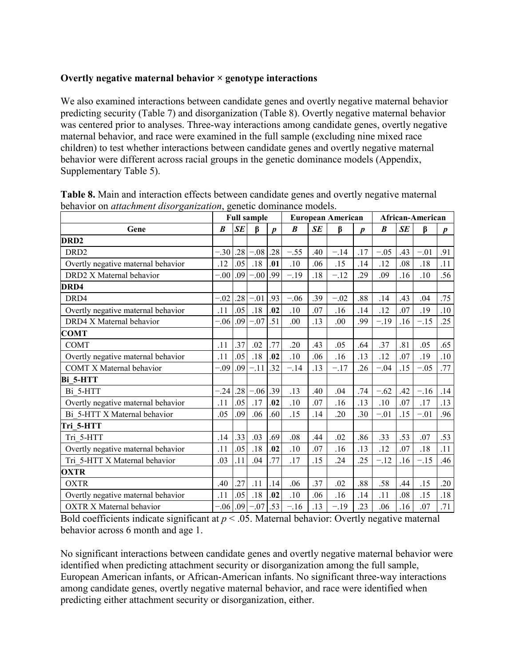## **Overtly negative maternal behavior × genotype interactions**

We also examined interactions between candidate genes and overtly negative maternal behavior predicting security (Table 7) and disorganization (Table 8). Overtly negative maternal behavior was centered prior to analyses. Three-way interactions among candidate genes, overtly negative maternal behavior, and race were examined in the full sample (excluding nine mixed race children) to test whether interactions between candidate genes and overtly negative maternal behavior were different across racial groups in the genetic dominance models (Appendix, Supplementary Table 5).

|                                    |                  | <b>Full sample</b> |        |                  |                  | <b>European American</b> |        |                  |        | African-American |        |                  |  |
|------------------------------------|------------------|--------------------|--------|------------------|------------------|--------------------------|--------|------------------|--------|------------------|--------|------------------|--|
| Gene                               | $\boldsymbol{B}$ | SE                 | ß      | $\boldsymbol{p}$ | $\boldsymbol{B}$ | SE                       | β      | $\boldsymbol{p}$ | B      | SE               | β      | $\boldsymbol{p}$ |  |
| DRD <sub>2</sub>                   |                  |                    |        |                  |                  |                          |        |                  |        |                  |        |                  |  |
| DRD <sub>2</sub>                   | $-.30$           | .28                | $-.08$ | .28              | $-.55$           | .40                      | $-.14$ | .17              | $-.05$ | .43              | $-.01$ | .91              |  |
| Overtly negative maternal behavior | .12              | .05                | .18    | .01              | .10              | .06                      | .15    | .14              | .12    | .08              | .18    | .11              |  |
| DRD2 X Maternal behavior           | $-.00$           | .09                | $-.00$ | .99              | $-.19$           | .18                      | $-.12$ | .29              | .09    | .16              | .10    | .56              |  |
| DRD4                               |                  |                    |        |                  |                  |                          |        |                  |        |                  |        |                  |  |
| DRD4                               | $-.02$           | .28                | $-.01$ | .93              | $-.06$           | .39                      | $-.02$ | .88              | .14    | .43              | .04    | .75              |  |
| Overtly negative maternal behavior | .11              | .05                | .18    | .02              | .10              | .07                      | .16    | .14              | .12    | .07              | .19    | .10              |  |
| DRD4 X Maternal behavior           | $-.06$           | .09                | $-.07$ | .51              | .00              | .13                      | .00    | .99              | $-.19$ | .16              | $-.15$ | .25              |  |
| <b>COMT</b>                        |                  |                    |        |                  |                  |                          |        |                  |        |                  |        |                  |  |
| <b>COMT</b>                        | .11              | .37                | .02    | .77              | .20              | .43                      | .05    | .64              | .37    | .81              | .05    | .65              |  |
| Overtly negative maternal behavior | .11              | .05                | $.18$  | .02              | .10              | .06                      | .16    | .13              | .12    | .07              | .19    | .10              |  |
| <b>COMT X Maternal behavior</b>    | $-.09$           | .09                | $-.11$ | .32              | $-.14$           | .13                      | $-.17$ | .26              | $-.04$ | .15              | $-.05$ | .77              |  |
| Bi 5-HTT                           |                  |                    |        |                  |                  |                          |        |                  |        |                  |        |                  |  |
| Bi 5-HTT                           | $-.24$           | .28                | $-.06$ | .39              | .13              | .40                      | .04    | .74              | $-.62$ | .42              | $-.16$ | .14              |  |
| Overtly negative maternal behavior | .11              | .05                | .17    | .02              | .10              | .07                      | .16    | .13              | .10    | .07              | .17    | .13              |  |
| Bi 5-HTT X Maternal behavior       | .05              | .09                | .06    | .60              | .15              | .14                      | .20    | .30              | $-.01$ | .15              | $-.01$ | .96              |  |
| Tri 5-HTT                          |                  |                    |        |                  |                  |                          |        |                  |        |                  |        |                  |  |
| Tri 5-HTT                          | .14              | .33                | .03    | .69              | .08              | .44                      | .02    | .86              | .33    | .53              | .07    | .53              |  |
| Overtly negative maternal behavior | .11              | .05                | .18    | .02              | .10              | .07                      | .16    | .13              | .12    | .07              | .18    | .11              |  |
| Tri 5-HTT X Maternal behavior      | .03              | .11                | .04    | .77              | .17              | .15                      | .24    | .25              | $-.12$ | .16              | $-.15$ | .46              |  |
| <b>OXTR</b>                        |                  |                    |        |                  |                  |                          |        |                  |        |                  |        |                  |  |
| <b>OXTR</b>                        | .40              | .27                | .11    | .14              | .06              | .37                      | .02    | .88              | .58    | .44              | .15    | .20              |  |
| Overtly negative maternal behavior | .11              | .05                | .18    | .02              | .10              | .06                      | .16    | .14              | .11    | .08              | .15    | .18              |  |
| <b>OXTR X Maternal behavior</b>    | $-.06$ .09       |                    | $-.07$ | .53              | $-.16$           | .13                      | $-.19$ | .23              | .06    | .16              | .07    | .71              |  |

**Table 8.** Main and interaction effects between candidate genes and overtly negative maternal behavior on *attachment disorganization*, genetic dominance models.

Bold coefficients indicate significant at *p* < .05. Maternal behavior: Overtly negative maternal behavior across 6 month and age 1.

No significant interactions between candidate genes and overtly negative maternal behavior were identified when predicting attachment security or disorganization among the full sample, European American infants, or African-American infants. No significant three-way interactions among candidate genes, overtly negative maternal behavior, and race were identified when predicting either attachment security or disorganization, either.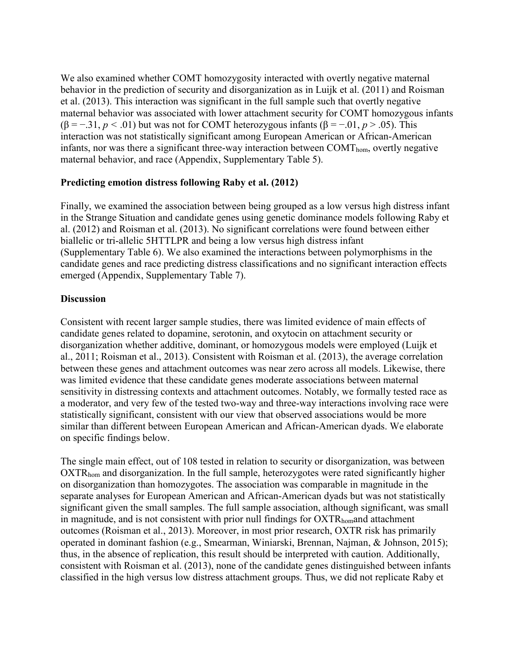We also examined whether COMT homozygosity interacted with overtly negative maternal behavior in the prediction of security and disorganization as in Luijk et al. (2011) and Roisman et al. (2013). This interaction was significant in the full sample such that overtly negative maternal behavior was associated with lower attachment security for COMT homozygous infants ( $\beta = -0.31$ ,  $p < 0.01$ ) but was not for COMT heterozygous infants ( $\beta = -0.01$ ,  $p > 0.05$ ). This interaction was not statistically significant among European American or African-American infants, nor was there a significant three-way interaction between  $COMT_{\text{hom}}$ , overtly negative maternal behavior, and race (Appendix, Supplementary Table 5).

## **Predicting emotion distress following Raby et al. (2012)**

Finally, we examined the association between being grouped as a low versus high distress infant in the Strange Situation and candidate genes using genetic dominance models following Raby et al. (2012) and Roisman et al. (2013). No significant correlations were found between either biallelic or tri-allelic 5HTTLPR and being a low versus high distress infant (Supplementary Table 6). We also examined the interactions between polymorphisms in the candidate genes and race predicting distress classifications and no significant interaction effects emerged (Appendix, Supplementary Table 7).

## **Discussion**

Consistent with recent larger sample studies, there was limited evidence of main effects of candidate genes related to dopamine, serotonin, and oxytocin on attachment security or disorganization whether additive, dominant, or homozygous models were employed (Luijk et al., 2011; Roisman et al., 2013). Consistent with Roisman et al. (2013), the average correlation between these genes and attachment outcomes was near zero across all models. Likewise, there was limited evidence that these candidate genes moderate associations between maternal sensitivity in distressing contexts and attachment outcomes. Notably, we formally tested race as a moderator, and very few of the tested two-way and three-way interactions involving race were statistically significant, consistent with our view that observed associations would be more similar than different between European American and African-American dyads. We elaborate on specific findings below.

The single main effect, out of 108 tested in relation to security or disorganization, was between OXTRhom and disorganization. In the full sample, heterozygotes were rated significantly higher on disorganization than homozygotes. The association was comparable in magnitude in the separate analyses for European American and African-American dyads but was not statistically significant given the small samples. The full sample association, although significant, was small in magnitude, and is not consistent with prior null findings for  $OXTR_{\text{hom}}$  and attachment outcomes (Roisman et al., 2013). Moreover, in most prior research, OXTR risk has primarily operated in dominant fashion (e.g., Smearman, Winiarski, Brennan, Najman, & Johnson, 2015); thus, in the absence of replication, this result should be interpreted with caution. Additionally, consistent with Roisman et al. (2013), none of the candidate genes distinguished between infants classified in the high versus low distress attachment groups. Thus, we did not replicate Raby et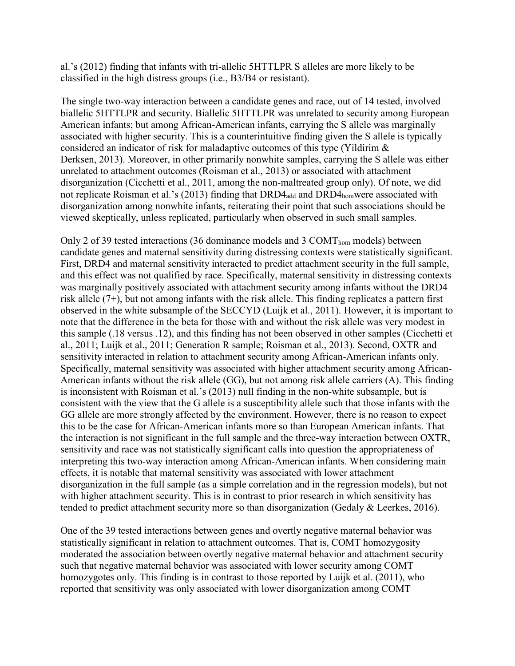al.'s (2012) finding that infants with tri-allelic 5HTTLPR S alleles are more likely to be classified in the high distress groups (i.e., B3/B4 or resistant).

The single two-way interaction between a candidate genes and race, out of 14 tested, involved biallelic 5HTTLPR and security. Biallelic 5HTTLPR was unrelated to security among European American infants; but among African-American infants, carrying the S allele was marginally associated with higher security. This is a counterintuitive finding given the S allele is typically considered an indicator of risk for maladaptive outcomes of this type (Yildirim & Derksen, 2013). Moreover, in other primarily nonwhite samples, carrying the S allele was either unrelated to attachment outcomes (Roisman et al., 2013) or associated with attachment disorganization (Cicchetti et al., 2011, among the non-maltreated group only). Of note, we did not replicate Roisman et al.'s (2013) finding that DRD4<sub>add</sub> and DRD4<sub>hom</sub>were associated with disorganization among nonwhite infants, reiterating their point that such associations should be viewed skeptically, unless replicated, particularly when observed in such small samples.

Only 2 of 39 tested interactions (36 dominance models and 3 COMT<sub>hom</sub> models) between candidate genes and maternal sensitivity during distressing contexts were statistically significant. First, DRD4 and maternal sensitivity interacted to predict attachment security in the full sample, and this effect was not qualified by race. Specifically, maternal sensitivity in distressing contexts was marginally positively associated with attachment security among infants without the DRD4 risk allele (7+), but not among infants with the risk allele. This finding replicates a pattern first observed in the white subsample of the SECCYD (Luijk et al., 2011). However, it is important to note that the difference in the beta for those with and without the risk allele was very modest in this sample (.18 versus .12), and this finding has not been observed in other samples (Cicchetti et al., 2011; Luijk et al., 2011; Generation R sample; Roisman et al., 2013). Second, OXTR and sensitivity interacted in relation to attachment security among African-American infants only. Specifically, maternal sensitivity was associated with higher attachment security among African-American infants without the risk allele (GG), but not among risk allele carriers (A). This finding is inconsistent with Roisman et al.'s (2013) null finding in the non-white subsample, but is consistent with the view that the G allele is a susceptibility allele such that those infants with the GG allele are more strongly affected by the environment. However, there is no reason to expect this to be the case for African-American infants more so than European American infants. That the interaction is not significant in the full sample and the three-way interaction between OXTR, sensitivity and race was not statistically significant calls into question the appropriateness of interpreting this two-way interaction among African-American infants. When considering main effects, it is notable that maternal sensitivity was associated with lower attachment disorganization in the full sample (as a simple correlation and in the regression models), but not with higher attachment security. This is in contrast to prior research in which sensitivity has tended to predict attachment security more so than disorganization (Gedaly & Leerkes, 2016).

One of the 39 tested interactions between genes and overtly negative maternal behavior was statistically significant in relation to attachment outcomes. That is, COMT homozygosity moderated the association between overtly negative maternal behavior and attachment security such that negative maternal behavior was associated with lower security among COMT homozygotes only. This finding is in contrast to those reported by Luijk et al. (2011), who reported that sensitivity was only associated with lower disorganization among COMT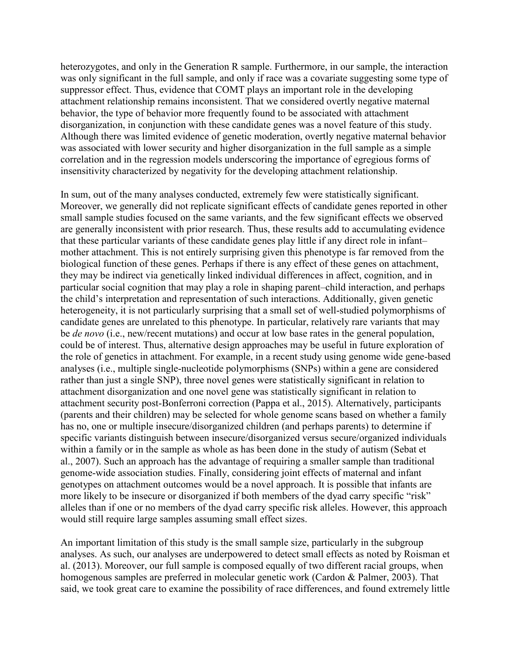heterozygotes, and only in the Generation R sample. Furthermore, in our sample, the interaction was only significant in the full sample, and only if race was a covariate suggesting some type of suppressor effect. Thus, evidence that COMT plays an important role in the developing attachment relationship remains inconsistent. That we considered overtly negative maternal behavior, the type of behavior more frequently found to be associated with attachment disorganization, in conjunction with these candidate genes was a novel feature of this study. Although there was limited evidence of genetic moderation, overtly negative maternal behavior was associated with lower security and higher disorganization in the full sample as a simple correlation and in the regression models underscoring the importance of egregious forms of insensitivity characterized by negativity for the developing attachment relationship.

In sum, out of the many analyses conducted, extremely few were statistically significant. Moreover, we generally did not replicate significant effects of candidate genes reported in other small sample studies focused on the same variants, and the few significant effects we observed are generally inconsistent with prior research. Thus, these results add to accumulating evidence that these particular variants of these candidate genes play little if any direct role in infant– mother attachment. This is not entirely surprising given this phenotype is far removed from the biological function of these genes. Perhaps if there is any effect of these genes on attachment, they may be indirect via genetically linked individual differences in affect, cognition, and in particular social cognition that may play a role in shaping parent–child interaction, and perhaps the child's interpretation and representation of such interactions. Additionally, given genetic heterogeneity, it is not particularly surprising that a small set of well-studied polymorphisms of candidate genes are unrelated to this phenotype. In particular, relatively rare variants that may be *de novo* (i.e., new/recent mutations) and occur at low base rates in the general population, could be of interest. Thus, alternative design approaches may be useful in future exploration of the role of genetics in attachment. For example, in a recent study using genome wide gene-based analyses (i.e., multiple single-nucleotide polymorphisms (SNPs) within a gene are considered rather than just a single SNP), three novel genes were statistically significant in relation to attachment disorganization and one novel gene was statistically significant in relation to attachment security post-Bonferroni correction (Pappa et al., 2015). Alternatively, participants (parents and their children) may be selected for whole genome scans based on whether a family has no, one or multiple insecure/disorganized children (and perhaps parents) to determine if specific variants distinguish between insecure/disorganized versus secure/organized individuals within a family or in the sample as whole as has been done in the study of autism (Sebat et al., 2007). Such an approach has the advantage of requiring a smaller sample than traditional genome-wide association studies. Finally, considering joint effects of maternal and infant genotypes on attachment outcomes would be a novel approach. It is possible that infants are more likely to be insecure or disorganized if both members of the dyad carry specific "risk" alleles than if one or no members of the dyad carry specific risk alleles. However, this approach would still require large samples assuming small effect sizes.

An important limitation of this study is the small sample size, particularly in the subgroup analyses. As such, our analyses are underpowered to detect small effects as noted by Roisman et al. (2013). Moreover, our full sample is composed equally of two different racial groups, when homogenous samples are preferred in molecular genetic work (Cardon & Palmer, 2003). That said, we took great care to examine the possibility of race differences, and found extremely little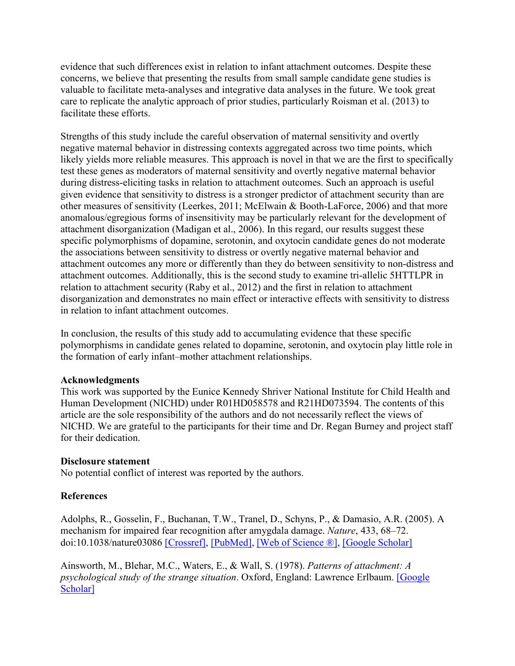evidence that such differences exist in relation to infant attachment outcomes. Despite these concerns, we believe that presenting the results from small sample candidate gene studies is valuable to facilitate meta-analyses and integrative data analyses in the future. We took great care to replicate the analytic approach of prior studies, particularly Roisman et al. (2013) to facilitate these efforts.

Strengths of this study include the careful observation of maternal sensitivity and overtly negative maternal behavior in distressing contexts aggregated across two time points, which likely yields more reliable measures. This approach is novel in that we are the first to specifically test these genes as moderators of maternal sensitivity and overtly negative maternal behavior during distress-eliciting tasks in relation to attachment outcomes. Such an approach is useful given evidence that sensitivity to distress is a stronger predictor of attachment security than are other measures of sensitivity (Leerkes, 2011; McElwain & Booth-LaForce, 2006) and that more anomalous/egregious forms of insensitivity may be particularly relevant for the development of attachment disorganization (Madigan et al., 2006). In this regard, our results suggest these specific polymorphisms of dopamine, serotonin, and oxytocin candidate genes do not moderate the associations between sensitivity to distress or overtly negative maternal behavior and attachment outcomes any more or differently than they do between sensitivity to non-distress and attachment outcomes. Additionally, this is the second study to examine tri-allelic 5HTTLPR in relation to attachment security (Raby et al., 2012) and the first in relation to attachment disorganization and demonstrates no main effect or interactive effects with sensitivity to distress in relation to infant attachment outcomes.

In conclusion, the results of this study add to accumulating evidence that these specific polymorphisms in candidate genes related to dopamine, serotonin, and oxytocin play little role in the formation of early infant–mother attachment relationships.

## **Acknowledgments**

This work was supported by the Eunice Kennedy Shriver National Institute for Child Health and Human Development (NICHD) under R01HD058578 and R21HD073594. The contents of this article are the sole responsibility of the authors and do not necessarily reflect the views of NICHD. We are grateful to the participants for their time and Dr. Regan Burney and project staff for their dedication.

## **Disclosure statement**

No potential conflict of interest was reported by the authors.

## **References**

Adolphs, R., Gosselin, F., Buchanan, T.W., Tranel, D., Schyns, P., & Damasio, A.R. (2005). A mechanism for impaired fear recognition after amygdala damage. *Nature*, 433, 68–72. doi:10.1038/nature03086 [\[Crossref\],](https://www.tandfonline.com/servlet/linkout?suffix=CIT0001&dbid=16&doi=10.1080%2F14616734.2016.1253759&key=10.1038%2Fnature03086) [\[PubMed\],](https://www.tandfonline.com/servlet/linkout?suffix=CIT0001&dbid=8&doi=10.1080%2F14616734.2016.1253759&key=15635411) [\[Web of Science ®\]](https://www.tandfonline.com/servlet/linkout?suffix=CIT0001&dbid=128&doi=10.1080%2F14616734.2016.1253759&key=000226117100037), [\[Google Scholar\]](http://scholar.google.com/scholar_lookup?hl=en&publication_year=2005&pages=68-72&author=R.+Adolphs&author=F.+Gosselin&author=T.W.+Buchanan&author=D.+Tranel&author=P.+Schyns&author=A.R.+Damasio&title=A+mechanism+for+impaired+fear+recognition+after+amygdala+damage&)

Ainsworth, M., Blehar, M.C., Waters, E., & Wall, S. (1978). *Patterns of attachment: A psychological study of the strange situation*. Oxford, England: Lawrence Erlbaum. [\[Google](http://scholar.google.com/scholar_lookup?hl=en&publication_year=1978&author=M.+Ainsworth&author=M.C.+Blehar&author=E.+Waters&author=S.+Wall&title=Patterns+of+attachment%3A+A+psychological+study+of+the+strange+situation)  [Scholar\]](http://scholar.google.com/scholar_lookup?hl=en&publication_year=1978&author=M.+Ainsworth&author=M.C.+Blehar&author=E.+Waters&author=S.+Wall&title=Patterns+of+attachment%3A+A+psychological+study+of+the+strange+situation)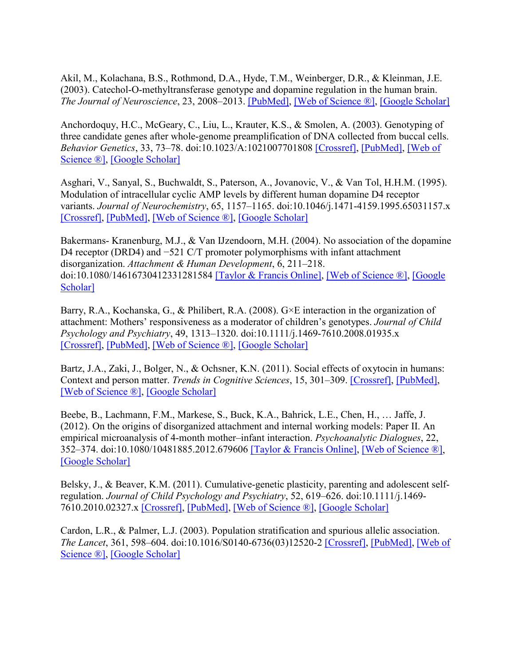Akil, M., Kolachana, B.S., Rothmond, D.A., Hyde, T.M., Weinberger, D.R., & Kleinman, J.E. (2003). Catechol-O-methyltransferase genotype and dopamine regulation in the human brain. *The Journal of Neuroscience*, 23, 2008–2013. [\[PubMed\],](https://www.tandfonline.com/servlet/linkout?suffix=CIT0003&dbid=8&doi=10.1080%2F14616734.2016.1253759&key=12657658) [\[Web of Science ®\]](https://www.tandfonline.com/servlet/linkout?suffix=CIT0003&dbid=128&doi=10.1080%2F14616734.2016.1253759&key=000181776900005), [\[Google Scholar\]](http://scholar.google.com/scholar_lookup?hl=en&publication_year=2003&pages=2008-2013&author=M.+Akil&author=B.S.+Kolachana&author=D.A.+Rothmond&author=T.M.+Hyde&author=D.R.+Weinberger&author=J.E.+Kleinman&title=Catechol-O-methyltransferase+genotype+and+dopamine+regulation+in+the+human+brain&)

Anchordoquy, H.C., McGeary, C., Liu, L., Krauter, K.S., & Smolen, A. (2003). Genotyping of three candidate genes after whole-genome preamplification of DNA collected from buccal cells. *Behavior Genetics*, 33, 73–78. doi:10.1023/A:1021007701808 [\[Crossref\],](https://www.tandfonline.com/servlet/linkout?suffix=CIT0004&dbid=16&doi=10.1080%2F14616734.2016.1253759&key=10.1023%2FA%3A1021007701808) [\[PubMed\],](https://www.tandfonline.com/servlet/linkout?suffix=CIT0004&dbid=8&doi=10.1080%2F14616734.2016.1253759&key=12645824) [\[Web of](https://www.tandfonline.com/servlet/linkout?suffix=CIT0004&dbid=128&doi=10.1080%2F14616734.2016.1253759&key=000179201400009)  Science <sup>®</sup>], [\[Google Scholar\]](http://scholar.google.com/scholar_lookup?hl=en&publication_year=2003&pages=73-78&author=H.C.+Anchordoquy&author=C.+McGeary&author=L.+Liu&author=K.S.+Krauter&author=A.+Smolen&title=Genotyping+of+three+candidate+genes+after+whole-genome+preamplification+of+DNA+collected+from+buccal+cells&)

Asghari, V., Sanyal, S., Buchwaldt, S., Paterson, A., Jovanovic, V., & Van Tol, H.H.M. (1995). Modulation of intracellular cyclic AMP levels by different human dopamine D4 receptor variants. *Journal of Neurochemistry*, 65, 1157–1165. doi:10.1046/j.1471-4159.1995.65031157.x [\[Crossref\],](https://www.tandfonline.com/servlet/linkout?suffix=CIT0005&dbid=16&doi=10.1080%2F14616734.2016.1253759&key=10.1046%2Fj.1471-4159.1995.65031157.x) [\[PubMed\],](https://www.tandfonline.com/servlet/linkout?suffix=CIT0005&dbid=8&doi=10.1080%2F14616734.2016.1253759&key=7643093) [\[Web of Science ®\]](https://www.tandfonline.com/servlet/linkout?suffix=CIT0005&dbid=128&doi=10.1080%2F14616734.2016.1253759&key=A1995RQ57100025), [\[Google Scholar\]](http://scholar.google.com/scholar_lookup?hl=en&publication_year=1995&pages=1157-1165&author=V.+Asghari&author=S.+Sanyal&author=S.+Buchwaldt&author=A.+Paterson&author=V.+Jovanovic&author=H.H.M.+Van+Tol&title=Modulation+of+intracellular+cyclic+AMP+levels+by+different+human+dopamine+D4+receptor+variants&)

Bakermans- Kranenburg, M.J., & Van IJzendoorn, M.H. (2004). No association of the dopamine D4 receptor (DRD4) and −521 C/T promoter polymorphisms with infant attachment disorganization. *Attachment & Human Development*, 6, 211–218. doi:10.1080/14616730412331281584 [\[Taylor & Francis Online\],](https://www.tandfonline.com/doi/10.1080/14616730412331281584) [\[Web of Science ®\]](https://www.tandfonline.com/servlet/linkout?suffix=CIT0006&dbid=128&doi=10.1080%2F14616734.2016.1253759&key=000224842000002), [\[Google](http://scholar.google.com/scholar_lookup?hl=en&publication_year=2004&pages=211-218&author=M.J.+Bakermans-+Kranenburg&author=M.H.+Van+IJzendoorn&title=No+association+of+the+dopamine+D4+receptor+%28DRD4%29+and+%E2%88%92521+C%2FT+promoter+polymorphisms+with+infant+attachment+disorganization&)  [Scholar\]](http://scholar.google.com/scholar_lookup?hl=en&publication_year=2004&pages=211-218&author=M.J.+Bakermans-+Kranenburg&author=M.H.+Van+IJzendoorn&title=No+association+of+the+dopamine+D4+receptor+%28DRD4%29+and+%E2%88%92521+C%2FT+promoter+polymorphisms+with+infant+attachment+disorganization&)

Barry, R.A., Kochanska, G., & Philibert, R.A. (2008). G×E interaction in the organization of attachment: Mothers' responsiveness as a moderator of children's genotypes. *Journal of Child Psychology and Psychiatry*, 49, 1313–1320. doi:10.1111/j.1469-7610.2008.01935.x [\[Crossref\],](https://www.tandfonline.com/servlet/linkout?suffix=CIT0007&dbid=16&doi=10.1080%2F14616734.2016.1253759&key=10.1111%2Fj.1469-7610.2008.01935.x) [\[PubMed\],](https://www.tandfonline.com/servlet/linkout?suffix=CIT0007&dbid=8&doi=10.1080%2F14616734.2016.1253759&key=19120710) [\[Web of Science ®\]](https://www.tandfonline.com/servlet/linkout?suffix=CIT0007&dbid=128&doi=10.1080%2F14616734.2016.1253759&key=000261114500009), [\[Google Scholar\]](http://scholar.google.com/scholar_lookup?hl=en&publication_year=2008&pages=1313-1320&author=R.A.+Barry&author=G.+Kochanska&author=R.A.+Philibert&title=G%C3%97E+interaction+in+the+organization+of+attachment%3A+Mothers%E2%80%99+responsiveness+as+a+moderator+of+children%E2%80%99s+genotypes&)

Bartz, J.A., Zaki, J., Bolger, N., & Ochsner, K.N. (2011). Social effects of oxytocin in humans: Context and person matter. *Trends in Cognitive Sciences*, 15, 301–309. [\[Crossref\],](https://www.tandfonline.com/servlet/linkout?suffix=CIT0008&dbid=16&doi=10.1080%2F14616734.2016.1253759&key=10.1016%2Fj.tics.2011.05.002) [\[PubMed\],](https://www.tandfonline.com/servlet/linkout?suffix=CIT0008&dbid=8&doi=10.1080%2F14616734.2016.1253759&key=21696997) [\[Web of Science ®\]](https://www.tandfonline.com/servlet/linkout?suffix=CIT0008&dbid=128&doi=10.1080%2F14616734.2016.1253759&key=000293436600004), [\[Google Scholar\]](http://scholar.google.com/scholar_lookup?hl=en&publication_year=2011&pages=301-309&author=J.A.+Bartz&author=J.+Zaki&author=N.+Bolger&author=K.N.+Ochsner&title=Social+effects+of+oxytocin+in+humans%3A+Context+and+person+matter&)

Beebe, B., Lachmann, F.M., Markese, S., Buck, K.A., Bahrick, L.E., Chen, H., … Jaffe, J. (2012). On the origins of disorganized attachment and internal working models: Paper II. An empirical microanalysis of 4-month mother–infant interaction. *Psychoanalytic Dialogues*, 22, 352–374. doi:10.1080/10481885.2012.679606 [\[Taylor & Francis Online\],](https://www.tandfonline.com/doi/10.1080/10481885.2012.679606) [\[Web of Science ®\]](https://www.tandfonline.com/servlet/linkout?suffix=CIT0009&dbid=128&doi=10.1080%2F14616734.2016.1253759&key=000305023200010), [\[Google Scholar\]](http://scholar.google.com/scholar_lookup?hl=en&publication_year=2012&pages=352-374&author=B.+Beebe&author=F.M.+Lachmann&author=S.+Markese&author=K.A.+Buck&author=L.E.+Bahrick&author=H.+Chen&author=J.+Jaffe&title=On+the+origins+of+disorganized+attachment+and+internal+working+models%3A+Paper+II.+An+empirical+microanalysis+of+4-month+mother%E2%80%93infant+interaction&)

Belsky, J., & Beaver, K.M. (2011). Cumulative-genetic plasticity, parenting and adolescent selfregulation. *Journal of Child Psychology and Psychiatry*, 52, 619–626. doi:10.1111/j.1469- 7610.2010.02327.x [\[Crossref\],](https://www.tandfonline.com/servlet/linkout?suffix=CIT0010&dbid=16&doi=10.1080%2F14616734.2016.1253759&key=10.1111%2Fj.1469-7610.2010.02327.x) [\[PubMed\],](https://www.tandfonline.com/servlet/linkout?suffix=CIT0010&dbid=8&doi=10.1080%2F14616734.2016.1253759&key=21039487) [\[Web of Science ®\]](https://www.tandfonline.com/servlet/linkout?suffix=CIT0010&dbid=128&doi=10.1080%2F14616734.2016.1253759&key=000289631400014), [\[Google Scholar\]](http://scholar.google.com/scholar_lookup?hl=en&publication_year=2011&pages=619-626&author=J.+Belsky&author=K.M.+Beaver&title=Cumulative%E2%80%90genetic+plasticity%2C+parenting+and+adolescent+self-regulation&)

Cardon, L.R., & Palmer, L.J. (2003). Population stratification and spurious allelic association. *The Lancet*, 361, 598–604. doi:10.1016/S0140-6736(03)12520-2 [\[Crossref\],](https://www.tandfonline.com/servlet/linkout?suffix=CIT0011&dbid=16&doi=10.1080%2F14616734.2016.1253759&key=10.1016%2FS0140-6736%2803%2912520-2) [\[PubMed\],](https://www.tandfonline.com/servlet/linkout?suffix=CIT0011&dbid=8&doi=10.1080%2F14616734.2016.1253759&key=12598158) [\[Web of](https://www.tandfonline.com/servlet/linkout?suffix=CIT0011&dbid=128&doi=10.1080%2F14616734.2016.1253759&key=000181033400025)  Science <sup>®</sup>], [\[Google Scholar\]](http://scholar.google.com/scholar_lookup?hl=en&publication_year=2003&pages=598-604&author=L.R.+Cardon&author=L.J.+Palmer&title=Population+stratification+and+spurious+allelic+association&)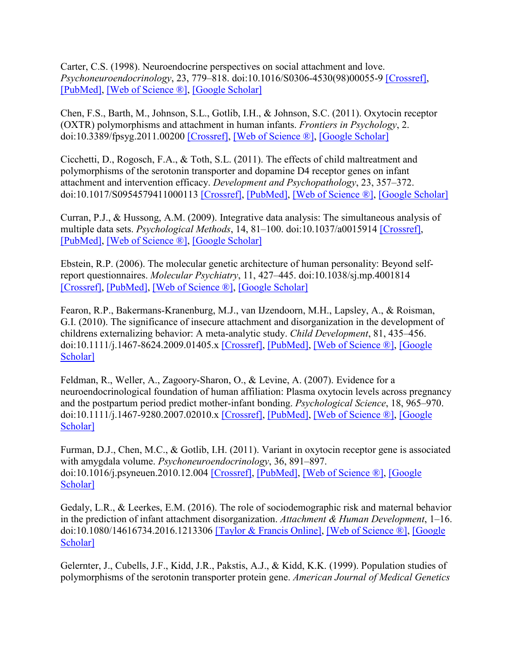Carter, C.S. (1998). Neuroendocrine perspectives on social attachment and love. *Psychoneuroendocrinology*, 23, 779–818. doi:10.1016/S0306-4530(98)00055-9 [\[Crossref\],](https://www.tandfonline.com/servlet/linkout?suffix=CIT0012&dbid=16&doi=10.1080%2F14616734.2016.1253759&key=10.1016%2FS0306-4530%2898%2900055-9) [\[PubMed\],](https://www.tandfonline.com/servlet/linkout?suffix=CIT0012&dbid=8&doi=10.1080%2F14616734.2016.1253759&key=9924738) [\[Web of Science ®\]](https://www.tandfonline.com/servlet/linkout?suffix=CIT0012&dbid=128&doi=10.1080%2F14616734.2016.1253759&key=000078001800004), [\[Google Scholar\]](http://scholar.google.com/scholar_lookup?hl=en&publication_year=1998&pages=779-818&author=C.S.+Carter&title=Neuroendocrine+perspectives+on+social+attachment+and+love&)

Chen, F.S., Barth, M., Johnson, S.L., Gotlib, I.H., & Johnson, S.C. (2011). Oxytocin receptor (OXTR) polymorphisms and attachment in human infants. *Frontiers in Psychology*, 2. doi:10.3389/fpsyg.2011.00200 [\[Crossref\],](https://www.tandfonline.com/servlet/linkout?suffix=CIT0013&dbid=16&doi=10.1080%2F14616734.2016.1253759&key=10.3389%2Ffpsyg.2011.00200) [\[Web of Science ®\]](https://www.tandfonline.com/servlet/linkout?suffix=CIT0013&dbid=128&doi=10.1080%2F14616734.2016.1253759&key=000208863800015), [\[Google Scholar\]](http://scholar.google.com/scholar_lookup?hl=en&publication_year=2011&author=F.S.+Chen&author=M.+Barth&author=S.L.+Johnson&author=I.H.+Gotlib&author=S.C.+Johnson&title=Oxytocin+receptor+%28OXTR%29+polymorphisms+and+attachment+in+human+infants&)

Cicchetti, D., Rogosch, F.A., & Toth, S.L. (2011). The effects of child maltreatment and polymorphisms of the serotonin transporter and dopamine D4 receptor genes on infant attachment and intervention efficacy. *Development and Psychopathology*, 23, 357–372. doi:10.1017/S0954579411000113 [\[Crossref\],](https://www.tandfonline.com/servlet/linkout?suffix=CIT0014&dbid=16&doi=10.1080%2F14616734.2016.1253759&key=10.1017%2FS0954579411000113) [\[PubMed\],](https://www.tandfonline.com/servlet/linkout?suffix=CIT0014&dbid=8&doi=10.1080%2F14616734.2016.1253759&key=23786683) [\[Web of Science ®\]](https://www.tandfonline.com/servlet/linkout?suffix=CIT0014&dbid=128&doi=10.1080%2F14616734.2016.1253759&key=000290097900002), [\[Google Scholar\]](http://scholar.google.com/scholar_lookup?hl=en&publication_year=2011&pages=357-372&author=D.+Cicchetti&author=F.A.+Rogosch&author=S.L.+Toth&title=The+effects+of+child+maltreatment+and+polymorphisms+of+the+serotonin+transporter+and+dopamine+D4+receptor+genes+on+infant+attachment+and+intervention+efficacy&)

Curran, P.J., & Hussong, A.M. (2009). Integrative data analysis: The simultaneous analysis of multiple data sets. *Psychological Methods*, 14, 81–100. doi:10.1037/a0015914 [\[Crossref\],](https://www.tandfonline.com/servlet/linkout?suffix=CIT0015&dbid=16&doi=10.1080%2F14616734.2016.1253759&key=10.1037%2Fa0015914) [\[PubMed\],](https://www.tandfonline.com/servlet/linkout?suffix=CIT0015&dbid=8&doi=10.1080%2F14616734.2016.1253759&key=19485623) [\[Web of Science ®\]](https://www.tandfonline.com/servlet/linkout?suffix=CIT0015&dbid=128&doi=10.1080%2F14616734.2016.1253759&key=000266670200002), [\[Google Scholar\]](http://scholar.google.com/scholar_lookup?hl=en&publication_year=2009&pages=81-100&author=P.J.+Curran&author=A.M.+Hussong&title=Integrative+data+analysis%3A+The+simultaneous+analysis+of+multiple+data+sets&)

Ebstein, R.P. (2006). The molecular genetic architecture of human personality: Beyond selfreport questionnaires. *Molecular Psychiatry*, 11, 427–445. doi:10.1038/sj.mp.4001814 [\[Crossref\],](https://www.tandfonline.com/servlet/linkout?suffix=CIT0016&dbid=16&doi=10.1080%2F14616734.2016.1253759&key=10.1038%2Fsj.mp.4001814) [\[PubMed\],](https://www.tandfonline.com/servlet/linkout?suffix=CIT0016&dbid=8&doi=10.1080%2F14616734.2016.1253759&key=16534505) [\[Web of Science ®\]](https://www.tandfonline.com/servlet/linkout?suffix=CIT0016&dbid=128&doi=10.1080%2F14616734.2016.1253759&key=000237057800003), [\[Google Scholar\]](http://scholar.google.com/scholar_lookup?hl=en&publication_year=2006&pages=427-445&author=R.P.+Ebstein&title=The+molecular+genetic+architecture+of+human+personality%3A+Beyond+self-report+questionnaires&)

Fearon, R.P., Bakermans-Kranenburg, M.J., van IJzendoorn, M.H., Lapsley, A., & Roisman, G.I. (2010). The significance of insecure attachment and disorganization in the development of childrens externalizing behavior: A meta-analytic study. *Child Development*, 81, 435–456. doi:10.1111/j.1467-8624.2009.01405.x [\[Crossref\],](https://www.tandfonline.com/servlet/linkout?suffix=CIT0017&dbid=16&doi=10.1080%2F14616734.2016.1253759&key=10.1111%2Fj.1467-8624.2009.01405.x) [\[PubMed\],](https://www.tandfonline.com/servlet/linkout?suffix=CIT0017&dbid=8&doi=10.1080%2F14616734.2016.1253759&key=20438450) [\[Web of Science ®\]](https://www.tandfonline.com/servlet/linkout?suffix=CIT0017&dbid=128&doi=10.1080%2F14616734.2016.1253759&key=000275950000001), [\[Google](http://scholar.google.com/scholar_lookup?hl=en&publication_year=2010&pages=435-456&author=R.P.+Fearon&author=M.J.+Bakermans-Kranenburg&author=M.H.+van+IJzendoorn&author=A.+Lapsley&author=G.I.+Roisman&title=The+significance+of+insecure+attachment+and+disorganization+in+the+development+of+childrens+externalizing+behavior%3A+A+meta-analytic+study&)  [Scholar\]](http://scholar.google.com/scholar_lookup?hl=en&publication_year=2010&pages=435-456&author=R.P.+Fearon&author=M.J.+Bakermans-Kranenburg&author=M.H.+van+IJzendoorn&author=A.+Lapsley&author=G.I.+Roisman&title=The+significance+of+insecure+attachment+and+disorganization+in+the+development+of+childrens+externalizing+behavior%3A+A+meta-analytic+study&)

Feldman, R., Weller, A., Zagoory-Sharon, O., & Levine, A. (2007). Evidence for a neuroendocrinological foundation of human affiliation: Plasma oxytocin levels across pregnancy and the postpartum period predict mother-infant bonding. *Psychological Science*, 18, 965–970. doi:10.1111/j.1467-9280.2007.02010.x [\[Crossref\],](https://www.tandfonline.com/servlet/linkout?suffix=CIT0018&dbid=16&doi=10.1080%2F14616734.2016.1253759&key=10.1111%2Fj.1467-9280.2007.02010.x) [\[PubMed\],](https://www.tandfonline.com/servlet/linkout?suffix=CIT0018&dbid=8&doi=10.1080%2F14616734.2016.1253759&key=17958710) [\[Web of S](https://www.tandfonline.com/servlet/linkout?suffix=CIT0018&dbid=128&doi=10.1080%2F14616734.2016.1253759&key=000250806900008)cience ®], [\[Google](http://scholar.google.com/scholar_lookup?hl=en&publication_year=2007&pages=965-970&author=R.+Feldman&author=A.+Weller&author=O.+Zagoory-Sharon&author=A.+Levine&title=Evidence+for+a+neuroendocrinological+foundation+of+human+affiliation%3A+Plasma+oxytocin+levels+across+pregnancy+and+the+postpartum+period+predict+mother-infant+bonding&)  [Scholar\]](http://scholar.google.com/scholar_lookup?hl=en&publication_year=2007&pages=965-970&author=R.+Feldman&author=A.+Weller&author=O.+Zagoory-Sharon&author=A.+Levine&title=Evidence+for+a+neuroendocrinological+foundation+of+human+affiliation%3A+Plasma+oxytocin+levels+across+pregnancy+and+the+postpartum+period+predict+mother-infant+bonding&)

Furman, D.J., Chen, M.C., & Gotlib, I.H. (2011). Variant in oxytocin receptor gene is associated with amygdala volume. *Psychoneuroendocrinology*, 36, 891–897. doi:10.1016/j.psyneuen.2010.12.004 [\[Crossref\],](https://www.tandfonline.com/servlet/linkout?suffix=CIT0019&dbid=16&doi=10.1080%2F14616734.2016.1253759&key=10.1016%2Fj.psyneuen.2010.12.004) [\[PubMed\],](https://www.tandfonline.com/servlet/linkout?suffix=CIT0019&dbid=8&doi=10.1080%2F14616734.2016.1253759&key=21208749) [\[Web of Science ®\]](https://www.tandfonline.com/servlet/linkout?suffix=CIT0019&dbid=128&doi=10.1080%2F14616734.2016.1253759&key=000292237500014), [Google [Scholar\]](http://scholar.google.com/scholar_lookup?hl=en&publication_year=2011&pages=891-897&author=D.J.+Furman&author=M.C.+Chen&author=I.H.+Gotlib&title=Variant+in+oxytocin+receptor+gene+is+associated+with+amygdala+volume&)

Gedaly, L.R., & Leerkes, E.M. (2016). The role of sociodemographic risk and maternal behavior in the prediction of infant attachment disorganization. *Attachment & Human Development*, 1–16. doi:10.1080/14616734.2016.1213306 [\[Taylor & Francis Online\],](https://www.tandfonline.com/doi/10.1080/14616734.2016.1213306) [\[Web of Science ®\]](https://www.tandfonline.com/servlet/linkout?suffix=CIT0020&dbid=128&doi=10.1080%2F14616734.2016.1253759&key=000387930000005), [\[Google](http://scholar.google.com/scholar_lookup?hl=en&publication_year=2016&pages=1-16&author=L.R.+Gedaly&author=E.M.+Leerkes&title=The+role+of+sociodemographic+risk+and+maternal+behavior+in+the+prediction+of+infant+attachment+disorganization&)  [Scholar\]](http://scholar.google.com/scholar_lookup?hl=en&publication_year=2016&pages=1-16&author=L.R.+Gedaly&author=E.M.+Leerkes&title=The+role+of+sociodemographic+risk+and+maternal+behavior+in+the+prediction+of+infant+attachment+disorganization&)

Gelernter, J., Cubells, J.F., Kidd, J.R., Pakstis, A.J., & Kidd, K.K. (1999). Population studies of polymorphisms of the serotonin transporter protein gene. *American Journal of Medical Genetics*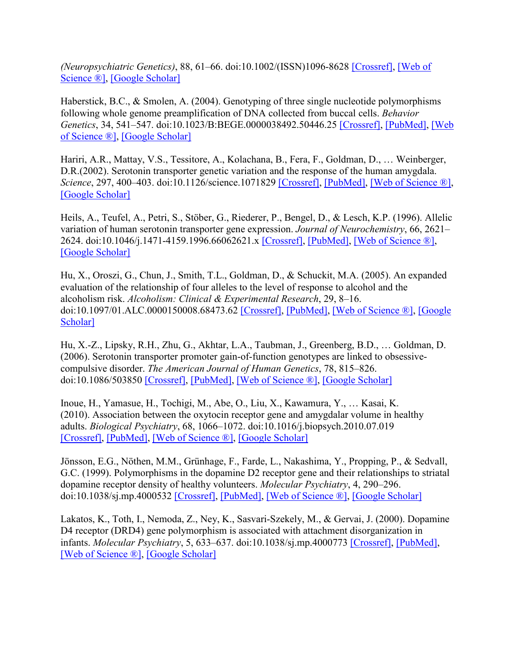*(Neuropsychiatric Genetics)*, 88, 61–66. doi:10.1002/(ISSN)1096-8628 [\[Crossref\],](https://www.tandfonline.com/servlet/linkout?suffix=CIT0021&dbid=16&doi=10.1080%2F14616734.2016.1253759&key=10.1002%2F%28ISSN%291096-8628) [\[Web of](https://www.tandfonline.com/servlet/linkout?suffix=CIT0021&dbid=128&doi=10.1080%2F14616734.2016.1253759&key=000078397400011)  Science <sup>®</sup>], [\[Google Scholar\]](http://scholar.google.com/scholar_lookup?hl=en&publication_year=1999&pages=61-66&author=J.+Gelernter&author=J.F.+Cubells&author=J.R.+Kidd&author=A.J.+Pakstis&author=K.K.+Kidd&title=Population+studies+of+polymorphisms+of+the+serotonin+transporter+protein+gene&)

Haberstick, B.C., & Smolen, A. (2004). Genotyping of three single nucleotide polymorphisms following whole genome preamplification of DNA collected from buccal cells. *Behavior Genetics*, 34, 541–547. doi:10.1023/B:BEGE.0000038492.50446.25 [\[Crossref\],](https://www.tandfonline.com/servlet/linkout?suffix=CIT0022&dbid=16&doi=10.1080%2F14616734.2016.1253759&key=10.1023%2FB%3ABEGE.0000038492.50446.25) [\[PubMed\],](https://www.tandfonline.com/servlet/linkout?suffix=CIT0022&dbid=8&doi=10.1080%2F14616734.2016.1253759&key=15319577) [\[Web](https://www.tandfonline.com/servlet/linkout?suffix=CIT0022&dbid=128&doi=10.1080%2F14616734.2016.1253759&key=000223403200007)  [of Science ®\]](https://www.tandfonline.com/servlet/linkout?suffix=CIT0022&dbid=128&doi=10.1080%2F14616734.2016.1253759&key=000223403200007), [\[Google Scholar\]](http://scholar.google.com/scholar_lookup?hl=en&publication_year=2004&pages=541-547&author=B.C.+Haberstick&author=A.+Smolen&title=Genotyping+of+three+single+nucleotide+polymorphisms+following+whole+genome+preamplification+of+DNA+collected+from+buccal+cells&)

Hariri, A.R., Mattay, V.S., Tessitore, A., Kolachana, B., Fera, F., Goldman, D., … Weinberger, D.R.(2002). Serotonin transporter genetic variation and the response of the human amygdala. *Science*, 297, 400–403. doi:10.1126/science.1071829 [\[Crossref\],](https://www.tandfonline.com/servlet/linkout?suffix=CIT0023&dbid=16&doi=10.1080%2F14616734.2016.1253759&key=10.1126%2Fscience.1071829) [\[PubMed\],](https://www.tandfonline.com/servlet/linkout?suffix=CIT0023&dbid=8&doi=10.1080%2F14616734.2016.1253759&key=12130784) [\[Web of Science ®\]](https://www.tandfonline.com/servlet/linkout?suffix=CIT0023&dbid=128&doi=10.1080%2F14616734.2016.1253759&key=000176892600051), [\[Google Scholar\]](http://scholar.google.com/scholar_lookup?hl=en&publication_year=2002&pages=400-403&author=A.R.+Hariri&author=V.S.+Mattay&author=A.+Tessitore&author=B.+Kolachana&author=F.+Fera&author=D.+Goldman&author=D.R.+Weinberger&title=Serotonin+transporter+genetic+variation+and+the+response+of+the+human+amygdala&)

Heils, A., Teufel, A., Petri, S., Stöber, G., Riederer, P., Bengel, D., & Lesch, K.P. (1996). Allelic variation of human serotonin transporter gene expression. *Journal of Neurochemistry*, 66, 2621– 2624. doi:10.1046/j.1471-4159.1996.66062621.x [\[Crossref\],](https://www.tandfonline.com/servlet/linkout?suffix=CIT0024&dbid=16&doi=10.1080%2F14616734.2016.1253759&key=10.1046%2Fj.1471-4159.1996.66062621.x) [\[PubMed\],](https://www.tandfonline.com/servlet/linkout?suffix=CIT0024&dbid=8&doi=10.1080%2F14616734.2016.1253759&key=8632190) [\[Web of Science ®\]](https://www.tandfonline.com/servlet/linkout?suffix=CIT0024&dbid=128&doi=10.1080%2F14616734.2016.1253759&key=A1996UL58900048), [\[Google Scholar\]](http://scholar.google.com/scholar_lookup?hl=en&publication_year=1996&pages=2621-2624&author=A.+Heils&author=A.+Teufel&author=S.+Petri&author=G.+St%C3%B6ber&author=P.+Riederer&author=D.+Bengel&author=K.P.+Lesch&title=Allelic+variation+of+human+serotonin+transporter+gene+expression&)

Hu, X., Oroszi, G., Chun, J., Smith, T.L., Goldman, D., & Schuckit, M.A. (2005). An expanded evaluation of the relationship of four alleles to the level of response to alcohol and the alcoholism risk. *Alcoholism: Clinical & Experimental Research*, 29, 8–16. doi:10.1097/01.ALC.0000150008.68473.62 [\[Crossref\],](https://www.tandfonline.com/servlet/linkout?suffix=CIT0025&dbid=16&doi=10.1080%2F14616734.2016.1253759&key=10.1097%2F01.ALC.0000150008.68473.62) [\[PubMed\],](https://www.tandfonline.com/servlet/linkout?suffix=CIT0025&dbid=8&doi=10.1080%2F14616734.2016.1253759&key=15654286) [\[Web of Science ®\]](https://www.tandfonline.com/servlet/linkout?suffix=CIT0025&dbid=128&doi=10.1080%2F14616734.2016.1253759&key=000226457200002), [\[Google](http://scholar.google.com/scholar_lookup?hl=en&publication_year=2005&pages=8-16&author=X.+Hu&author=G.+Oroszi&author=J.+Chun&author=T.L.+Smith&author=D.+Goldman&author=M.A.+Schuckit&title=An+expanded+evaluation+of+the+relationship+of+four+alleles+to+the+level+of+response+to+alcohol+and+the+alcoholism+risk&)  [Scholar\]](http://scholar.google.com/scholar_lookup?hl=en&publication_year=2005&pages=8-16&author=X.+Hu&author=G.+Oroszi&author=J.+Chun&author=T.L.+Smith&author=D.+Goldman&author=M.A.+Schuckit&title=An+expanded+evaluation+of+the+relationship+of+four+alleles+to+the+level+of+response+to+alcohol+and+the+alcoholism+risk&)

Hu, X.-Z., Lipsky, R.H., Zhu, G., Akhtar, L.A., Taubman, J., Greenberg, B.D., … Goldman, D. (2006). Serotonin transporter promoter gain-of-function genotypes are linked to obsessivecompulsive disorder. *The American Journal of Human Genetics*, 78, 815–826. doi:10.1086/503850 [\[Crossref\],](https://www.tandfonline.com/servlet/linkout?suffix=CIT0026&dbid=16&doi=10.1080%2F14616734.2016.1253759&key=10.1086%2F503850) [\[PubMed\],](https://www.tandfonline.com/servlet/linkout?suffix=CIT0026&dbid=8&doi=10.1080%2F14616734.2016.1253759&key=16642437) [\[Web of Scie](https://www.tandfonline.com/servlet/linkout?suffix=CIT0026&dbid=128&doi=10.1080%2F14616734.2016.1253759&key=000236756200008)nce ®], [\[Google Scholar\]](http://scholar.google.com/scholar_lookup?hl=en&publication_year=2006&pages=815-826&author=X.-Z.+Hu&author=R.H.+Lipsky&author=G.+Zhu&author=L.A.+Akhtar&author=J.+Taubman&author=B.D.+Greenberg&author=D.+Goldman&title=Serotonin+transporter+promoter+gain-of-function+genotypes+are+linked+to+obsessive-compulsive+disorder&)

Inoue, H., Yamasue, H., Tochigi, M., Abe, O., Liu, X., Kawamura, Y., … Kasai, K. (2010). Association between the oxytocin receptor gene and amygdalar volume in healthy adults. *Biological Psychiatry*, 68, 1066–1072. doi:10.1016/j.biopsych.2010.07.019 [\[Crossref\],](https://www.tandfonline.com/servlet/linkout?suffix=CIT0027&dbid=16&doi=10.1080%2F14616734.2016.1253759&key=10.1016%2Fj.biopsych.2010.07.019) [\[PubMed\],](https://www.tandfonline.com/servlet/linkout?suffix=CIT0027&dbid=8&doi=10.1080%2F14616734.2016.1253759&key=20832055) [\[Web of Science ®\]](https://www.tandfonline.com/servlet/linkout?suffix=CIT0027&dbid=128&doi=10.1080%2F14616734.2016.1253759&key=000284834600016), [\[Google Scholar\]](http://scholar.google.com/scholar_lookup?hl=en&publication_year=2010&pages=1066-1072&author=H.+Inoue&author=H.+Yamasue&author=M.+Tochigi&author=O.+Abe&author=X.+Liu&author=Y.+Kawamura&author=K.+Kasai&title=Association+between+the+oxytocin+receptor+gene+and+amygdalar+volume+in+healthy+adults&)

Jönsson, E.G., Nöthen, M.M., Grünhage, F., Farde, L., Nakashima, Y., Propping, P., & Sedvall, G.C. (1999). Polymorphisms in the dopamine D2 receptor gene and their relationships to striatal dopamine receptor density of healthy volunteers. *Molecular Psychiatry*, 4, 290–296. doi:10.1038/sj.mp.4000532 [\[Crossref\],](https://www.tandfonline.com/servlet/linkout?suffix=CIT0028&dbid=16&doi=10.1080%2F14616734.2016.1253759&key=10.1038%2Fsj.mp.4000532) [\[PubMed\],](https://www.tandfonline.com/servlet/linkout?suffix=CIT0028&dbid=8&doi=10.1080%2F14616734.2016.1253759&key=10395223) [\[Web of Science ®\]](https://www.tandfonline.com/servlet/linkout?suffix=CIT0028&dbid=128&doi=10.1080%2F14616734.2016.1253759&key=000080478700021), [\[Google Scholar\]](http://scholar.google.com/scholar_lookup?hl=en&publication_year=1999&pages=290-296&author=E.G.+J%C3%B6nsson&author=M.M.+N%C3%B6then&author=F.+Gr%C3%BCnhage&author=L.+Farde&author=Y.+Nakashima&author=P.+Propping&author=G.C.+Sedvall&title=Polymorphisms+in+the+dopamine+D2+receptor+gene+and+their+relationships+to+striatal+dopamine+receptor+density+of+healthy+volunteers&)

Lakatos, K., Toth, I., Nemoda, Z., Ney, K., Sasvari-Szekely, M., & Gervai, J. (2000). Dopamine D4 receptor (DRD4) gene polymorphism is associated with attachment disorganization in infants. *Molecular Psychiatry*, 5, 633–637. doi:10.1038/sj.mp.4000773 [\[Crossref\],](https://www.tandfonline.com/servlet/linkout?suffix=CIT0029&dbid=16&doi=10.1080%2F14616734.2016.1253759&key=10.1038%2Fsj.mp.4000773) [\[PubMed\],](https://www.tandfonline.com/servlet/linkout?suffix=CIT0029&dbid=8&doi=10.1080%2F14616734.2016.1253759&key=11126393) [\[Web of Science ®\]](https://www.tandfonline.com/servlet/linkout?suffix=CIT0029&dbid=128&doi=10.1080%2F14616734.2016.1253759&key=000165236600009), [\[Google Scholar\]](http://scholar.google.com/scholar_lookup?hl=en&publication_year=2000&pages=633-637&author=K.+Lakatos&author=I.+Toth&author=Z.+Nemoda&author=K.+Ney&author=M.+Sasvari-Szekely&author=J.+Gervai&title=Dopamine+D4+receptor+%28DRD4%29+gene+polymorphism+is+associated+with+attachment+disorganization+in+infants&)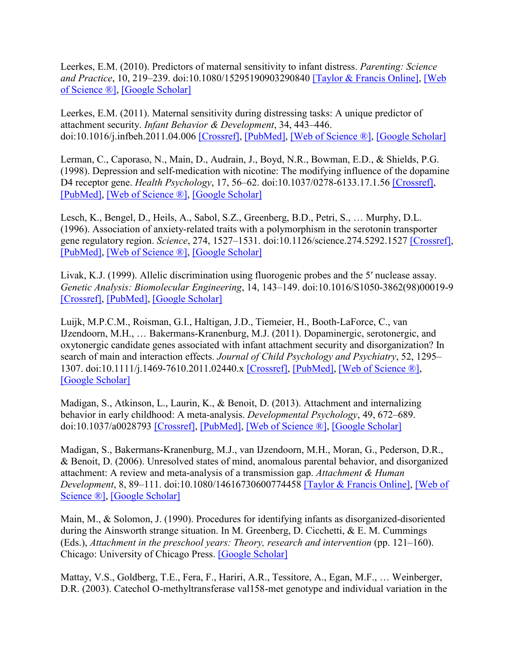Leerkes, E.M. (2010). Predictors of maternal sensitivity to infant distress. *Parenting: Science and Practice*, 10, 219–239. doi:10.1080/15295190903290840 [\[Taylor & Francis Online\],](https://www.tandfonline.com/doi/10.1080/15295190903290840) [\[Web](https://www.tandfonline.com/servlet/linkout?suffix=CIT0030&dbid=128&doi=10.1080%2F14616734.2016.1253759&key=000280637200003)  [of Science ®\]](https://www.tandfonline.com/servlet/linkout?suffix=CIT0030&dbid=128&doi=10.1080%2F14616734.2016.1253759&key=000280637200003), [\[Google Scholar\]](http://scholar.google.com/scholar_lookup?hl=en&publication_year=2010&pages=219-239&author=E.M.+Leerkes&title=Predictors+of+maternal+sensitivity+to+infant+distress&)

Leerkes, E.M. (2011). Maternal sensitivity during distressing tasks: A unique predictor of attachment security. *Infant Behavior & Development*, 34, 443–446. doi:10.1016/j.infbeh.2011.04.006 [\[Crossref\],](https://www.tandfonline.com/servlet/linkout?suffix=CIT0031&dbid=16&doi=10.1080%2F14616734.2016.1253759&key=10.1016%2Fj.infbeh.2011.04.006) [\[PubMed\],](https://www.tandfonline.com/servlet/linkout?suffix=CIT0031&dbid=8&doi=10.1080%2F14616734.2016.1253759&key=21616538) [\[Web of Science ®\]](https://www.tandfonline.com/servlet/linkout?suffix=CIT0031&dbid=128&doi=10.1080%2F14616734.2016.1253759&key=000293484200007), [\[Google Scholar\]](http://scholar.google.com/scholar_lookup?hl=en&publication_year=2011&pages=443-446&author=E.M.+Leerkes&title=Maternal+sensitivity+during+distressing+tasks%3A+A+unique+predictor+of+attachment+security&)

Lerman, C., Caporaso, N., Main, D., Audrain, J., Boyd, N.R., Bowman, E.D., & Shields, P.G. (1998). Depression and self-medication with nicotine: The modifying influence of the dopamine D4 receptor gene. *Health Psychology*, 17, 56–62. doi:10.1037/0278-6133.17.1.56 [\[Crossref\],](https://www.tandfonline.com/servlet/linkout?suffix=CIT0032&dbid=16&doi=10.1080%2F14616734.2016.1253759&key=10.1037%2F0278-6133.17.1.56) [\[PubMed\],](https://www.tandfonline.com/servlet/linkout?suffix=CIT0032&dbid=8&doi=10.1080%2F14616734.2016.1253759&key=9459071) [\[Web of Science ®\]](https://www.tandfonline.com/servlet/linkout?suffix=CIT0032&dbid=128&doi=10.1080%2F14616734.2016.1253759&key=000071524100008), [\[Google Scholar\]](http://scholar.google.com/scholar_lookup?hl=en&publication_year=1998&pages=56-62&author=C.+Lerman&author=N.+Caporaso&author=D.+Main&author=J.+Audrain&author=N.R.+Boyd&author=E.D.+Bowman&author=P.G.+Shields&title=Depression+and+self-medication+with+nicotine%3A+The+modifying+influence+of+the+dopamine+D4+receptor+gene&)

Lesch, K., Bengel, D., Heils, A., Sabol, S.Z., Greenberg, B.D., Petri, S., … Murphy, D.L. (1996). Association of anxiety-related traits with a polymorphism in the serotonin transporter gene regulatory region. *Science*, 274, 1527–1531. doi:10.1126/science.274.5292.1527 [\[Crossref\],](https://www.tandfonline.com/servlet/linkout?suffix=CIT0033&dbid=16&doi=10.1080%2F14616734.2016.1253759&key=10.1126%2Fscience.274.5292.1527) [\[PubMed\],](https://www.tandfonline.com/servlet/linkout?suffix=CIT0033&dbid=8&doi=10.1080%2F14616734.2016.1253759&key=8929413) [\[Web of Science ®\]](https://www.tandfonline.com/servlet/linkout?suffix=CIT0033&dbid=128&doi=10.1080%2F14616734.2016.1253759&key=A1996VV77500048), [\[Google Scholar\]](http://scholar.google.com/scholar_lookup?hl=en&publication_year=1996&pages=1527-1531&author=K.+Lesch&author=D.+Bengel&author=A.+Heils&author=S.Z.+Sabol&author=B.D.+Greenberg&author=S.+Petri&author=D.L.+Murphy&title=Association+of+anxiety-related+traits+with+a+polymorphism+in+the+serotonin+transporter+gene+regulatory+region&)

Livak, K.J. (1999). Allelic discrimination using fluorogenic probes and the 5′ nuclease assay. *Genetic Analysis: Biomolecular Engineering*, 14, 143–149. doi:10.1016/S1050-3862(98)00019-9 [\[Crossref\],](https://www.tandfonline.com/servlet/linkout?suffix=CIT0034&dbid=16&doi=10.1080%2F14616734.2016.1253759&key=10.1016%2FS1050-3862%2898%2900019-9) [\[PubMed\],](https://www.tandfonline.com/servlet/linkout?suffix=CIT0034&dbid=8&doi=10.1080%2F14616734.2016.1253759&key=10084106) [\[Google Scholar\]](http://scholar.google.com/scholar_lookup?hl=en&publication_year=1999&pages=143-149&author=K.J.+Livak&title=Allelic+discrimination+using+fluorogenic+probes+and+the+5%E2%80%B2+nuclease+assay&)

Luijk, M.P.C.M., Roisman, G.I., Haltigan, J.D., Tiemeier, H., Booth-LaForce, C., van IJzendoorn, M.H., … Bakermans-Kranenburg, M.J. (2011). Dopaminergic, serotonergic, and oxytonergic candidate genes associated with infant attachment security and disorganization? In search of main and interaction effects. *Journal of Child Psychology and Psychiatry*, 52, 1295– 1307. doi:10.1111/j.1469-7610.2011.02440.x [\[Crossref\],](https://www.tandfonline.com/servlet/linkout?suffix=CIT0035&dbid=16&doi=10.1080%2F14616734.2016.1253759&key=10.1111%2Fj.1469-7610.2011.02440.x) [\[PubMed\],](https://www.tandfonline.com/servlet/linkout?suffix=CIT0035&dbid=8&doi=10.1080%2F14616734.2016.1253759&key=21749372) [\[Web of Science ®\]](https://www.tandfonline.com/servlet/linkout?suffix=CIT0035&dbid=128&doi=10.1080%2F14616734.2016.1253759&key=000296422100011), [\[Google Scholar\]](http://scholar.google.com/scholar_lookup?hl=en&publication_year=2011&pages=1295-1307&author=M.P.C.M.+Luijk&author=G.I.+Roisman&author=J.D.+Haltigan&author=H.+Tiemeier&author=C.+Booth-LaForce&author=M.H.+van+IJzendoorn&author=M.J.+Bakermans-Kranenburg&title=Dopaminergic%2C+serotonergic%2C+and+oxytonergic+candidate+genes+associated+with+infant+attachment+security+and+disorganization%3F+In+search+of+main+and+interaction+effects&)

Madigan, S., Atkinson, L., Laurin, K., & Benoit, D. (2013). Attachment and internalizing behavior in early childhood: A meta-analysis. *Developmental Psychology*, 49, 672–689. doi:10.1037/a0028793 [\[Crossref\],](https://www.tandfonline.com/servlet/linkout?suffix=CIT0036&dbid=16&doi=10.1080%2F14616734.2016.1253759&key=10.1037%2Fa0028793) [\[PubMed\],](https://www.tandfonline.com/servlet/linkout?suffix=CIT0036&dbid=8&doi=10.1080%2F14616734.2016.1253759&key=22686171) [\[Web of Science ®\]](https://www.tandfonline.com/servlet/linkout?suffix=CIT0036&dbid=128&doi=10.1080%2F14616734.2016.1253759&key=000316840100006), [\[Google Scholar\]](http://scholar.google.com/scholar_lookup?hl=en&publication_year=2013&pages=672-689&author=S.+Madigan&author=L.+Atkinson&author=K.+Laurin&author=D.+Benoit&title=Attachment+and+internalizing+behavior+in+early+childhood%3A+A+meta-analysis&)

Madigan, S., Bakermans-Kranenburg, M.J., van IJzendoorn, M.H., Moran, G., Pederson, D.R., & Benoit, D. (2006). Unresolved states of mind, anomalous parental behavior, and disorganized attachment: A review and meta-analysis of a transmission gap. *Attachment & Human Development*, 8, 89–111. doi:10.1080/14616730600774458 [\[Taylor & Francis Online\],](https://www.tandfonline.com/doi/10.1080/14616730600774458) [\[Web of](https://www.tandfonline.com/servlet/linkout?suffix=CIT0037&dbid=128&doi=10.1080%2F14616734.2016.1253759&key=000239239400001)  Science <sup>®</sup>], [\[Google Scholar\]](http://scholar.google.com/scholar_lookup?hl=en&publication_year=2006&pages=89-111&author=S.+Madigan&author=M.J.+Bakermans-Kranenburg&author=M.H.+van+IJzendoorn&author=G.+Moran&author=D.R.+Pederson&author=D.+Benoit&title=Unresolved+states+of+mind%2C+anomalous+parental+behavior%2C+and+disorganized+attachment%3A+A+review+and+meta-analysis+of+a+transmission+gap&)

Main, M., & Solomon, J. (1990). Procedures for identifying infants as disorganized-disoriented during the Ainsworth strange situation. In M. Greenberg, D. Cicchetti, & E. M. Cummings (Eds.), *Attachment in the preschool years: Theory, research and intervention* (pp. 121–160). Chicago: University of Chicago Press. [\[Google Scholar\]](http://scholar.google.com/scholar_lookup?hl=en&publication_year=1990&pages=121-160&author=M.+Main&author=J.+Solomon&title=Procedures+for+identifying+infants+as+disorganized-disoriented+during+the+Ainsworth+strange+situation)

Mattay, V.S., Goldberg, T.E., Fera, F., Hariri, A.R., Tessitore, A., Egan, M.F., … Weinberger, D.R. (2003). Catechol O-methyltransferase val158-met genotype and individual variation in the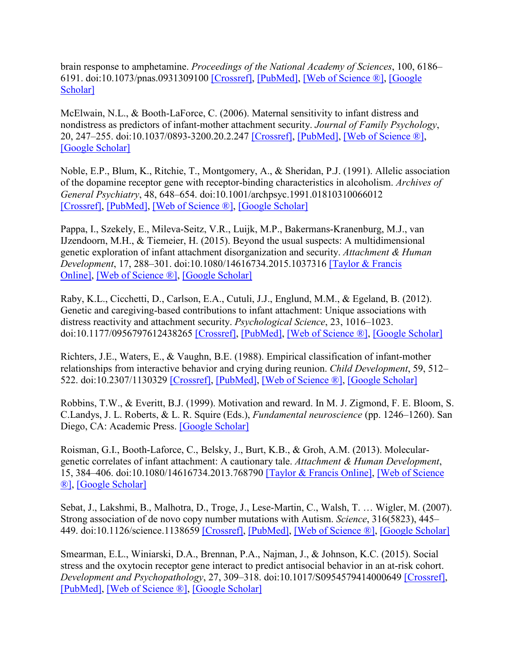brain response to amphetamine. *Proceedings of the National Academy of Sciences*, 100, 6186– 6191. doi:10.1073/pnas.0931309100 [\[Crossref\],](https://www.tandfonline.com/servlet/linkout?suffix=CIT0039&dbid=16&doi=10.1080%2F14616734.2016.1253759&key=10.1073%2Fpnas.0931309100) [\[PubMed\],](https://www.tandfonline.com/servlet/linkout?suffix=CIT0039&dbid=8&doi=10.1080%2F14616734.2016.1253759&key=12716966) [\[Web of Science ®\]](https://www.tandfonline.com/servlet/linkout?suffix=CIT0039&dbid=128&doi=10.1080%2F14616734.2016.1253759&key=000182939400110), [\[Google](http://scholar.google.com/scholar_lookup?hl=en&publication_year=2003&pages=6186-6191&author=V.S.+Mattay&author=T.E.+Goldberg&author=F.+Fera&author=A.R.+Hariri&author=A.+Tessitore&author=M.F.+Egan&author=D.R.+Weinberger&title=Catechol+O-methyltransferase+val158-met+genotype+and+individual+variation+in+the+brain+response+to+amphetamine&)  [Scholar\]](http://scholar.google.com/scholar_lookup?hl=en&publication_year=2003&pages=6186-6191&author=V.S.+Mattay&author=T.E.+Goldberg&author=F.+Fera&author=A.R.+Hariri&author=A.+Tessitore&author=M.F.+Egan&author=D.R.+Weinberger&title=Catechol+O-methyltransferase+val158-met+genotype+and+individual+variation+in+the+brain+response+to+amphetamine&)

McElwain, N.L., & Booth-LaForce, C. (2006). Maternal sensitivity to infant distress and nondistress as predictors of infant-mother attachment security. *Journal of Family Psychology*, 20, 247–255. doi:10.1037/0893-3200.20.2.247 [\[Crossref\],](https://www.tandfonline.com/servlet/linkout?suffix=CIT0040&dbid=16&doi=10.1080%2F14616734.2016.1253759&key=10.1037%2F0893-3200.20.2.247) [\[PubMed\],](https://www.tandfonline.com/servlet/linkout?suffix=CIT0040&dbid=8&doi=10.1080%2F14616734.2016.1253759&key=16756400) [\[Web of Science ®\]](https://www.tandfonline.com/servlet/linkout?suffix=CIT0040&dbid=128&doi=10.1080%2F14616734.2016.1253759&key=000238333900008), [\[Google Scholar\]](http://scholar.google.com/scholar_lookup?hl=en&publication_year=2006&pages=247-255&author=N.L.+McElwain&author=C.+Booth-LaForce&title=Maternal+sensitivity+to+infant+distress+and+nondistress+as+predictors+of+infant-mother+attachment+security&)

Noble, E.P., Blum, K., Ritchie, T., Montgomery, A., & Sheridan, P.J. (1991). Allelic association of the dopamine receptor gene with receptor-binding characteristics in alcoholism. *Archives of General Psychiatry*, 48, 648–654. doi:10.1001/archpsyc.1991.01810310066012 [\[Crossref\],](https://www.tandfonline.com/servlet/linkout?suffix=CIT0041&dbid=16&doi=10.1080%2F14616734.2016.1253759&key=10.1001%2Farchpsyc.1991.01810310066012) [\[PubMed\],](https://www.tandfonline.com/servlet/linkout?suffix=CIT0041&dbid=8&doi=10.1080%2F14616734.2016.1253759&key=2069496) [\[Web of Science ®\]](https://www.tandfonline.com/servlet/linkout?suffix=CIT0041&dbid=128&doi=10.1080%2F14616734.2016.1253759&key=A1991FW28300009), [\[Google Scholar\]](http://scholar.google.com/scholar_lookup?hl=en&publication_year=1991&pages=648-654&author=E.P.+Noble&author=K.+Blum&author=T.+Ritchie&author=A.+Montgomery&author=P.J.+Sheridan&title=Allelic+association+of+the+dopamine+receptor+gene+with+receptor-binding+characteristics+in+alcoholism&)

Pappa, I., Szekely, E., Mileva-Seitz, V.R., Luijk, M.P., Bakermans-Kranenburg, M.J., van IJzendoorn, M.H., & Tiemeier, H. (2015). Beyond the usual suspects: A multidimensional genetic exploration of infant attachment disorganization and security. *Attachment & Human Development*, 17, 288–301. doi:10.1080/14616734.2015.1037316 [\[Taylor & Francis](https://www.tandfonline.com/doi/10.1080/14616734.2015.1037316)  [Online\],](https://www.tandfonline.com/doi/10.1080/14616734.2015.1037316) [\[Web of Science ®\]](https://www.tandfonline.com/servlet/linkout?suffix=CIT0042&dbid=128&doi=10.1080%2F14616734.2016.1253759&key=000354791200004), [\[Google Scholar\]](http://scholar.google.com/scholar_lookup?hl=en&publication_year=2015&pages=288-301&author=I.+Pappa&author=E.+Szekely&author=V.R.+Mileva-Seitz&author=M.P.+Luijk&author=M.J.+Bakermans-Kranenburg&author=M.H.+van+IJzendoorn&author=H.+Tiemeier&title=Beyond+the+usual+suspects%3A+A+multidimensional+genetic+exploration+of+infant+attachment+disorganization+and+security&)

Raby, K.L., Cicchetti, D., Carlson, E.A., Cutuli, J.J., Englund, M.M., & Egeland, B. (2012). Genetic and caregiving-based contributions to infant attachment: Unique associations with distress reactivity and attachment security. *Psychological Science*, 23, 1016–1023. doi:10.1177/0956797612438265 [\[Crossref\],](https://www.tandfonline.com/servlet/linkout?suffix=CIT0043&dbid=16&doi=10.1080%2F14616734.2016.1253759&key=10.1177%2F0956797612438265) [\[PubMed\],](https://www.tandfonline.com/servlet/linkout?suffix=CIT0043&dbid=8&doi=10.1080%2F14616734.2016.1253759&key=22829464) [\[Web of Science ®\]](https://www.tandfonline.com/servlet/linkout?suffix=CIT0043&dbid=128&doi=10.1080%2F14616734.2016.1253759&key=000314467600010), [\[Google Scholar\]](http://scholar.google.com/scholar_lookup?hl=en&publication_year=2012&pages=1016-1023&author=K.L.+Raby&author=D.+Cicchetti&author=E.A.+Carlson&author=J.J.+Cutuli&author=M.M.+Englund&author=B.+Egeland&title=Genetic+and+caregiving-based+contributions+to+infant+attachment%3A+Unique+associations+with+distress+reactivity+and+attachment+security&)

Richters, J.E., Waters, E., & Vaughn, B.E. (1988). Empirical classification of infant-mother relationships from interactive behavior and crying during reunion. *Child Development*, 59, 512– 522. doi:10.2307/1130329 [\[Crossref\],](https://www.tandfonline.com/servlet/linkout?suffix=CIT0044&dbid=16&doi=10.1080%2F14616734.2016.1253759&key=10.2307%2F1130329) [\[PubMed\],](https://www.tandfonline.com/servlet/linkout?suffix=CIT0044&dbid=8&doi=10.1080%2F14616734.2016.1253759&key=3359869) [\[Web of Science ®\]](https://www.tandfonline.com/servlet/linkout?suffix=CIT0044&dbid=128&doi=10.1080%2F14616734.2016.1253759&key=A1988M556500019), [\[Google Scholar\]](http://scholar.google.com/scholar_lookup?hl=en&publication_year=1988&pages=512-522&author=J.E.+Richters&author=E.+Waters&author=B.E.+Vaughn&title=Empirical+classification+of+infant-mother+relationships+from+interactive+behavior+and+crying+during+reunion&)

Robbins, T.W., & Everitt, B.J. (1999). Motivation and reward. In M. J. Zigmond, F. E. Bloom, S. C.Landys, J. L. Roberts, & L. R. Squire (Eds.), *Fundamental neuroscience* (pp. 1246–1260). San Diego, CA: Academic Press. [\[Google Scholar\]](http://scholar.google.com/scholar_lookup?hl=en&publication_year=1999&pages=1246-1260&author=T.W.+Robbins&author=B.J.+Everitt&title=Motivation+and+reward)

Roisman, G.I., Booth-Laforce, C., Belsky, J., Burt, K.B., & Groh, A.M. (2013). Moleculargenetic correlates of infant attachment: A cautionary tale. *Attachment & Human Development*, 15, 384–406. doi:10.1080/14616734.2013.768790 [\[Taylor & Francis Online\],](https://www.tandfonline.com/doi/10.1080/14616734.2013.768790) [\[Web of Science](https://www.tandfonline.com/servlet/linkout?suffix=CIT0046&dbid=128&doi=10.1080%2F14616734.2016.1253759&key=000321730800003)  [®\]](https://www.tandfonline.com/servlet/linkout?suffix=CIT0046&dbid=128&doi=10.1080%2F14616734.2016.1253759&key=000321730800003), [\[Google Scholar\]](http://scholar.google.com/scholar_lookup?hl=en&publication_year=2013&pages=384-406&author=G.I.+Roisman&author=C.+Booth-Laforce&author=J.+Belsky&author=K.B.+Burt&author=A.M.+Groh&title=Molecular-genetic+correlates+of+infant+attachment%3A+A+cautionary+tale&)

Sebat, J., Lakshmi, B., Malhotra, D., Troge, J., Lese-Martin, C., Walsh, T. … Wigler, M. (2007). Strong association of de novo copy number mutations with Autism. *Science*, 316(5823), 445– 449. doi:10.1126/science.1138659 [\[Crossref\],](https://www.tandfonline.com/servlet/linkout?suffix=CIT0047&dbid=16&doi=10.1080%2F14616734.2016.1253759&key=10.1126%2Fscience.1138659) [\[PubMed\],](https://www.tandfonline.com/servlet/linkout?suffix=CIT0047&dbid=8&doi=10.1080%2F14616734.2016.1253759&key=17363630) [\[Web of Science ®\]](https://www.tandfonline.com/servlet/linkout?suffix=CIT0047&dbid=128&doi=10.1080%2F14616734.2016.1253759&key=000245813400056), [\[Google Scholar\]](http://scholar.google.com/scholar_lookup?hl=en&publication_year=2007&pages=445-449&issue=5823&author=J.+Sebat&author=B.+Lakshmi&author=D.+Malhotra&author=J.+Troge&author=C.+Lese-Martin&author=T.+Walsh&author=M.+Wigler&title=Strong+association+of+de+novo+copy+number+mutations+with+Autism&)

Smearman, E.L., Winiarski, D.A., Brennan, P.A., Najman, J., & Johnson, K.C. (2015). Social stress and the oxytocin receptor gene interact to predict antisocial behavior in an at-risk cohort. *Development and Psychopathology*, 27, 309–318. doi:10.1017/S0954579414000649 [\[Crossref\],](https://www.tandfonline.com/servlet/linkout?suffix=CIT0048&dbid=16&doi=10.1080%2F14616734.2016.1253759&key=10.1017%2FS0954579414000649) [\[PubMed\],](https://www.tandfonline.com/servlet/linkout?suffix=CIT0048&dbid=8&doi=10.1080%2F14616734.2016.1253759&key=25003328) [\[Web of Science ®\]](https://www.tandfonline.com/servlet/linkout?suffix=CIT0048&dbid=128&doi=10.1080%2F14616734.2016.1253759&key=000354106300022), [\[Google Scholar\]](http://scholar.google.com/scholar_lookup?hl=en&publication_year=2015&pages=309-318&author=E.L.+Smearman&author=D.A.+Winiarski&author=P.A.+Brennan&author=J.+Najman&author=K.C.+Johnson&title=Social+stress+and+the+oxytocin+receptor+gene+interact+to+predict+antisocial+behavior+in+an+at-risk+cohort&)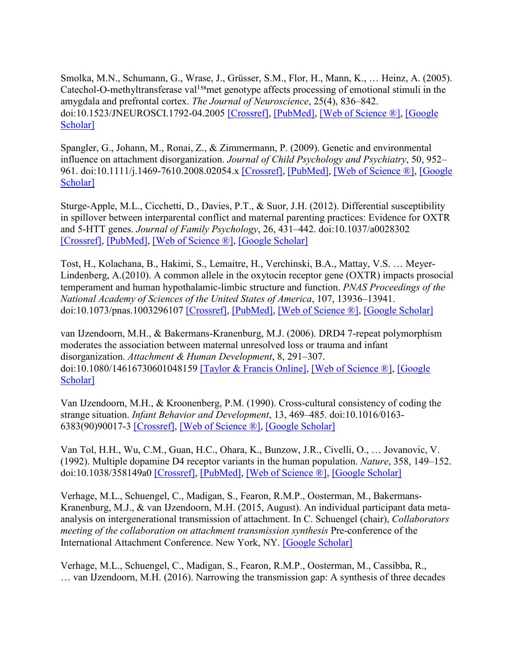Smolka, M.N., Schumann, G., Wrase, J., Grüsser, S.M., Flor, H., Mann, K., … Heinz, A. (2005). Catechol-O-methyltransferase val<sup>158</sup>met genotype affects processing of emotional stimuli in the amygdala and prefrontal cortex. *The Journal of Neuroscience*, 25(4), 836–842. doi:10.1523/JNEUROSCI.1792-04.2005 [\[Crossref\],](https://www.tandfonline.com/servlet/linkout?suffix=CIT0049&dbid=16&doi=10.1080%2F14616734.2016.1253759&key=10.1523%2FJNEUROSCI.1792-04.2005) [\[PubMed\],](https://www.tandfonline.com/servlet/linkout?suffix=CIT0049&dbid=8&doi=10.1080%2F14616734.2016.1253759&key=15673663) [[Web of Science ®\]](https://www.tandfonline.com/servlet/linkout?suffix=CIT0049&dbid=128&doi=10.1080%2F14616734.2016.1253759&key=000226577000008), [\[Google](http://scholar.google.com/scholar_lookup?hl=en&publication_year=2005&pages=836-842&issue=4&author=M.N.+Smolka&author=G.+Schumann&author=J.+Wrase&author=S.M.+Gr%C3%BCsser&author=H.+Flor&author=K.+Mann&author=A.+Heinz&title=Catechol-O-methyltransferase+val1%E2%81%B5%E2%81%B8met+genotype+affects+processing+of+emotional+stimuli+in+the+amygdala+and+prefrontal+cortex&)  [Scholar\]](http://scholar.google.com/scholar_lookup?hl=en&publication_year=2005&pages=836-842&issue=4&author=M.N.+Smolka&author=G.+Schumann&author=J.+Wrase&author=S.M.+Gr%C3%BCsser&author=H.+Flor&author=K.+Mann&author=A.+Heinz&title=Catechol-O-methyltransferase+val1%E2%81%B5%E2%81%B8met+genotype+affects+processing+of+emotional+stimuli+in+the+amygdala+and+prefrontal+cortex&)

Spangler, G., Johann, M., Ronai, Z., & Zimmermann, P. (2009). Genetic and environmental influence on attachment disorganization. *Journal of Child Psychology and Psychiatry*, 50, 952– 961. doi:10.1111/j.1469-7610.2008.02054.x [\[Crossref\],](https://www.tandfonline.com/servlet/linkout?suffix=CIT0050&dbid=16&doi=10.1080%2F14616734.2016.1253759&key=10.1111%2Fj.1469-7610.2008.02054.x) [\[PubMed\],](https://www.tandfonline.com/servlet/linkout?suffix=CIT0050&dbid=8&doi=10.1080%2F14616734.2016.1253759&key=19673052) [\[Web of Science ®\]](https://www.tandfonline.com/servlet/linkout?suffix=CIT0050&dbid=128&doi=10.1080%2F14616734.2016.1253759&key=000268057200009), [\[Google](http://scholar.google.com/scholar_lookup?hl=en&publication_year=2009&pages=952-961&author=G.+Spangler&author=M.+Johann&author=Z.+Ronai&author=P.+Zimmermann&title=Genetic+and+environmental+influence+on+attachment+disorganization&)  [Scholar\]](http://scholar.google.com/scholar_lookup?hl=en&publication_year=2009&pages=952-961&author=G.+Spangler&author=M.+Johann&author=Z.+Ronai&author=P.+Zimmermann&title=Genetic+and+environmental+influence+on+attachment+disorganization&)

Sturge-Apple, M.L., Cicchetti, D., Davies, P.T., & Suor, J.H. (2012). Differential susceptibility in spillover between interparental conflict and maternal parenting practices: Evidence for OXTR and 5-HTT genes. *Journal of Family Psychology*, 26, 431–442. doi:10.1037/a0028302 [\[Crossref\],](https://www.tandfonline.com/servlet/linkout?suffix=CIT0051&dbid=16&doi=10.1080%2F14616734.2016.1253759&key=10.1037%2Fa0028302) [\[PubMed\],](https://www.tandfonline.com/servlet/linkout?suffix=CIT0051&dbid=8&doi=10.1080%2F14616734.2016.1253759&key=22563705) [\[Web of Science ®\]](https://www.tandfonline.com/servlet/linkout?suffix=CIT0051&dbid=128&doi=10.1080%2F14616734.2016.1253759&key=000304785300015), [\[Google Scholar\]](http://scholar.google.com/scholar_lookup?hl=en&publication_year=2012&pages=431-442&author=M.L.+Sturge-Apple&author=D.+Cicchetti&author=P.T.+Davies&author=J.H.+Suor&title=Differential+susceptibility+in+spillover+between+interparental+conflict+and+maternal+parenting+practices%3A+Evidence+for+OXTR+and+5-HTT+genes&)

Tost, H., Kolachana, B., Hakimi, S., Lemaitre, H., Verchinski, B.A., Mattay, V.S. … Meyer-Lindenberg, A.(2010). A common allele in the oxytocin receptor gene (OXTR) impacts prosocial temperament and human hypothalamic-limbic structure and function. *PNAS Proceedings of the National Academy of Sciences of the United States of America*, 107, 13936–13941. doi:10.1073/pnas.1003296107 [\[Crossref\],](https://www.tandfonline.com/servlet/linkout?suffix=CIT0052&dbid=16&doi=10.1080%2F14616734.2016.1253759&key=10.1073%2Fpnas.1003296107) [\[PubMed\],](https://www.tandfonline.com/servlet/linkout?suffix=CIT0052&dbid=8&doi=10.1080%2F14616734.2016.1253759&key=20647384) [\[Web of Science ®\]](https://www.tandfonline.com/servlet/linkout?suffix=CIT0052&dbid=128&doi=10.1080%2F14616734.2016.1253759&key=000280605900069), [\[Google Scholar\]](http://scholar.google.com/scholar_lookup?hl=en&publication_year=2010&pages=13936-13941&author=H.+Tost&author=B.+Kolachana&author=S.+Hakimi&author=H.+Lemaitre&author=B.A.+Verchinski&author=V.S.+Mattay&author=A.+Meyer-Lindenberg&title=A+common+allele+in+the+oxytocin+receptor+gene+%28OXTR%29+impacts+prosocial+temperament+and+human+hypothalamic-limbic+structure+and+function&)

van IJzendoorn, M.H., & Bakermans-Kranenburg, M.J. (2006). DRD4 7-repeat polymorphism moderates the association between maternal unresolved loss or trauma and infant disorganization. *Attachment & Human Development*, 8, 291–307. doi:10.1080/14616730601048159 [\[Taylor & Francis Online\],](https://www.tandfonline.com/doi/10.1080/14616730601048159) [\[Web of Science ®\]](https://www.tandfonline.com/servlet/linkout?suffix=CIT0053&dbid=128&doi=10.1080%2F14616734.2016.1253759&key=000243880800001), [\[Google](http://scholar.google.com/scholar_lookup?hl=en&publication_year=2006&pages=291-307&author=M.H.+van+IJzendoorn&author=M.J.+Bakermans-Kranenburg&title=DRD4+7-repeat+polymorphism+moderates+the+association+between+maternal+unresolved+loss+or+trauma+and+infant+disorganization&)  [Scholar\]](http://scholar.google.com/scholar_lookup?hl=en&publication_year=2006&pages=291-307&author=M.H.+van+IJzendoorn&author=M.J.+Bakermans-Kranenburg&title=DRD4+7-repeat+polymorphism+moderates+the+association+between+maternal+unresolved+loss+or+trauma+and+infant+disorganization&)

Van IJzendoorn, M.H., & Kroonenberg, P.M. (1990). Cross-cultural consistency of coding the strange situation. *Infant Behavior and Development*, 13, 469–485. doi:10.1016/0163- 6383(90)90017-3 [\[Crossref\],](https://www.tandfonline.com/servlet/linkout?suffix=CIT0054&dbid=16&doi=10.1080%2F14616734.2016.1253759&key=10.1016%2F0163-6383%2890%2990017-3) [\[Web of Science ®\]](https://www.tandfonline.com/servlet/linkout?suffix=CIT0054&dbid=128&doi=10.1080%2F14616734.2016.1253759&key=A1990FX02400005), [\[Google Scholar\]](http://scholar.google.com/scholar_lookup?hl=en&publication_year=1990&pages=469-485&author=M.H.+Van+IJzendoorn&author=P.M.+Kroonenberg&title=Cross-cultural+consistency+of+coding+the+strange+situation&)

Van Tol, H.H., Wu, C.M., Guan, H.C., Ohara, K., Bunzow, J.R., Civelli, O., … Jovanovic, V. (1992). Multiple dopamine D4 receptor variants in the human population. *Nature*, 358, 149–152. doi:10.1038/358149a0 [\[Crossref\],](https://www.tandfonline.com/servlet/linkout?suffix=CIT0055&dbid=16&doi=10.1080%2F14616734.2016.1253759&key=10.1038%2F358149a0) [\[PubMed\],](https://www.tandfonline.com/servlet/linkout?suffix=CIT0055&dbid=8&doi=10.1080%2F14616734.2016.1253759&key=1319557) [\[Web of Science ®\]](https://www.tandfonline.com/servlet/linkout?suffix=CIT0055&dbid=128&doi=10.1080%2F14616734.2016.1253759&key=A1992JC58300051), [\[Google Scholar\]](http://scholar.google.com/scholar_lookup?hl=en&publication_year=1992&pages=149-152&author=H.H.+Van+Tol&author=C.M.+Wu&author=H.C.+Guan&author=K.+Ohara&author=J.R.+Bunzow&author=O.+Civelli&author=V.+Jovanovic&title=Multiple+dopamine+D4+receptor+variants+in+the+human+population&)

Verhage, M.L., Schuengel, C., Madigan, S., Fearon, R.M.P., Oosterman, M., Bakermans-Kranenburg, M.J., & van IJzendoorn, M.H. (2015, August). An individual participant data metaanalysis on intergenerational transmission of attachment. In C. Schuengel (chair), *Collaborators meeting of the collaboration on attachment transmission synthesis* Pre-conference of the International Attachment Conference. New York, NY. [\[Google Scholar\]](http://scholar.google.com/scholar_lookup?hl=en&publication_year=2015&author=M.L.+Verhage&author=C.+Schuengel&author=S.+Madigan&author=R.M.P.+Fearon&author=M.+Oosterman&author=M.J.+Bakermans-Kranenburg&author=M.H.+van+IJzendoorn&title=An+individual+participant+data+meta-analysis+on+intergenerational+transmission+of+attachment)

Verhage, M.L., Schuengel, C., Madigan, S., Fearon, R.M.P., Oosterman, M., Cassibba, R., … van IJzendoorn, M.H. (2016). Narrowing the transmission gap: A synthesis of three decades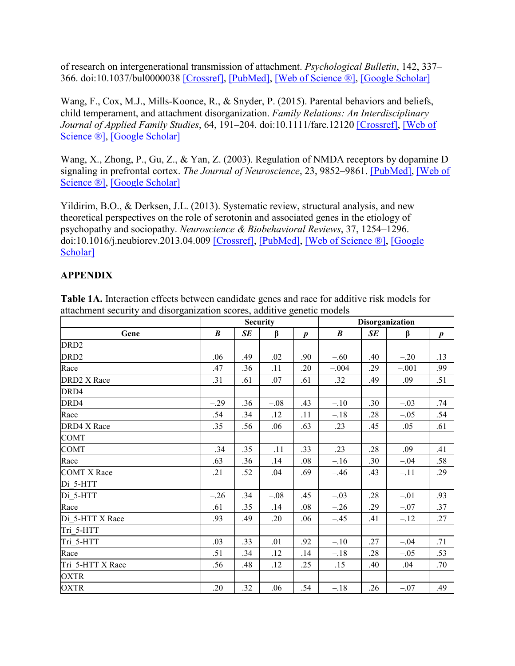of research on intergenerational transmission of attachment. *Psychological Bulletin*, 142, 337– 366. doi:10.1037/bul0000038 [\[Crossref\],](https://www.tandfonline.com/servlet/linkout?suffix=CIT0057&dbid=16&doi=10.1080%2F14616734.2016.1253759&key=10.1037%2Fbul0000038) [\[PubMed\],](https://www.tandfonline.com/servlet/linkout?suffix=CIT0057&dbid=8&doi=10.1080%2F14616734.2016.1253759&key=26653864) [\[Web of Science ®\]](https://www.tandfonline.com/servlet/linkout?suffix=CIT0057&dbid=128&doi=10.1080%2F14616734.2016.1253759&key=000374242000001), [\[Google Scholar\]](http://scholar.google.com/scholar_lookup?hl=en&publication_year=2016&pages=337-366&author=M.L.+Verhage&author=C.+Schuengel&author=S.+Madigan&author=R.M.P.+Fearon&author=M.+Oosterman&author=R.+Cassibba&author=M.H.+van+IJzendoorn&title=Narrowing+the+transmission+gap%3A+A+synthesis+of+three+decades+of+research+on+intergenerational+transmission+of+attachment&)

Wang, F., Cox, M.J., Mills-Koonce, R., & Snyder, P. (2015). Parental behaviors and beliefs, child temperament, and attachment disorganization. *Family Relations: An Interdisciplinary Journal of Applied Family Studies*, 64, 191–204. doi:10.1111/fare.12120 [\[Crossref\],](https://www.tandfonline.com/servlet/linkout?suffix=CIT0058&dbid=16&doi=10.1080%2F14616734.2016.1253759&key=10.1111%2Ffare.12120) [\[Web of](https://www.tandfonline.com/servlet/linkout?suffix=CIT0058&dbid=128&doi=10.1080%2F14616734.2016.1253759&key=000350812100001)  [Science ®\]](https://www.tandfonline.com/servlet/linkout?suffix=CIT0058&dbid=128&doi=10.1080%2F14616734.2016.1253759&key=000350812100001), [\[Google Scholar\]](http://scholar.google.com/scholar_lookup?hl=en&publication_year=2015&pages=191-204&author=F.+Wang&author=M.J.+Cox&author=R.+Mills-Koonce&author=P.+Snyder&title=Parental+behaviors+and+beliefs%2C+child+temperament%2C+and+attachment+disorganization&)

Wang, X., Zhong, P., Gu, Z., & Yan, Z. (2003). Regulation of NMDA receptors by dopamine D signaling in prefrontal cortex. *The Journal of Neuroscience*, 23, 9852–9861. [\[PubMed\],](https://www.tandfonline.com/servlet/linkout?suffix=CIT0059&dbid=8&doi=10.1080%2F14616734.2016.1253759&key=14586014) [\[Web of](https://www.tandfonline.com/servlet/linkout?suffix=CIT0059&dbid=128&doi=10.1080%2F14616734.2016.1253759&key=000186242100019)  [Science ®\]](https://www.tandfonline.com/servlet/linkout?suffix=CIT0059&dbid=128&doi=10.1080%2F14616734.2016.1253759&key=000186242100019), [\[Google Scholar\]](http://scholar.google.com/scholar_lookup?hl=en&publication_year=2003&pages=9852-9861&author=X.+Wang&author=P.+Zhong&author=Z.+Gu&author=Z.+Yan&title=Regulation+of+NMDA+receptors+by+dopamine+D+signaling+in+prefrontal+cortex&)

Yildirim, B.O., & Derksen, J.L. (2013). Systematic review, structural analysis, and new theoretical perspectives on the role of serotonin and associated genes in the etiology of psychopathy and sociopathy. *Neuroscience & Biobehavioral Reviews*, 37, 1254–1296. doi:10.1016/j.neubiorev.2013.04.009 [\[Crossref\],](https://www.tandfonline.com/servlet/linkout?suffix=CIT0060&dbid=16&doi=10.1080%2F14616734.2016.1253759&key=10.1016%2Fj.neubiorev.2013.04.009) [\[PubMed\],](https://www.tandfonline.com/servlet/linkout?suffix=CIT0060&dbid=8&doi=10.1080%2F14616734.2016.1253759&key=23644029) [\[Web of Science ®\]](https://www.tandfonline.com/servlet/linkout?suffix=CIT0060&dbid=128&doi=10.1080%2F14616734.2016.1253759&key=000321938200005), [\[Google](http://scholar.google.com/scholar_lookup?hl=en&publication_year=2013&pages=1254-1296&author=B.O.+Yildirim&author=J.L.+Derksen&title=Systematic+review%2C+structural+analysis%2C+and+new+theoretical+perspectives+on+the+role+of+serotonin+and+associated+genes+in+the+etiology+of+psychopathy+and+sociopathy&)  [Scholar\]](http://scholar.google.com/scholar_lookup?hl=en&publication_year=2013&pages=1254-1296&author=B.O.+Yildirim&author=J.L.+Derksen&title=Systematic+review%2C+structural+analysis%2C+and+new+theoretical+perspectives+on+the+role+of+serotonin+and+associated+genes+in+the+etiology+of+psychopathy+and+sociopathy&)

# **APPENDIX**

|                    |                  |     | <b>Security</b> |                  | Disorganization  |     |         |                  |  |  |
|--------------------|------------------|-----|-----------------|------------------|------------------|-----|---------|------------------|--|--|
| Gene               | $\boldsymbol{B}$ | SE  | $\beta$         | $\boldsymbol{p}$ | $\boldsymbol{B}$ | SE  | $\beta$ | $\boldsymbol{p}$ |  |  |
| DRD <sub>2</sub>   |                  |     |                 |                  |                  |     |         |                  |  |  |
| DRD <sub>2</sub>   | .06              | .49 | .02             | .90              | $-.60$           | .40 | $-.20$  | .13              |  |  |
| Race               | .47              | .36 | .11             | .20              | $-.004$          | .29 | $-.001$ | .99              |  |  |
| DRD2 X Race        | .31              | .61 | .07             | .61              | .32              | .49 | .09     | .51              |  |  |
| DRD4               |                  |     |                 |                  |                  |     |         |                  |  |  |
| DRD4               | $-.29$           | .36 | $-.08$          | .43              | $-.10$           | .30 | $-.03$  | .74              |  |  |
| Race               | .54              | .34 | .12             | .11              | $-.18$           | .28 | $-.05$  | .54              |  |  |
| DRD4 X Race        | .35              | .56 | .06             | .63              | .23              | .45 | .05     | .61              |  |  |
| <b>COMT</b>        |                  |     |                 |                  |                  |     |         |                  |  |  |
| <b>COMT</b>        | $-.34$           | .35 | $-.11$          | .33              | .23              | .28 | .09     | .41              |  |  |
| Race               | .63              | .36 | .14             | .08              | $-.16$           | .30 | $-.04$  | .58              |  |  |
| <b>COMT X Race</b> | .21              | .52 | .04             | .69              | $-.46$           | .43 | $-.11$  | .29              |  |  |
| Di 5-HTT           |                  |     |                 |                  |                  |     |         |                  |  |  |
| Di 5-HTT           | $-.26$           | .34 | $-.08$          | .45              | $-.03$           | .28 | $-.01$  | .93              |  |  |
| Race               | .61              | .35 | .14             | .08              | $-.26$           | .29 | $-.07$  | .37              |  |  |
| Di 5-HTT X Race    | .93              | .49 | .20             | .06              | $-.45$           | .41 | $-.12$  | .27              |  |  |
| Tri 5-HTT          |                  |     |                 |                  |                  |     |         |                  |  |  |
| Tri 5-HTT          | .03              | .33 | .01             | .92              | $-.10$           | .27 | $-.04$  | .71              |  |  |
| Race               | .51              | .34 | .12             | .14              | $-.18$           | .28 | $-.05$  | .53              |  |  |
| Tri 5-HTT X Race   | .56              | .48 | .12             | .25              | .15              | .40 | .04     | .70              |  |  |
| <b>OXTR</b>        |                  |     |                 |                  |                  |     |         |                  |  |  |
| <b>OXTR</b>        | .20              | .32 | .06             | .54              | $-.18$           | .26 | $-.07$  | .49              |  |  |

**Table 1A.** Interaction effects between candidate genes and race for additive risk models for attachment security and disorganization scores, additive genetic models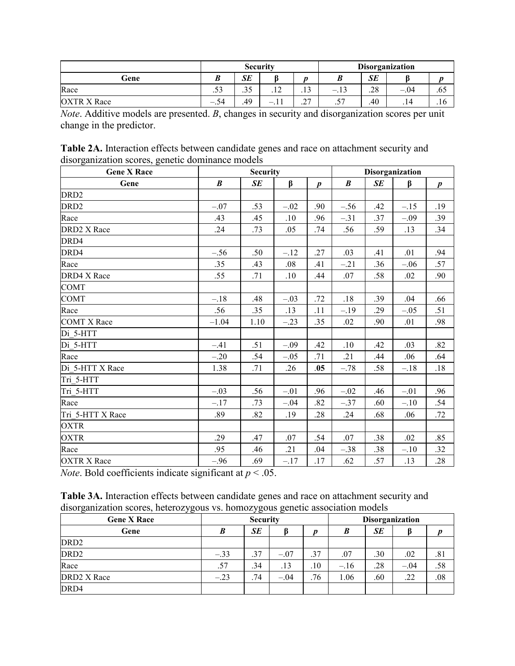|                    |               |     | <b>Security</b>    |                                    | Disorganization |     |        |     |  |  |  |
|--------------------|---------------|-----|--------------------|------------------------------------|-----------------|-----|--------|-----|--|--|--|
| Gene               | ט             | SE  |                    |                                    |                 | SE  |        |     |  |  |  |
| Race               | .53           | .35 | $1^{\circ}$<br>.14 | 1 <sub>2</sub><br>.19              | $-.1.$          | .28 | $-.04$ | .63 |  |  |  |
| <b>OXTR X Race</b> | - 1<br>$-.34$ | .49 | $-1$               | $\sim$<br>$\overline{\phantom{a}}$ | --<br>$\cdot$   | .40 | .14    | .10 |  |  |  |

*Note*. Additive models are presented. *B*, changes in security and disorganization scores per unit change in the predictor.

|  | Table 2A. Interaction effects between candidate genes and race on attachment security and |  |  |
|--|-------------------------------------------------------------------------------------------|--|--|
|  | disorganization scores, genetic dominance models                                          |  |  |

| <b>Gene X Race</b> |                  |      | Disorganization |                  |                  |     |        |                  |
|--------------------|------------------|------|-----------------|------------------|------------------|-----|--------|------------------|
| Gene               | $\boldsymbol{B}$ | SE   | $\beta$         | $\boldsymbol{p}$ | $\boldsymbol{B}$ | SE  | β      | $\boldsymbol{p}$ |
| DRD <sub>2</sub>   |                  |      |                 |                  |                  |     |        |                  |
| DRD <sub>2</sub>   | $-.07$           | .53  | $-.02$          | .90              | $-.56$           | .42 | $-.15$ | .19              |
| Race               | .43              | .45  | .10             | .96              | $-.31$           | .37 | $-.09$ | .39              |
| <b>DRD2 X Race</b> | .24              | .73  | .05             | .74              | .56              | .59 | .13    | .34              |
| DRD4               |                  |      |                 |                  |                  |     |        |                  |
| DRD4               | $-.56$           | .50  | $-.12$          | .27              | .03              | .41 | .01    | .94              |
| Race               | .35              | .43  | .08             | .41              | $-.21$           | .36 | $-.06$ | .57              |
| <b>DRD4 X Race</b> | .55              | .71  | .10             | .44              | .07              | .58 | .02    | .90              |
| <b>COMT</b>        |                  |      |                 |                  |                  |     |        |                  |
| <b>COMT</b>        | $-.18$           | .48  | $-.03$          | .72              | .18              | .39 | .04    | .66              |
| Race               | .56              | .35  | .13             | .11              | $-.19$           | .29 | $-.05$ | .51              |
| <b>COMT X Race</b> | $-1.04$          | 1.10 | $-.23$          | .35              | .02              | .90 | .01    | .98              |
| Di 5-HTT           |                  |      |                 |                  |                  |     |        |                  |
| Di 5-HTT           | $-.41$           | .51  | $-.09$          | .42              | .10              | .42 | .03    | .82              |
| Race               | $-.20$           | .54  | $-.05$          | .71              | .21              | .44 | .06    | .64              |
| Di 5-HTT X Race    | 1.38             | .71  | .26             | .05              | $-.78$           | .58 | $-.18$ | .18              |
| Tri_5-HTT          |                  |      |                 |                  |                  |     |        |                  |
| Tri 5-HTT          | $-.03$           | .56  | $-.01$          | .96              | $-.02$           | .46 | $-.01$ | .96              |
| Race               | $-.17$           | .73  | $-.04$          | .82              | $-.37$           | .60 | $-.10$ | .54              |
| Tri 5-HTT X Race   | .89              | .82  | .19             | .28              | .24              | .68 | .06    | .72              |
| <b>OXTR</b>        |                  |      |                 |                  |                  |     |        |                  |
| <b>OXTR</b>        | .29              | .47  | .07             | .54              | .07              | .38 | .02    | .85              |
| Race               | .95              | .46  | .21             | .04              | $-.38$           | .38 | $-.10$ | .32              |
| <b>OXTR X Race</b> | $-.96$           | .69  | $-.17$          | .17              | .62              | .57 | .13    | .28              |

*Note*. Bold coefficients indicate significant at  $p < .05$ .

|                                                                                |  | Table 3A. Interaction effects between candidate genes and race on attachment security and |
|--------------------------------------------------------------------------------|--|-------------------------------------------------------------------------------------------|
| disorganization scores, heterozygous vs. homozygous genetic association models |  |                                                                                           |

| <b>Gene X Race</b> |        | <b>Security</b> |        |         |        |     | Disorganization |     |  |  |  |  |
|--------------------|--------|-----------------|--------|---------|--------|-----|-----------------|-----|--|--|--|--|
| Gene               | B      | SE              |        | D       | B      | SE  |                 |     |  |  |  |  |
| DRD <sub>2</sub>   |        |                 |        |         |        |     |                 |     |  |  |  |  |
| DRD <sub>2</sub>   | $-.33$ | .37             | $-.07$ | .37     | .07    | .30 | .02             | .81 |  |  |  |  |
| Race               | .57    | .34             | .13    | $.10\,$ | $-.16$ | .28 | $-.04$          | .58 |  |  |  |  |
| DRD2 X Race        | $-.23$ | .74             | $-.04$ | .76     | 1.06   | .60 | .22             | .08 |  |  |  |  |
| DRD4               |        |                 |        |         |        |     |                 |     |  |  |  |  |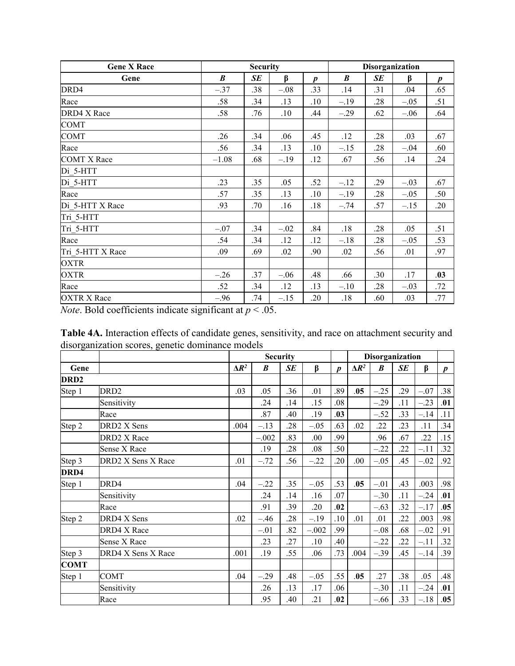| <b>Gene X Race</b> |                  | <b>Security</b> |        |                  | <b>Disorganization</b> |     |        |                  |
|--------------------|------------------|-----------------|--------|------------------|------------------------|-----|--------|------------------|
| Gene               | $\boldsymbol{B}$ | SE              | β      | $\boldsymbol{p}$ | B                      | SE  | β      | $\boldsymbol{p}$ |
| DRD4               | $-.37$           | .38             | $-.08$ | .33              | .14                    | .31 | .04    | .65              |
| Race               | .58              | .34             | .13    | .10              | $-.19$                 | .28 | $-.05$ | .51              |
| DRD4 X Race        | .58              | .76             | .10    | .44              | $-.29$                 | .62 | $-.06$ | .64              |
| <b>COMT</b>        |                  |                 |        |                  |                        |     |        |                  |
| <b>COMT</b>        | .26              | .34             | .06    | .45              | .12                    | .28 | .03    | .67              |
| Race               | .56              | .34             | .13    | .10              | $-.15$                 | .28 | $-.04$ | .60              |
| <b>COMT X Race</b> | $-1.08$          | .68             | $-.19$ | .12              | .67                    | .56 | .14    | .24              |
| Di 5-HTT           |                  |                 |        |                  |                        |     |        |                  |
| Di 5-HTT           | .23              | .35             | .05    | .52              | $-.12$                 | .29 | $-.03$ | .67              |
| Race               | .57              | .35             | .13    | .10              | $-.19$                 | .28 | $-.05$ | .50              |
| Di 5-HTT X Race    | .93              | .70             | .16    | .18              | $-.74$                 | .57 | $-.15$ | .20              |
| Tri 5-HTT          |                  |                 |        |                  |                        |     |        |                  |
| Tri 5-HTT          | $-.07$           | .34             | $-.02$ | .84              | .18                    | .28 | .05    | .51              |
| Race               | .54              | .34             | .12    | .12              | $-.18$                 | .28 | $-.05$ | .53              |
| Tri 5-HTT X Race   | .09              | .69             | .02    | .90              | .02                    | .56 | .01    | .97              |
| <b>OXTR</b>        |                  |                 |        |                  |                        |     |        |                  |
| <b>OXTR</b>        | $-.26$           | .37             | $-.06$ | .48              | .66                    | .30 | .17    | .03              |
| Race               | .52              | .34             | .12    | .13              | $-.10$                 | .28 | $-.03$ | .72              |
| <b>OXTR X Race</b> | $-.96$           | .74             | $-.15$ | .20              | .18                    | .60 | .03    | .77              |

*Note*. Bold coefficients indicate significant at  $p < .05$ .

| Table 4A. Interaction effects of candidate genes, sensitivity, and race on attachment security and |  |  |  |  |  |
|----------------------------------------------------------------------------------------------------|--|--|--|--|--|
| disorganization scores, genetic dominance models                                                   |  |  |  |  |  |

|                  |                    |              | <b>Security</b> |     |         |                  |              |                  | Disorganization |        |                  |  |  |
|------------------|--------------------|--------------|-----------------|-----|---------|------------------|--------------|------------------|-----------------|--------|------------------|--|--|
| Gene             |                    | $\Delta R^2$ | B               | SE  | β       | $\boldsymbol{p}$ | $\Delta R^2$ | $\boldsymbol{B}$ | SE              | β      | $\boldsymbol{p}$ |  |  |
| DRD <sub>2</sub> |                    |              |                 |     |         |                  |              |                  |                 |        |                  |  |  |
| Step 1           | DRD <sub>2</sub>   | .03          | .05             | .36 | .01     | .89              | .05          | $-.25$           | .29             | $-.07$ | .38              |  |  |
|                  | Sensitivity        |              | .24             | .14 | .15     | .08              |              | $-.29$           | .11             | $-.23$ | .01              |  |  |
|                  | Race               |              | .87             | .40 | .19     | .03              |              | $-.52$           | .33             | $-.14$ | .11              |  |  |
| Step 2           | DRD2 X Sens        | .004         | $-.13$          | .28 | $-.05$  | .63              | .02          | .22              | .23             | .11    | .34              |  |  |
|                  | <b>DRD2 X Race</b> |              | $-.002$         | .83 | .00     | .99              |              | .96              | .67             | .22    | .15              |  |  |
|                  | Sense X Race       |              | .19             | .28 | .08     | .50              |              | $-.22$           | .22             | $-.11$ | .32              |  |  |
| Step 3           | DRD2 X Sens X Race | .01          | $-.72$          | .56 | $-.22$  | .20              | .00          | $-.05$           | .45             | $-.02$ | .92              |  |  |
| DRD4             |                    |              |                 |     |         |                  |              |                  |                 |        |                  |  |  |
| Step 1           | DRD4               | .04          | $-.22$          | .35 | $-.05$  | .53              | .05          | $-.01$           | .43             | .003   | .98              |  |  |
|                  | Sensitivity        |              | .24             | .14 | .16     | .07              |              | $-.30$           | .11             | $-.24$ | .01              |  |  |
|                  | Race               |              | .91             | .39 | .20     | .02              |              | $-.63$           | .32             | $-.17$ | .05              |  |  |
| Step 2           | DRD4 X Sens        | .02          | $-.46$          | .28 | $-.19$  | .10              | .01          | .01              | .22             | .003   | .98              |  |  |
|                  | <b>DRD4 X Race</b> |              | $-.01$          | .82 | $-.002$ | .99              |              | $-.08$           | .68             | $-.02$ | .91              |  |  |
|                  | Sense X Race       |              | .23             | .27 | .10     | .40              |              | $-.22$           | .22             | $-.11$ | .32              |  |  |
| Step 3           | DRD4 X Sens X Race | .001         | .19             | .55 | .06     | .73              | .004         | $-.39$           | .45             | $-.14$ | .39              |  |  |
| <b>COMT</b>      |                    |              |                 |     |         |                  |              |                  |                 |        |                  |  |  |
| Step 1           | <b>COMT</b>        | .04          | $-.29$          | .48 | $-.05$  | .55              | .05          | .27              | .38             | .05    | .48              |  |  |
|                  | Sensitivity        |              | .26             | .13 | .17     | .06              |              | $-.30$           | .11             | $-.24$ | .01              |  |  |
|                  | Race               |              | .95             | .40 | .21     | .02              |              | $-.66$           | .33             | $-.18$ | .05              |  |  |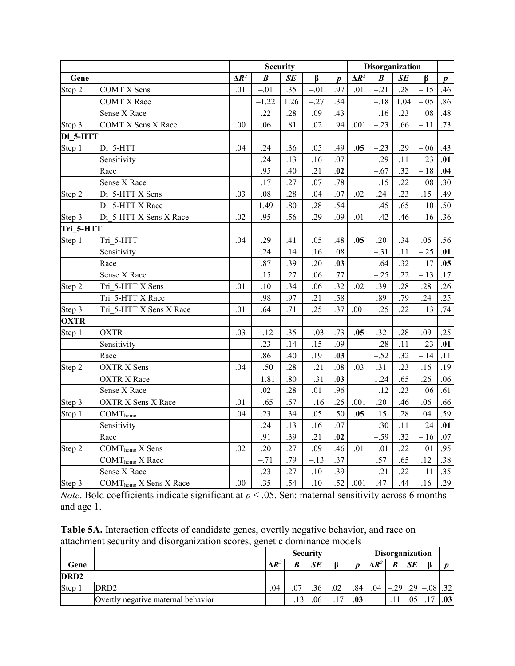|             |                                    |              | <b>Security</b> |      |         |                  | Disorganization |                  |      |        |                  |
|-------------|------------------------------------|--------------|-----------------|------|---------|------------------|-----------------|------------------|------|--------|------------------|
| Gene        |                                    | $\Delta R^2$ | B               | SE   | β       | $\boldsymbol{p}$ | $\Delta R^2$    | $\boldsymbol{B}$ | SE   | β      | $\boldsymbol{p}$ |
| Step 2      | <b>COMT X Sens</b>                 | .01          | $-.01$          | .35  | $-.01$  | .97              | .01             | $-.21$           | .28  | $-.15$ | .46              |
|             | <b>COMT X Race</b>                 |              | $-1.22$         | 1.26 | $-.27$  | .34              |                 | $-.18$           | 1.04 | $-.05$ | .86              |
|             | Sense X Race                       |              | .22             | .28  | .09     | .43              |                 | $-.16$           | .23  | $-.08$ | .48              |
| Step 3      | <b>COMT X Sens X Race</b>          | .00.         | .06             | .81  | .02     | .94              | .001            | $-.23$           | .66  | $-.11$ | .73              |
| Di 5-HTT    |                                    |              |                 |      |         |                  |                 |                  |      |        |                  |
| Step 1      | Di 5-HTT                           | .04          | .24             | .36  | .05     | .49              | .05             | $-.23$           | .29  | $-.06$ | .43              |
|             | Sensitivity                        |              | .24             | .13  | .16     | .07              |                 | $-.29$           | .11  | $-.23$ | .01              |
|             | Race                               |              | .95             | .40  | .21     | .02              |                 | $-.67$           | .32  | $-.18$ | .04              |
|             | Sense X Race                       |              | .17             | .27  | .07     | $.78\,$          |                 | $-.15$           | .22  | $-.08$ | .30              |
| Step 2      | Di 5-HTT X Sens                    | .03          | .08             | .28  | .04     | .07              | .02             | .24              | .23  | .15    | .49              |
|             | Di 5-HTT X Race                    |              | 1.49            | .80  | .28     | .54              |                 | $-.45$           | .65  | $-.10$ | .50              |
| Step 3      | Di 5-HTT X Sens X Race             | .02          | .95             | .56  | .29     | .09              | .01             | $-.42$           | .46  | $-.16$ | .36              |
| Tri 5-HTT   |                                    |              |                 |      |         |                  |                 |                  |      |        |                  |
| Step 1      | Tri 5-HTT                          | .04          | .29             | .41  | .05     | .48              | .05             | .20              | .34  | .05    | .56              |
|             | Sensitivity                        |              | .24             | .14  | .16     | .08              |                 | $-.31$           | .11  | $-.25$ | .01              |
|             | Race                               |              | .87             | .39  | .20     | .03              |                 | $-.64$           | .32  | $-.17$ | .05              |
|             | Sense X Race                       |              | .15             | .27  | .06     | .77              |                 | $-.25$           | .22  | $-.13$ | .17              |
| Step 2      | Tri 5-HTT X Sens                   | .01          | .10             | .34  | .06     | .32              | .02             | .39              | .28  | .28    | .26              |
|             | Tri 5-HTT X Race                   |              | .98             | .97  | .21     | .58              |                 | .89              | .79  | .24    | .25              |
| Step 3      | Tri 5-HTT X Sens X Race            | .01          | .64             | .71  | .25     | .37              | .001            | $-.25$           | .22  | $-.13$ | .74              |
| <b>OXTR</b> |                                    |              |                 |      |         |                  |                 |                  |      |        |                  |
| Step 1      | <b>OXTR</b>                        | .03          | $-.12$          | .35  | $-.03$  | .73              | .05             | .32              | .28  | .09    | .25              |
|             | Sensitivity                        |              | .23             | .14  | .15     | .09              |                 | $-.28$           | .11  | $-.23$ | .01              |
|             | Race                               |              | .86             | .40  | .19     | .03              |                 | $-.52$           | .32  | $-.14$ | .11              |
| Step 2      | <b>OXTR X Sens</b>                 | .04          | $-.50$          | .28  | $-.21$  | .08              | .03             | .31              | .23  | .16    | .19              |
|             | <b>OXTR X Race</b>                 |              | $-1.81$         | .80  | $-.31$  | .03              |                 | 1.24             | .65  | .26    | .06              |
|             | Sense X Race                       |              | .02             | .28  | .01     | .96              |                 | $-.12$           | .23  | $-.06$ | .61              |
| Step 3      | OXTR X Sens X Race                 | .01          | $-.65$          | .57  | $-.16$  | .25              | .001            | .20              | .46  | .06    | .66              |
| Step 1      | $COMT_{\text{homo}}$               | .04          | .23             | .34  | .05     | .50              | .05             | .15              | .28  | .04    | .59              |
|             | Sensitivity                        |              | .24             | .13  | .16     | .07              |                 | $-.30$           | .11  | $-.24$ | .01              |
|             | Race                               |              | .91             | .39  | .21     | .02              |                 | $-.59$           | .32  | $-.16$ | $.07$            |
| Step 2      | COMT <sub>homo</sub> X Sens        | .02          | .20             | .27  | .09     | .46              | .01             | $-.01$           | .22  | $-.01$ | .95              |
|             | COMT <sub>homo</sub> X Race        |              | $-.71$          | .79  | $-.13$  | .37              |                 | .57              | .65  | .12    | .38              |
|             | Sense X Race                       |              | .23             | .27  | $.10\,$ | .39              |                 | $-.21$           | .22  | $-.11$ | .35              |
| Step 3      | COMT <sub>homo</sub> X Sens X Race | .00          | .35             | .54  | $.10\,$ | .52              | .001            | .47              | .44  | .16    | .29              |

*Note*. Bold coefficients indicate significant at  $p < .05$ . Sen: maternal sensitivity across 6 months and age 1.

**Table 5A.** Interaction effects of candidate genes, overtly negative behavior, and race on attachment security and disorganization scores, genetic dominance models

|                  | $\sim$ $\sim$                      | <b>Security</b> |        |     |                |     | <b>Disorganization</b> |                                                     |           |                |     |
|------------------|------------------------------------|-----------------|--------|-----|----------------|-----|------------------------|-----------------------------------------------------|-----------|----------------|-----|
| Gene             |                                    | $\Delta R^2$    | R      | SE  | o              |     | $\Delta R^2$           | B                                                   | <b>SE</b> |                |     |
| DRD <sub>2</sub> |                                    |                 |        |     |                |     |                        |                                                     |           |                |     |
| Step 1           | DRD <sub>2</sub>                   | .04             | .07    | .36 | .02            | .84 | .04                    | $\left[-.29\right], 29\left[-.08\right], 32\right]$ |           |                |     |
|                  | Overtly negative maternal behavior |                 | $-.13$ | .06 | 1 <sub>7</sub> | .03 |                        |                                                     |           | 1 <sub>7</sub> | .03 |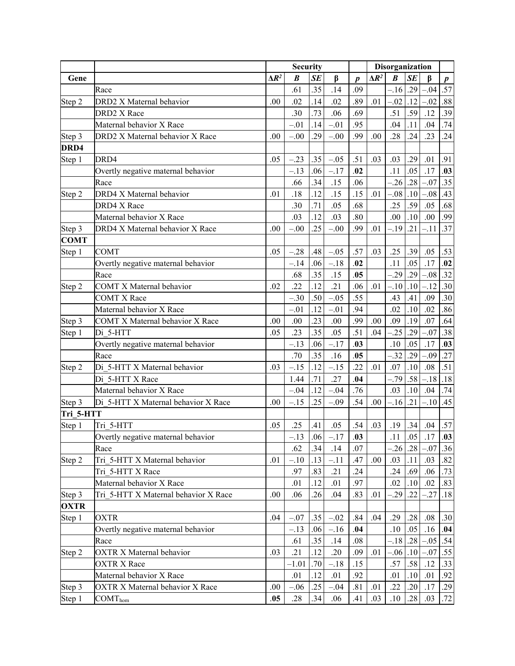|             |                                      |              | <b>Security</b>  |     |        |                  | Disorganization |                  |     |         |                  |
|-------------|--------------------------------------|--------------|------------------|-----|--------|------------------|-----------------|------------------|-----|---------|------------------|
| Gene        |                                      | $\Delta R^2$ | $\boldsymbol{B}$ | SE  | β      | $\boldsymbol{p}$ | $\Delta R^2$    | $\boldsymbol{B}$ | SE  | β       | $\boldsymbol{p}$ |
|             | Race                                 |              | .61              | .35 | .14    | .09              |                 | $-.16$           | .29 | $-.04$  | .57              |
| Step 2      | DRD2 X Maternal behavior             | .00          | .02              | .14 | .02    | .89              | .01             | $-.02$           | .12 | $-0.02$ | .88              |
|             | DRD2 X Race                          |              | .30              | .73 | .06    | .69              |                 | .51              | .59 | .12     | .39              |
|             | Maternal behavior X Race             |              | $-.01$           | .14 | $-.01$ | .95              |                 | .04              | .11 | .04     | .74              |
| Step 3      | DRD2 X Maternal behavior X Race      | .00          | $-.00$           | .29 | $-.00$ | .99              | .00             | .28              | .24 | .23     | .24              |
| DRD4        |                                      |              |                  |     |        |                  |                 |                  |     |         |                  |
| Step 1      | DRD4                                 | .05          | $-.23$           | .35 | $-.05$ | .51              | .03             | .03              | .29 | .01     | .91              |
|             | Overtly negative maternal behavior   |              | $-.13$           | .06 | $-.17$ | .02              |                 | .11              | .05 | .17     | .03              |
|             | Race                                 |              | .66              | .34 | .15    | .06              |                 | $-26$            | .28 | $-.07$  | .35              |
| Step 2      | DRD4 X Maternal behavior             | .01          | .18              | .12 | .15    | .15              | .01             | $-0.08$          | .10 | $-.08$  | .43              |
|             | DRD4 X Race                          |              | .30              | .71 | .05    | .68              |                 | .25              | .59 | .05     | .68              |
|             | Maternal behavior X Race             |              | .03              | .12 | .03    | .80              |                 | .00              | .10 | .00     | .99              |
| Step 3      | DRD4 X Maternal behavior X Race      | .00          | $-.00$           | .25 | $-.00$ | .99              | .01             | $-.19$           | .21 | $-.11$  | .37              |
| <b>COMT</b> |                                      |              |                  |     |        |                  |                 |                  |     |         |                  |
| Step 1      | <b>COMT</b>                          | .05          | $-.28$           | .48 | $-.05$ | .57              | .03             | .25              | .39 | .05     | .53              |
|             | Overtly negative maternal behavior   |              | $-.14$           | .06 | $-.18$ | .02              |                 | .11              | .05 | .17     | .02              |
|             | Race                                 |              | .68              | .35 | .15    | .05              |                 | $-29$            | .29 | $-.08$  | .32              |
| Step 2      | <b>COMT X Maternal behavior</b>      | .02          | .22              | .12 | .21    | .06              | .01             | $-.10$           | .10 | $-.12$  | .30              |
|             | <b>COMT X Race</b>                   |              | $-.30$           | .50 | $-.05$ | .55              |                 | .43              | .41 | .09     | .30              |
|             | Maternal behavior X Race             |              | $-.01$           | .12 | $-.01$ | .94              |                 | .02              | .10 | .02     | .86              |
| Step 3      | COMT X Maternal behavior X Race      | .00          | .00              | .23 | .00    | .99              | .00             | .09              | .19 | .07     | .64              |
| Step 1      | Di 5-HTT                             | .05          | .23              | .35 | .05    | .51              | .04             | $-.25$           | .29 | $-.07$  | .38              |
|             | Overtly negative maternal behavior   |              | $-.13$           | .06 | $-.17$ | .03              |                 | .10              | .05 | .17     | .03              |
|             | Race                                 |              | .70              | .35 | .16    | .05              |                 | $-32$            | .29 | $-.09$  | .27              |
| Step 2      | Di 5-HTT X Maternal behavior         | .03          | $-.15$           | .12 | $-.15$ | .22              | .01             | .07              | .10 | .08     | .51              |
|             | Di 5-HTT X Race                      |              | 1.44             | .71 | .27    | .04              |                 | $-0.79$          | .58 | $-.18$  | .18              |
|             | Maternal behavior X Race             |              | $-.04$           | .12 | $-.04$ | .76              |                 | .03              | .10 | .04     | .74              |
| Step 3      | Di 5-HTT X Maternal behavior X Race  | .00          | $-.15$           | .25 | $-.09$ | .54              | .00             | $-.16$           | .21 | $-.10$  | .45              |
| Tri 5-HTT   |                                      |              |                  |     |        |                  |                 |                  |     |         |                  |
| Step 1      | Tri 5-HTT                            | .05          | .25              | .41 | .05    | .54              | .03             | .19              | .34 | .04     | .57              |
|             | Overtly negative maternal behavior   |              | $-13$            | .06 | $-17$  | .03              |                 | .11              | .05 | .17     | .03              |
|             | Race                                 |              | .62              | .34 | .14    | .07              |                 | $-.26$ .28       |     | $-.07$  | .36              |
| Step 2      | Tri_5-HTT X Maternal behavior        | .01          | $-.10$           | .13 | $-.11$ | .47              | .00.            | .03              | .11 | .03     | .82              |
|             | Tri 5-HTT X Race                     |              | .97              | .83 | .21    | .24              |                 | .24              | .69 | .06     | .73              |
|             | Maternal behavior X Race             |              | .01              | .12 | .01    | .97              |                 | .02              | .10 | .02     | .83              |
| Step 3      | Tri 5-HTT X Maternal behavior X Race | .00          | .06              | .26 | .04    | .83              | .01             | $-0.29$          | .22 | $-27$   | .18              |
| <b>OXTR</b> |                                      |              |                  |     |        |                  |                 |                  |     |         |                  |
| Step 1      | <b>OXTR</b>                          | .04          | $-.07$           | .35 | $-.02$ | .84              | .04             | .29              | .28 | $.08\,$ | .30              |
|             | Overtly negative maternal behavior   |              | $-.13$           | .06 | $-.16$ | .04              |                 | .10              | .05 | .16     | .04              |
|             | Race                                 |              | .61              | .35 | .14    | .08              |                 | $-.18$           | .28 | $-.05$  | .54              |
| Step 2      | <b>OXTR X Maternal behavior</b>      | .03          | .21              | .12 | .20    | .09              | .01             | $-.06$ .10       |     | $-.07$  | .55              |
|             | <b>OXTR X Race</b>                   |              | $-1.01$          | .70 | $-.18$ | .15              |                 | .57              | .58 | .12     | .33              |
|             | Maternal behavior X Race             |              | .01              | .12 | .01    | .92              |                 | $.01\,$          | .10 | .01     | .92              |
| Step 3      | OXTR X Maternal behavior X Race      | .00.         | $-.06$           | .25 | $-.04$ | .81              | .01             | .22              | .20 | .17     | .29              |
| Step 1      | $COMT_{\text{hom}}$                  | .05          | .28              | .34 | .06    | .41              | .03             | .10              | .28 | .03     | .72              |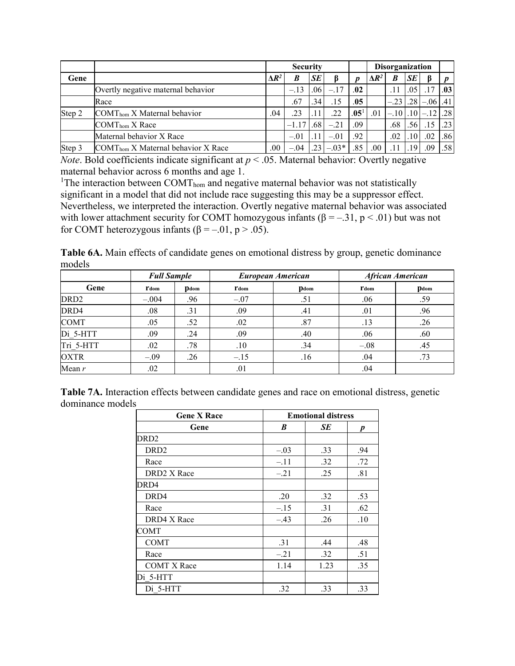|        |                                                       | <b>Disorganization</b><br><b>Security</b> |         |      |         |                  |              |            |      |                  |                  |
|--------|-------------------------------------------------------|-------------------------------------------|---------|------|---------|------------------|--------------|------------|------|------------------|------------------|
| Gene   |                                                       | $\Delta R^2$                              | B       | SE   | ß       | D                | $\Delta R^2$ | B          | SE   |                  |                  |
|        | Overtly negative maternal behavior                    |                                           | $-.13$  | .061 | $-.17$  | .02              |              | -11        | .05  | .17              | .031             |
|        | Race                                                  |                                           | .67     | .34  | .15     | .05              |              | $-.23$ .28 |      | $-.06$ .41       |                  |
| Step 2 | $\text{COMT}_{\text{hom}}$ X Maternal behavior        | .04                                       | .23     | .11  | .22     | .05 <sup>1</sup> | .01          |            |      | $-.10$ .10.12.28 |                  |
|        | $COMT_{\text{hom}} X$ Race                            |                                           | $-1.17$ | .681 | $-.21$  | .09              |              | .68        | .561 | .15              | .23              |
|        | Maternal behavior X Race                              |                                           | $-.01$  | .11  | $-.01$  | .92              |              | .02        | .10  | .02              | .86 <sub>1</sub> |
| Step 3 | $\text{COMT}_{\text{hom}}$ X Maternal behavior X Race | .00                                       | $-.04$  |      | $-.03*$ | .85              | .00.         |            | .19  | .09              | .58              |

*Note*. Bold coefficients indicate significant at *p* < .05. Maternal behavior: Overtly negative maternal behavior across 6 months and age 1.

<sup>1</sup>The interaction between COMT<sub>hom</sub> and negative maternal behavior was not statistically significant in a model that did not include race suggesting this may be a suppressor effect. Nevertheless, we interpreted the interaction. Overtly negative maternal behavior was associated with lower attachment security for COMT homozygous infants ( $\beta = -0.31$ ,  $p < 0.01$ ) but was not for COMT heterozygous infants ( $\beta = -0.01$ , p > .05).

**Table 6A.** Main effects of candidate genes on emotional distress by group, genetic dominance models

|                  | <b>Full Sample</b> |              |                         | European American |                         | <b>African American</b> |
|------------------|--------------------|--------------|-------------------------|-------------------|-------------------------|-------------------------|
| Gene             | $r_{\rm dom}$      | <b>D</b> dom | <b>r</b> <sub>dom</sub> | <b>D</b> dom      | <b>r</b> <sub>dom</sub> | <b>D</b> dom            |
| DRD <sub>2</sub> | $-.004$            | .96          | $-.07$                  | .51               | .06                     | .59                     |
| DRD4             | .08                | .31          | .09                     | .41               | .01                     | .96                     |
| <b>COMT</b>      | .05                | .52          | .02                     | .87               | .13                     | .26                     |
| Di 5-HTT         | .09                | .24          | .09                     | .40               | .06                     | .60                     |
| Tri 5-HTT        | .02                | .78          | .10                     | .34               | $-.08$                  | .45                     |
| <b>OXTR</b>      | $-.09$             | .26          | $-.15$                  | .16               | .04                     | .73                     |
| Mean $r$         | .02                |              | .01                     |                   | .04                     |                         |

**Table 7A.** Interaction effects between candidate genes and race on emotional distress, genetic dominance models

| <b>Gene X Race</b><br>Gene |        | <b>Emotional distress</b> |                  |  |
|----------------------------|--------|---------------------------|------------------|--|
|                            | B      | SE                        | $\boldsymbol{p}$ |  |
| DRD2                       |        |                           |                  |  |
| DRD <sub>2</sub>           | $-.03$ | .33                       | .94              |  |
| Race                       | $-.11$ | .32                       | .72              |  |
| DRD2 X Race                | $-.21$ | .25                       | .81              |  |
| DRD4                       |        |                           |                  |  |
| DRD4                       | .20    | .32                       | .53              |  |
| Race                       | $-.15$ | .31                       | .62              |  |
| DRD4 X Race                | $-.43$ | .26                       | .10              |  |
| COMT                       |        |                           |                  |  |
| <b>COMT</b>                | .31    | .44                       | .48              |  |
| Race                       | $-.21$ | .32                       | .51              |  |
| <b>COMT X Race</b>         | 1.14   | 1.23                      | .35              |  |
| Di 5-HTT                   |        |                           |                  |  |
| $Di$ 5-HTT                 | .32    | .33                       | .33              |  |